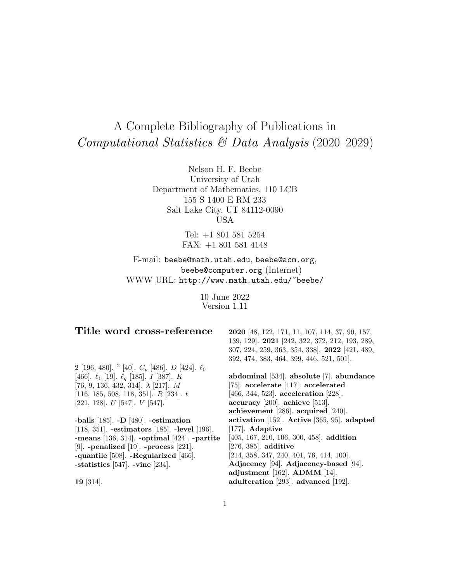# A Complete Bibliography of Publications in Computational Statistics & Data Analysis (2020–2029)

Nelson H. F. Beebe University of Utah Department of Mathematics, 110 LCB 155 S 1400 E RM 233 Salt Lake City, UT 84112-0090 USA

> Tel: +1 801 581 5254 FAX: +1 801 581 4148

E-mail: beebe@math.utah.edu, beebe@acm.org, beebe@computer.org (Internet) WWW URL: http://www.math.utah.edu/~beebe/

> 10 June 2022 Version 1.11

# **Title word cross-reference**

2 [196, 480]. <sup>2</sup> [40].  $C_p$  [486]. *D* [424].  $\ell_0$ [466].  $\ell_1$  [19].  $\ell_q$  [185]. *I* [387].  $\check{K}$ [76, 9, 136, 432, 314].  $\lambda$  [217]. M [116, 185, 508, 118, 351]. R [234]. t [221, 128]. U [547]. V [547].

**-balls** [185]. **-D** [480]. **-estimation** [118, 351]. **-estimators** [185]. **-level** [196]. **-means** [136, 314]. **-optimal** [424]. **-partite** [9]. **-penalized** [19]. **-process** [221]. **-quantile** [508]. **-Regularized** [466]. **-statistics** [547]. **-vine** [234].

**19** [314].

**2020** [48, 122, 171, 11, 107, 114, 37, 90, 157, 139, 129]. **2021** [242, 322, 372, 212, 193, 289, 307, 224, 259, 363, 354, 338]. **2022** [421, 489, 392, 474, 383, 464, 399, 446, 521, 501].

**abdominal** [534]. **absolute** [7]. **abundance** [75]. **accelerate** [117]. **accelerated** [466, 344, 523]. **acceleration** [228]. **accuracy** [200]. **achieve** [513]. **achievement** [286]. **acquired** [240]. **activation** [152]. **Active** [365, 95]. **adapted** [177]. **Adaptive** [405, 167, 210, 106, 300, 458]. **addition** [276, 385]. **additive** [214, 358, 347, 240, 401, 76, 414, 100]. **Adjacency** [94]. **Adjacency-based** [94]. **adjustment** [162]. **ADMM** [14]. **adulteration** [293]. **advanced** [192].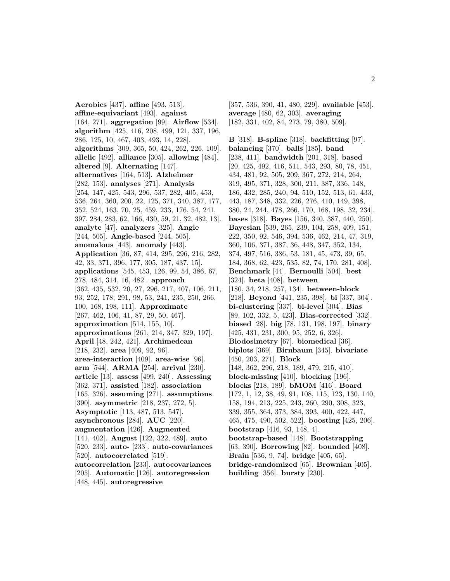**Aerobics** [437]. **affine** [493, 513]. **affine-equivariant** [493]. **against** [164, 271]. **aggregation** [99]. **Airflow** [534]. **algorithm** [425, 416, 208, 499, 121, 337, 196, 286, 125, 10, 467, 403, 493, 14, 228]. **algorithms** [309, 365, 50, 424, 262, 226, 109]. **allelic** [492]. **alliance** [305]. **allowing** [484]. **altered** [9]. **Alternating** [147]. **alternatives** [164, 513]. **Alzheimer** [282, 153]. **analyses** [271]. **Analysis** [254, 147, 425, 543, 296, 537, 282, 405, 453, 536, 264, 360, 200, 22, 125, 371, 340, 387, 177, 352, 524, 163, 70, 25, 459, 233, 176, 54, 241, 397, 284, 283, 62, 166, 430, 59, 21, 32, 482, 13]. **analyte** [47]. **analyzers** [325]. **Angle** [244, 505]. **Angle-based** [244, 505]. **anomalous** [443]. **anomaly** [443]. **Application** [36, 87, 414, 295, 296, 216, 282, 42, 33, 371, 396, 177, 305, 187, 437, 15]. **applications** [545, 453, 126, 99, 54, 386, 67, 278, 484, 314, 16, 482]. **approach** [362, 435, 532, 20, 27, 296, 217, 407, 106, 211, 93, 252, 178, 291, 98, 53, 241, 235, 250, 266, 100, 168, 198, 111]. **Approximate** [267, 462, 106, 41, 87, 29, 50, 467]. **approximation** [514, 155, 10]. **approximations** [261, 214, 347, 329, 197]. **April** [48, 242, 421]. **Archimedean** [218, 232]. **area** [409, 92, 96]. **area-interaction** [409]. **area-wise** [96]. **arm** [544]. **ARMA** [254]. **arrival** [230]. **article** [13]. **assess** [499, 240]. **Assessing** [362, 371]. **assisted** [182]. **association** [165, 326]. **assuming** [271]. **assumptions** [390]. **asymmetric** [218, 237, 272, 5]. **Asymptotic** [113, 487, 513, 547]. **asynchronous** [284]. **AUC** [220]. **augmentation** [426]. **Augmented** [141, 402]. **August** [122, 322, 489]. **auto** [520, 233]. **auto-** [233]. **auto-covariances** [520]. **autocorrelated** [519]. **autocorrelation** [233]. **autocovariances** [205]. **Automatic** [126]. **autoregression** [448, 445]. **autoregressive**

[357, 536, 390, 41, 480, 229]. **available** [453]. **average** [480, 62, 303]. **averaging** [182, 331, 402, 84, 273, 79, 380, 509].

**B** [318]. **B-spline** [318]. **backfitting** [97]. **balancing** [370]. **balls** [185]. **band** [238, 411]. **bandwidth** [201, 318]. **based** [20, 425, 492, 416, 511, 543, 293, 80, 78, 451, 434, 481, 92, 505, 209, 367, 272, 214, 264, 319, 495, 371, 328, 300, 211, 387, 336, 148, 186, 432, 285, 240, 94, 510, 152, 513, 61, 433, 443, 187, 348, 332, 226, 276, 410, 149, 398, 380, 24, 244, 478, 266, 170, 168, 198, 32, 234]. **bases** [318]. **Bayes** [156, 340, 387, 440, 250]. **Bayesian** [539, 265, 239, 104, 258, 409, 151, 222, 350, 92, 546, 394, 536, 462, 214, 47, 319, 360, 106, 371, 387, 36, 448, 347, 352, 134, 374, 497, 516, 386, 53, 181, 45, 473, 39, 65, 184, 368, 62, 423, 535, 82, 74, 170, 281, 408]. **Benchmark** [44]. **Bernoulli** [504]. **best** [324]. **beta** [408]. **between** [180, 34, 218, 257, 134]. **between-block** [218]. **Beyond** [441, 235, 398]. **bi** [337, 304]. **bi-clustering** [337]. **bi-level** [304]. **Bias** [89, 102, 332, 5, 423]. **Bias-corrected** [332]. **biased** [28]. **big** [78, 131, 198, 197]. **binary** [425, 431, 231, 300, 95, 252, 6, 326]. **Biodosimetry** [67]. **biomedical** [36]. **biplots** [369]. **Birnbaum** [345]. **bivariate** [450, 203, 271]. **Block** [148, 362, 296, 218, 189, 479, 215, 410]. **block-missing** [410]. **blocking** [196]. **blocks** [218, 189]. **bMOM** [416]. **Board** [172, 1, 12, 38, 49, 91, 108, 115, 123, 130, 140, 158, 194, 213, 225, 243, 260, 290, 308, 323, 339, 355, 364, 373, 384, 393, 400, 422, 447, 465, 475, 490, 502, 522]. **boosting** [425, 206]. **bootstrap** [416, 93, 148, 4]. **bootstrap-based** [148]. **Bootstrapping** [63, 390]. **Borrowing** [82]. **bounded** [408]. **Brain** [536, 9, 74]. **bridge** [405, 65]. **bridge-randomized** [65]. **Brownian** [405]. **building** [356]. **bursty** [230].

2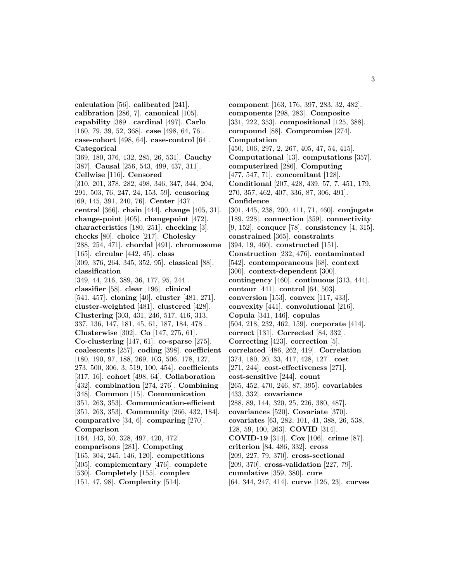**calculation** [56]. **calibrated** [241]. **calibration** [286, 7]. **canonical** [105]. **capability** [389]. **cardinal** [497]. **Carlo** [160, 79, 39, 52, 368]. **case** [498, 64, 76]. **case-cohort** [498, 64]. **case-control** [64]. **Categorical** [369, 180, 376, 132, 285, 26, 531]. **Cauchy** [387]. **Causal** [256, 543, 499, 437, 311]. **Cellwise** [116]. **Censored** [310, 201, 378, 282, 498, 346, 347, 344, 204, 291, 503, 76, 247, 24, 153, 59]. **censoring** [69, 145, 391, 240, 76]. **Center** [437]. **central** [366]. **chain** [444]. **change** [405, 31]. **change-point** [405]. **changepoint** [472]. **characteristics** [180, 251]. **checking** [3]. **checks** [80]. **choice** [217]. **Cholesky** [288, 254, 471]. **chordal** [491]. **chromosome** [165]. **circular** [442, 45]. **class** [309, 376, 264, 345, 352, 95]. **classical** [88]. **classification** [349, 44, 216, 389, 36, 177, 95, 244]. **classifier** [58]. **clear** [196]. **clinical** [541, 457]. **cloning** [40]. **cluster** [481, 271]. **cluster-weighted** [481]. **clustered** [428]. **Clustering** [303, 431, 246, 517, 416, 313, 337, 136, 147, 181, 45, 61, 187, 184, 478]. **Clusterwise** [302]. **Co** [147, 275, 61]. **Co-clustering** [147, 61]. **co-sparse** [275]. **coalescents** [257]. **coding** [398]. **coefficient** [180, 190, 97, 188, 269, 103, 506, 178, 127, 273, 500, 306, 3, 519, 100, 454]. **coefficients** [317, 16]. **cohort** [498, 64]. **Collaboration** [432]. **combination** [274, 276]. **Combining** [348]. **Common** [15]. **Communication** [351, 263, 353]. **Communication-efficient** [351, 263, 353]. **Community** [266, 432, 184]. **comparative** [34, 6]. **comparing** [270]. **Comparison** [164, 143, 50, 328, 497, 420, 472]. **comparisons** [281]. **Competing** [165, 304, 245, 146, 120]. **competitions** [305]. **complementary** [476]. **complete** [530]. **Completely** [155]. **complex** [151, 47, 98]. **Complexity** [514].

**component** [163, 176, 397, 283, 32, 482]. **components** [298, 283]. **Composite** [331, 222, 353]. **compositional** [125, 388]. **compound** [88]. **Compromise** [274]. **Computation** [450, 106, 297, 2, 267, 405, 47, 54, 415]. **Computational** [13]. **computations** [357]. **computerized** [286]. **Computing** [477, 547, 71]. **concomitant** [128]. **Conditional** [207, 428, 439, 57, 7, 451, 179, 270, 357, 462, 407, 336, 87, 306, 491]. **Confidence** [301, 445, 238, 200, 411, 71, 460]. **conjugate** [189, 228]. **connection** [359]. **connectivity** [9, 152]. **conquer** [78]. **consistency** [4, 315]. **constrained** [365]. **constraints** [394, 19, 460]. **constructed** [151]. **Construction** [232, 476]. **contaminated** [542]. **contemporaneous** [68]. **context** [300]. **context-dependent** [300]. **contingency** [460]. **continuous** [313, 444]. **contour** [441]. **control** [64, 503]. **conversion** [153]. **convex** [117, 433]. **convexity** [441]. **convolutional** [216]. **Copula** [341, 146]. **copulas** [504, 218, 232, 462, 159]. **corporate** [414]. **correct** [131]. **Corrected** [84, 332]. **Correcting** [423]. **correction** [5]. **correlated** [486, 262, 419]. **Correlation** [374, 180, 20, 33, 417, 428, 127]. **cost** [271, 244]. **cost-effectiveness** [271]. **cost-sensitive** [244]. **count** [265, 452, 470, 246, 87, 395]. **covariables** [433, 332]. **covariance** [288, 89, 144, 320, 25, 226, 380, 487]. **covariances** [520]. **Covariate** [370]. **covariates** [63, 282, 101, 41, 388, 26, 538, 128, 59, 100, 263]. **COVID** [314]. **COVID-19** [314]. **Cox** [106]. **crime** [87]. **criterion** [84, 486, 332]. **cross** [209, 227, 79, 370]. **cross-sectional** [209, 370]. **cross-validation** [227, 79]. **cumulative** [359, 380]. **cure** [64, 344, 247, 414]. **curve** [126, 23]. **curves**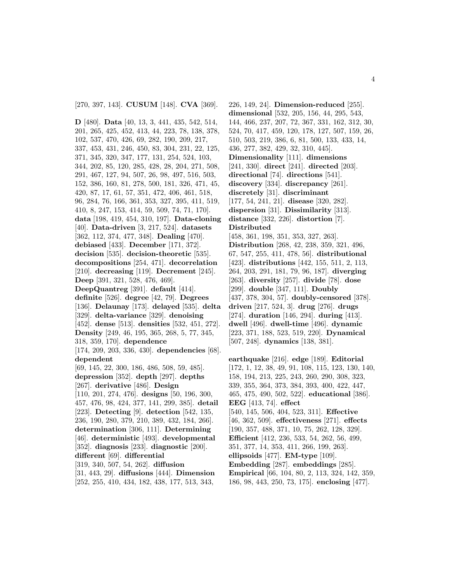[270, 397, 143]. **CUSUM** [148]. **CVA** [369].

**D** [480]. **Data** [40, 13, 3, 441, 435, 542, 514, 201, 265, 425, 452, 413, 44, 223, 78, 138, 378, 102, 537, 470, 426, 69, 282, 190, 209, 217, 337, 453, 431, 246, 450, 83, 304, 231, 22, 125, 371, 345, 320, 347, 177, 131, 254, 524, 103, 344, 202, 85, 120, 285, 428, 28, 204, 271, 508, 291, 467, 127, 94, 507, 26, 98, 497, 516, 503, 152, 386, 160, 81, 278, 500, 181, 326, 471, 45, 420, 87, 17, 61, 57, 351, 472, 406, 461, 518, 96, 284, 76, 166, 361, 353, 327, 395, 411, 519, 410, 8, 247, 153, 414, 59, 509, 74, 71, 170]. **data** [198, 419, 454, 310, 197]. **Data-cloning** [40]. **Data-driven** [3, 217, 524]. **datasets** [362, 112, 374, 477, 348]. **Dealing** [470]. **debiased** [433]. **December** [171, 372]. **decision** [535]. **decision-theoretic** [535]. **decompositions** [254, 471]. **decorrelation** [210]. **decreasing** [119]. **Decrement** [245]. **Deep** [391, 321, 528, 476, 469]. **DeepQuantreg** [391]. **default** [414]. **definite** [526]. **degree** [42, 79]. **Degrees** [136]. **Delaunay** [173]. **delayed** [535]. **delta** [329]. **delta-variance** [329]. **denoising** [452]. **dense** [513]. **densities** [532, 451, 272]. **Density** [249, 46, 195, 365, 268, 5, 77, 345, 318, 359, 170]. **dependence** [174, 209, 203, 336, 430]. **dependencies** [68]. **dependent** [69, 145, 22, 300, 186, 486, 508, 59, 485]. **depression** [352]. **depth** [297]. **depths** [267]. **derivative** [486]. **Design** [110, 201, 274, 476]. **designs** [50, 196, 300, 457, 476, 98, 424, 377, 141, 299, 385]. **detail** [223]. **Detecting** [9]. **detection** [542, 135, 236, 190, 280, 379, 210, 389, 432, 184, 266]. **determination** [306, 111]. **Determining** [46]. **deterministic** [493]. **developmental** [352]. **diagnosis** [233]. **diagnostic** [200]. **different** [69]. **differential** [319, 340, 507, 54, 262]. **diffusion** [31, 443, 29]. **diffusions** [444]. **Dimension** [252, 255, 410, 434, 182, 438, 177, 513, 343,

226, 149, 24]. **Dimension-reduced** [255]. **dimensional** [532, 205, 156, 44, 295, 543, 144, 466, 237, 207, 72, 367, 331, 162, 312, 30, 524, 70, 417, 459, 120, 178, 127, 507, 159, 26, 510, 503, 219, 386, 6, 81, 500, 133, 433, 14, 436, 277, 382, 429, 32, 310, 445]. **Dimensionality** [111]. **dimensions** [241, 330]. **direct** [241]. **directed** [203]. **directional** [74]. **directions** [541]. **discovery** [334]. **discrepancy** [261]. **discretely** [31]. **discriminant** [177, 54, 241, 21]. **disease** [320, 282]. **dispersion** [31]. **Dissimilarity** [313]. **distance** [332, 226]. **distortion** [7]. **Distributed** [458, 361, 198, 351, 353, 327, 263]. **Distribution** [268, 42, 238, 359, 321, 496, 67, 547, 255, 411, 478, 56]. **distributional** [423]. **distributions** [442, 155, 511, 2, 113, 264, 203, 291, 181, 79, 96, 187]. **diverging** [263]. **diversity** [257]. **divide** [78]. **dose** [299]. **double** [347, 111]. **Doubly** [437, 378, 304, 57]. **doubly-censored** [378]. **driven** [217, 524, 3]. **drug** [276]. **drugs** [274]. **duration** [146, 294]. **during** [413]. **dwell** [496]. **dwell-time** [496]. **dynamic** [223, 371, 188, 523, 519, 220]. **Dynamical** [507, 248]. **dynamics** [138, 381].

**earthquake** [216]. **edge** [189]. **Editorial** [172, 1, 12, 38, 49, 91, 108, 115, 123, 130, 140, 158, 194, 213, 225, 243, 260, 290, 308, 323, 339, 355, 364, 373, 384, 393, 400, 422, 447, 465, 475, 490, 502, 522]. **educational** [386]. **EEG** [413, 74]. **effect** [540, 145, 506, 404, 523, 311]. **Effective** [46, 362, 509]. **effectiveness** [271]. **effects** [190, 357, 488, 371, 10, 75, 262, 128, 329]. **Efficient** [412, 236, 533, 54, 262, 56, 499, 351, 377, 14, 353, 411, 266, 199, 263]. **ellipsoids** [477]. **EM-type** [109]. **Embedding** [287]. **embeddings** [285]. **Empirical** [66, 104, 80, 2, 113, 324, 142, 359, 186, 98, 443, 250, 73, 175]. **enclosing** [477].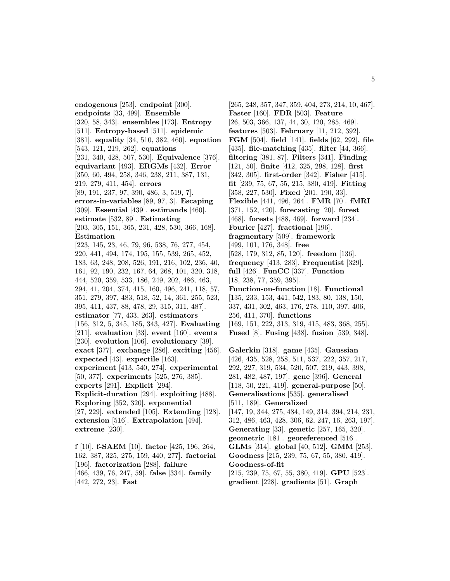**endogenous** [253]. **endpoint** [300]. **endpoints** [33, 499]. **Ensemble** [320, 58, 343]. **ensembles** [173]. **Entropy** [511]. **Entropy-based** [511]. **epidemic** [381]. **equality** [34, 510, 382, 460]. **equation** [543, 121, 219, 262]. **equations** [231, 340, 428, 507, 530]. **Equivalence** [376]. **equivariant** [493]. **ERGMs** [432]. **Error** [350, 60, 494, 258, 346, 238, 211, 387, 131, 219, 279, 411, 454]. **errors** [89, 191, 237, 97, 390, 486, 3, 519, 7]. **errors-in-variables** [89, 97, 3]. **Escaping** [309]. **Essential** [439]. **estimands** [460]. **estimate** [532, 89]. **Estimating** [203, 305, 151, 365, 231, 428, 530, 366, 168]. **Estimation** [223, 145, 23, 46, 79, 96, 538, 76, 277, 454, 220, 441, 494, 174, 195, 155, 539, 265, 452, 183, 63, 248, 208, 526, 191, 216, 102, 236, 40, 161, 92, 190, 232, 167, 64, 268, 101, 320, 318, 444, 520, 359, 533, 186, 249, 202, 486, 463, 294, 41, 204, 374, 415, 160, 496, 241, 118, 57, 351, 279, 397, 483, 518, 52, 14, 361, 255, 523, 395, 411, 437, 88, 478, 29, 315, 311, 487]. **estimator** [77, 433, 263]. **estimators** [156, 312, 5, 345, 185, 343, 427]. **Evaluating** [211]. **evaluation** [33]. **event** [160]. **events** [230]. **evolution** [106]. **evolutionary** [39]. **exact** [377]. **exchange** [286]. **exciting** [456]. **expected** [43]. **expectile** [163]. **experiment** [413, 540, 274]. **experimental** [50, 377]. **experiments** [525, 276, 385]. **experts** [291]. **Explicit** [294]. **Explicit-duration** [294]. **exploiting** [488]. **Exploring** [352, 320]. **exponential** [27, 229]. **extended** [105]. **Extending** [128]. **extension** [516]. **Extrapolation** [494]. **extreme** [230].

**f** [10]. **f-SAEM** [10]. **factor** [425, 196, 264, 162, 387, 325, 275, 159, 440, 277]. **factorial** [196]. **factorization** [288]. **failure** [466, 439, 76, 247, 59]. **false** [334]. **family** [442, 272, 23]. **Fast**

[265, 248, 357, 347, 359, 404, 273, 214, 10, 467]. **Faster** [160]. **FDR** [503]. **Feature** [26, 503, 366, 137, 44, 30, 120, 285, 469]. **features** [503]. **February** [11, 212, 392]. **FGM** [504]. **field** [141]. **fields** [62, 292]. **file** [435]. **file-matching** [435]. **filter** [44, 366]. **filtering** [381, 87]. **Filters** [341]. **Finding** [121, 50]. **finite** [412, 325, 298, 128]. **first** [342, 305]. **first-order** [342]. **Fisher** [415]. **fit** [239, 75, 67, 55, 215, 380, 419]. **Fitting** [358, 227, 530]. **Fixed** [201, 190, 33]. **Flexible** [441, 496, 264]. **FMR** [70]. **fMRI** [371, 152, 420]. **forecasting** [20]. **forest** [468]. **forests** [488, 469]. **forward** [234]. **Fourier** [427]. **fractional** [196]. **fragmentary** [509]. **framework** [499, 101, 176, 348]. **free** [528, 179, 312, 85, 120]. **freedom** [136]. **frequency** [413, 283]. **Frequentist** [329]. **full** [426]. **FunCC** [337]. **Function** [18, 238, 77, 359, 395]. **Function-on-function** [18]. **Functional** [135, 233, 153, 441, 542, 183, 80, 138, 150, 337, 431, 302, 463, 176, 278, 110, 397, 406, 256, 411, 370]. **functions** [169, 151, 222, 313, 319, 415, 483, 368, 255]. **Fused** [8]. **Fusing** [438]. **fusion** [539, 348]. **Galerkin** [318]. **game** [435]. **Gaussian** [426, 435, 528, 258, 511, 537, 222, 357, 217, 292, 227, 319, 534, 520, 507, 219, 443, 398, 281, 482, 487, 197]. **gene** [396]. **General** [118, 50, 221, 419]. **general-purpose** [50]. **Generalisations** [535]. **generalised** [511, 189]. **Generalized** [147, 19, 344, 275, 484, 149, 314, 394, 214, 231, 312, 486, 463, 428, 306, 62, 247, 16, 263, 197]. **Generating** [33]. **genetic** [257, 165, 320]. **geometric** [181]. **georeferenced** [516]. **GLMs** [314]. **global** [40, 512]. **GMM** [253]. **Goodness** [215, 239, 75, 67, 55, 380, 419]. **Goodness-of-fit** [215, 239, 75, 67, 55, 380, 419]. **GPU** [523]. **gradient** [228]. **gradients** [51]. **Graph**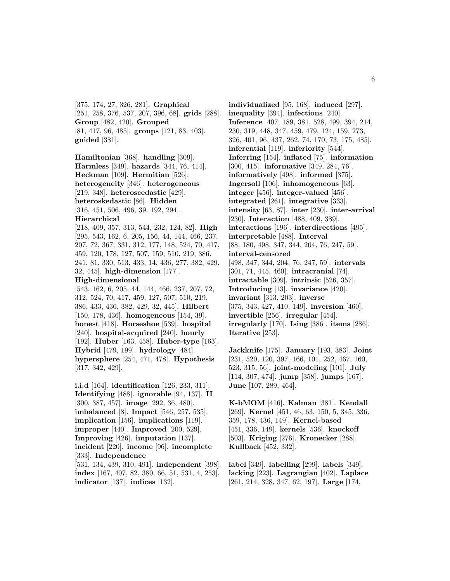[375, 174, 27, 326, 281]. **Graphical** [251, 258, 376, 537, 207, 396, 68]. **grids** [288]. **Group** [482, 420]. **Grouped** [81, 417, 96, 485]. **groups** [121, 83, 403]. **guided** [381].

**Hamiltonian** [368]. **handling** [309]. **Harmless** [349]. **hazards** [344, 76, 414]. **Heckman** [109]. **Hermitian** [526]. **heterogeneity** [346]. **heterogeneous** [219, 348]. **heteroscedastic** [429]. **heteroskedastic** [86]. **Hidden** [316, 451, 506, 496, 39, 192, 294]. **Hierarchical**

[218, 409, 357, 313, 544, 232, 124, 82]. **High** [295, 543, 162, 6, 205, 156, 44, 144, 466, 237, 207, 72, 367, 331, 312, 177, 148, 524, 70, 417, 459, 120, 178, 127, 507, 159, 510, 219, 386, 241, 81, 330, 513, 433, 14, 436, 277, 382, 429, 32, 445]. **high-dimension** [177].

#### **High-dimensional**

[543, 162, 6, 205, 44, 144, 466, 237, 207, 72, 312, 524, 70, 417, 459, 127, 507, 510, 219, 386, 433, 436, 382, 429, 32, 445]. **Hilbert** [150, 178, 436]. **homogeneous** [154, 39]. **honest** [418]. **Horseshoe** [539]. **hospital** [240]. **hospital-acquired** [240]. **hourly** [192]. **Huber** [163, 458]. **Huber-type** [163]. **Hybrid** [479, 199]. **hydrology** [484]. **hypersphere** [254, 471, 478]. **Hypothesis** [317, 342, 429].

**i.i.d** [164]. **identification** [126, 233, 311]. **Identifying** [488]. **ignorable** [94, 137]. **II** [300, 387, 457]. **image** [292, 36, 480]. **imbalanced** [8]. **Impact** [546, 257, 535]. **implication** [156]. **implications** [119]. **improper** [440]. **Improved** [200, 529]. **Improving** [426]. **imputation** [137]. **incident** [220]. **income** [96]. **incomplete** [333]. **Independence** [531, 134, 439, 310, 491]. **independent** [398]. **index** [167, 407, 82, 380, 66, 51, 531, 4, 253]. **indicator** [137]. **indices** [132].

**individualized** [95, 168]. **induced** [297]. **inequality** [394]. **infections** [240]. **Inference** [407, 189, 381, 528, 499, 394, 214, 230, 319, 448, 347, 459, 479, 124, 159, 273, 326, 401, 96, 437, 262, 74, 170, 73, 175, 485]. **inferential** [119]. **inferiority** [544]. **Inferring** [154]. **inflated** [75]. **information** [300, 415]. **informative** [349, 284, 76]. **informatively** [498]. **informed** [375]. **Ingersoll** [106]. **inhomogeneous** [63]. **integer** [456]. **integer-valued** [456]. **integrated** [261]. **integrative** [333]. **intensity** [63, 87]. **inter** [230]. **inter-arrival** [230]. **Interaction** [488, 409, 389]. **interactions** [196]. **interdirections** [495]. **interpretable** [488]. **Interval** [88, 180, 498, 347, 344, 204, 76, 247, 59]. **interval-censored** [498, 347, 344, 204, 76, 247, 59]. **intervals** [301, 71, 445, 460]. **intracranial** [74]. **intractable** [309]. **intrinsic** [526, 357]. **Introducing** [13]. **invariance** [420]. **invariant** [313, 203]. **inverse** [375, 343, 427, 410, 149]. **inversion** [460]. **invertible** [256]. **irregular** [454]. **irregularly** [170]. **Ising** [386]. **items** [286]. **Iterative** [253].

**Jackknife** [175]. **January** [193, 383]. **Joint** [231, 520, 120, 397, 166, 101, 252, 467, 160, 523, 315, 56]. **joint-modeling** [101]. **July** [114, 307, 474]. **jump** [358]. **jumps** [167]. **June** [107, 289, 464].

**K-bMOM** [416]. **Kalman** [381]. **Kendall** [269]. **Kernel** [451, 46, 63, 150, 5, 345, 336, 359, 178, 436, 149]. **Kernel-based** [451, 336, 149]. **kernels** [536]. **knockoff** [503]. **Kriging** [276]. **Kronecker** [288]. **Kullback** [452, 332].

**label** [349]. **labelling** [299]. **labels** [349]. **lacking** [223]. **Lagrangian** [402]. **Laplace** [261, 214, 328, 347, 62, 197]. **Large** [174,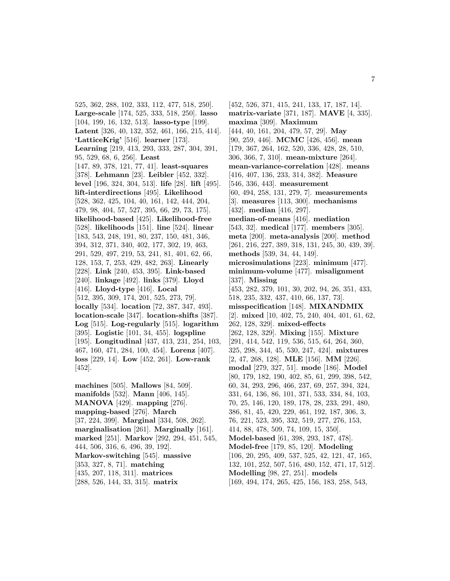525, 362, 288, 102, 333, 112, 477, 518, 250]. **Large-scale** [174, 525, 333, 518, 250]. **lasso** [104, 199, 16, 132, 513]. **lasso-type** [199]. **Latent** [326, 40, 132, 352, 461, 166, 215, 414]. **'LatticeKrig'** [516]. **learner** [173]. **Learning** [219, 413, 293, 333, 287, 304, 391, 95, 529, 68, 6, 256]. **Least** [147, 89, 378, 121, 77, 41]. **least-squares** [378]. **Lehmann** [23]. **Leibler** [452, 332]. **level** [196, 324, 304, 513]. **life** [28]. **lift** [495]. **lift-interdirections** [495]. **Likelihood** [528, 362, 425, 104, 40, 161, 142, 444, 204, 479, 98, 404, 57, 527, 395, 66, 29, 73, 175]. **likelihood-based** [425]. **Likelihood-free** [528]. **likelihoods** [151]. **line** [524]. **linear** [183, 543, 248, 191, 80, 237, 150, 481, 346, 394, 312, 371, 340, 402, 177, 302, 19, 463, 291, 529, 497, 219, 53, 241, 81, 401, 62, 66, 128, 153, 7, 253, 429, 482, 263]. **Linearly** [228]. **Link** [240, 453, 395]. **Link-based** [240]. **linkage** [492]. **links** [379]. **Lloyd** [416]. **Lloyd-type** [416]. **Local** [512, 395, 309, 174, 201, 525, 273, 79]. **locally** [534]. **location** [72, 387, 347, 493]. **location-scale** [347]. **location-shifts** [387]. **Log** [515]. **Log-regularly** [515]. **logarithm** [395]. **Logistic** [101, 34, 455]. **logspline** [195]. **Longitudinal** [437, 413, 231, 254, 103, 467, 160, 471, 284, 100, 454]. **Lorenz** [407]. **loss** [229, 14]. **Low** [452, 261]. **Low-rank** [452].

**machines** [505]. **Mallows** [84, 509]. **manifolds** [532]. **Mann** [406, 145]. **MANOVA** [429]. **mapping** [276]. **mapping-based** [276]. **March** [37, 224, 399]. **Marginal** [334, 508, 262]. **marginalisation** [261]. **Marginally** [161]. **marked** [251]. **Markov** [292, 294, 451, 545, 444, 506, 316, 6, 496, 39, 192]. **Markov-switching** [545]. **massive** [353, 327, 8, 71]. **matching** [435, 207, 118, 311]. **matrices** [288, 526, 144, 33, 315]. **matrix**

[452, 526, 371, 415, 241, 133, 17, 187, 14]. **matrix-variate** [371, 187]. **MAVE** [4, 335]. **maxima** [309]. **Maximum** [444, 40, 161, 204, 479, 57, 29]. **May** [90, 259, 446]. **MCMC** [426, 456]. **mean** [179, 367, 264, 162, 520, 336, 428, 28, 510, 306, 366, 7, 310]. **mean-mixture** [264]. **mean-variance-correlation** [428]. **means** [416, 407, 136, 233, 314, 382]. **Measure** [546, 336, 443]. **measurement** [60, 494, 258, 131, 279, 7]. **measurements** [3]. **measures** [113, 300]. **mechanisms** [432]. **median** [416, 297]. **median-of-means** [416]. **mediation** [543, 32]. **medical** [177]. **members** [305]. **meta** [200]. **meta-analysis** [200]. **method** [261, 216, 227, 389, 318, 131, 245, 30, 439, 39]. **methods** [539, 34, 44, 149]. **microsimulations** [223]. **minimum** [477]. **minimum-volume** [477]. **misalignment** [337]. **Missing** [453, 282, 379, 101, 30, 202, 94, 26, 351, 433, 518, 235, 332, 437, 410, 66, 137, 73]. **misspecification** [148]. **MIXANDMIX** [2]. **mixed** [10, 402, 75, 240, 404, 401, 61, 62, 262, 128, 329]. **mixed-effects** [262, 128, 329]. **Mixing** [155]. **Mixture** [291, 414, 542, 119, 536, 515, 64, 264, 360, 325, 298, 344, 45, 530, 247, 424]. **mixtures** [2, 47, 268, 128]. **MLE** [156]. **MM** [226]. **modal** [279, 327, 51]. **mode** [186]. **Model** [80, 179, 182, 190, 402, 85, 61, 299, 398, 542, 60, 34, 293, 296, 466, 237, 69, 257, 394, 324, 331, 64, 136, 86, 101, 371, 533, 334, 84, 103, 70, 25, 146, 120, 189, 178, 28, 233, 291, 480, 386, 81, 45, 420, 229, 461, 192, 187, 306, 3, 76, 221, 523, 395, 332, 519, 277, 276, 153, 414, 88, 478, 509, 74, 109, 15, 350]. **Model-based** [61, 398, 293, 187, 478]. **Model-free** [179, 85, 120]. **Modeling** [106, 20, 295, 409, 537, 525, 42, 121, 47, 165, 132, 101, 252, 507, 516, 480, 152, 471, 17, 512]. **Modelling** [98, 27, 251]. **models** [169, 494, 174, 265, 425, 156, 183, 258, 543,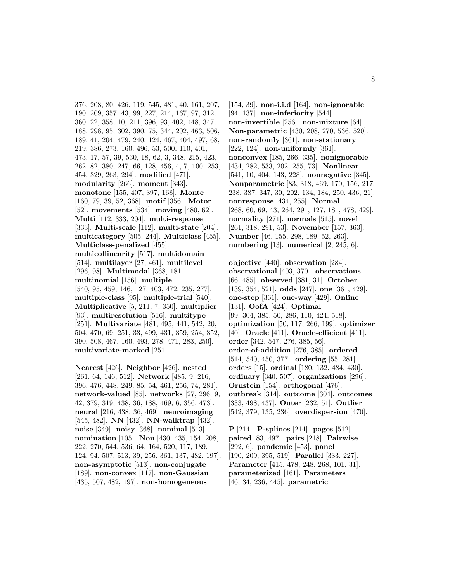376, 208, 80, 426, 119, 545, 481, 40, 161, 207, 190, 209, 357, 43, 99, 227, 214, 167, 97, 312, 360, 22, 358, 10, 211, 396, 93, 402, 448, 347, 188, 298, 95, 302, 390, 75, 344, 202, 463, 506, 189, 41, 204, 479, 240, 124, 467, 404, 497, 68, 219, 386, 273, 160, 496, 53, 500, 110, 401, 473, 17, 57, 39, 530, 18, 62, 3, 348, 215, 423, 262, 82, 380, 247, 66, 128, 456, 4, 7, 100, 253, 454, 329, 263, 294]. **modified** [471]. **modularity** [266]. **moment** [343]. **monotone** [155, 407, 397, 168]. **Monte** [160, 79, 39, 52, 368]. **motif** [356]. **Motor** [52]. **movements** [534]. **moving** [480, 62]. **Multi** [112, 333, 204]. **multi-response** [333]. **Multi-scale** [112]. **multi-state** [204]. **multicategory** [505, 244]. **Multiclass** [455]. **Multiclass-penalized** [455]. **multicollinearity** [517]. **multidomain** [514]. **multilayer** [27, 461]. **multilevel** [296, 98]. **Multimodal** [368, 181]. **multinomial** [156]. **multiple** [540, 95, 459, 146, 127, 403, 472, 235, 277]. **multiple-class** [95]. **multiple-trial** [540]. **Multiplicative** [5, 211, 7, 350]. **multiplier** [93]. **multiresolution** [516]. **multitype** [251]. **Multivariate** [481, 495, 441, 542, 20, 504, 470, 69, 251, 33, 499, 431, 359, 254, 352, 390, 508, 467, 160, 493, 278, 471, 283, 250]. **multivariate-marked** [251].

**Nearest** [426]. **Neighbor** [426]. **nested** [261, 64, 146, 512]. **Network** [485, 9, 216, 396, 476, 448, 249, 85, 54, 461, 256, 74, 281]. **network-valued** [85]. **networks** [27, 296, 9, 42, 379, 319, 438, 36, 188, 469, 6, 356, 473]. **neural** [216, 438, 36, 469]. **neuroimaging** [545, 482]. **NN** [432]. **NN-walktrap** [432]. **noise** [349]. **noisy** [368]. **nominal** [513]. **nomination** [105]. **Non** [430, 435, 154, 208, 222, 270, 544, 536, 64, 164, 520, 117, 189, 124, 94, 507, 513, 39, 256, 361, 137, 482, 197]. **non-asymptotic** [513]. **non-conjugate** [189]. **non-convex** [117]. **non-Gaussian** [435, 507, 482, 197]. **non-homogeneous**

[154, 39]. **non-i.i.d** [164]. **non-ignorable** [94, 137]. **non-inferiority** [544]. **non-invertible** [256]. **non-mixture** [64]. **Non-parametric** [430, 208, 270, 536, 520]. **non-randomly** [361]. **non-stationary** [222, 124]. **non-uniformly** [361]. **nonconvex** [185, 266, 335]. **nonignorable** [434, 282, 533, 202, 255, 73]. **Nonlinear** [541, 10, 404, 143, 228]. **nonnegative** [345]. **Nonparametric** [83, 318, 469, 170, 156, 217, 238, 387, 347, 30, 202, 134, 184, 250, 436, 21]. **nonresponse** [434, 255]. **Normal** [268, 60, 69, 43, 264, 291, 127, 181, 478, 429]. **normality** [271]. **normals** [515]. **novel** [261, 318, 291, 53]. **November** [157, 363]. **Number** [46, 155, 298, 189, 52, 263]. **numbering** [13]. **numerical** [2, 245, 6].

**objective** [440]. **observation** [284]. **observational** [403, 370]. **observations** [66, 485]. **observed** [381, 31]. **October** [139, 354, 521]. **odds** [247]. **one** [361, 429]. **one-step** [361]. **one-way** [429]. **Online** [131]. **OofA** [424]. **Optimal** [99, 304, 385, 50, 286, 110, 424, 518]. **optimization** [50, 117, 266, 199]. **optimizer** [40]. **Oracle** [411]. **Oracle-efficient** [411]. **order** [342, 547, 276, 385, 56]. **order-of-addition** [276, 385]. **ordered** [514, 540, 450, 377]. **ordering** [55, 281]. **orders** [15]. **ordinal** [180, 132, 484, 430]. **ordinary** [340, 507]. **organizations** [296]. **Ornstein** [154]. **orthogonal** [476]. **outbreak** [314]. **outcome** [304]. **outcomes** [333, 498, 437]. **Outer** [232, 51]. **Outlier** [542, 379, 135, 236]. **overdispersion** [470].

**P** [214]. **P-splines** [214]. **pages** [512]. **paired** [83, 497]. **pairs** [218]. **Pairwise** [292, 6]. **pandemic** [453]. **panel** [190, 209, 395, 519]. **Parallel** [333, 227]. **Parameter** [415, 478, 248, 268, 101, 31]. **parameterized** [161]. **Parameters** [46, 34, 236, 445]. **parametric**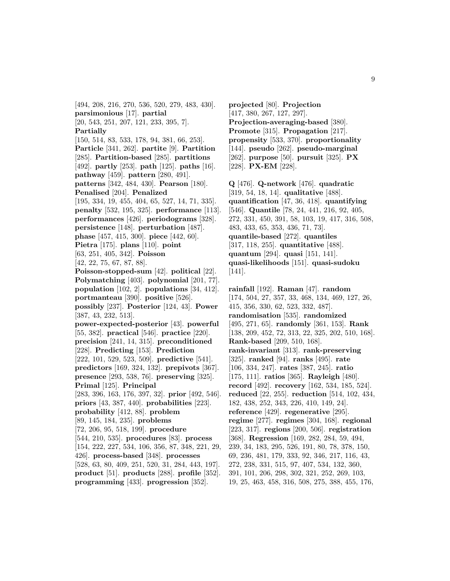[494, 208, 216, 270, 536, 520, 279, 483, 430]. **parsimonious** [17]. **partial** [20, 543, 251, 207, 121, 233, 395, 7]. **Partially** [150, 514, 83, 533, 178, 94, 381, 66, 253]. **Particle** [341, 262]. **partite** [9]. **Partition** [285]. **Partition-based** [285]. **partitions** [492]. **partly** [253]. **path** [125]. **paths** [16]. **pathway** [459]. **pattern** [280, 491]. **patterns** [342, 484, 430]. **Pearson** [180]. **Penalised** [204]. **Penalized** [195, 334, 19, 455, 404, 65, 527, 14, 71, 335]. **penalty** [532, 195, 325]. **performance** [113]. **performances** [426]. **periodograms** [328]. **persistence** [148]. **perturbation** [487]. **phase** [457, 415, 300]. **piece** [442, 60]. **Pietra** [175]. **plans** [110]. **point** [63, 251, 405, 342]. **Poisson** [42, 22, 75, 67, 87, 88]. **Poisson-stopped-sum** [42]. **political** [22]. **Polymatching** [403]. **polynomial** [201, 77]. **population** [102, 2]. **populations** [34, 412]. **portmanteau** [390]. **positive** [526]. **possibly** [237]. **Posterior** [124, 43]. **Power** [387, 43, 232, 513]. **power-expected-posterior** [43]. **powerful** [55, 382]. **practical** [546]. **practice** [220]. **precision** [241, 14, 315]. **preconditioned** [228]. **Predicting** [153]. **Prediction** [222, 101, 529, 523, 509]. **predictive** [541]. **predictors** [169, 324, 132]. **prepivots** [367]. **presence** [293, 538, 76]. **preserving** [325]. **Primal** [125]. **Principal** [283, 396, 163, 176, 397, 32]. **prior** [492, 546]. **priors** [43, 387, 440]. **probabilities** [223]. **probability** [412, 88]. **problem** [89, 145, 184, 235]. **problems** [72, 206, 95, 518, 199]. **procedure** [544, 210, 535]. **procedures** [83]. **process** [154, 222, 227, 534, 106, 356, 87, 348, 221, 29, 426]. **process-based** [348]. **processes** [528, 63, 80, 409, 251, 520, 31, 284, 443, 197]. **product** [51]. **products** [288]. **profile** [352]. **programming** [433]. **progression** [352].

**projected** [80]. **Projection** [417, 380, 267, 127, 297]. **Projection-averaging-based** [380]. **Promote** [315]. **Propagation** [217]. **propensity** [533, 370]. **proportionality** [144]. **pseudo** [262]. **pseudo-marginal** [262]. **purpose** [50]. **pursuit** [325]. **PX** [228]. **PX-EM** [228].

**Q** [476]. **Q-network** [476]. **quadratic** [319, 54, 18, 14]. **qualitative** [488]. **quantification** [47, 36, 418]. **quantifying** [546]. **Quantile** [78, 24, 441, 216, 92, 405, 272, 331, 450, 391, 58, 103, 19, 417, 316, 508, 483, 433, 65, 353, 436, 71, 73]. **quantile-based** [272]. **quantiles** [317, 118, 255]. **quantitative** [488]. **quantum** [294]. **quasi** [151, 141]. **quasi-likelihoods** [151]. **quasi-sudoku** [141].

**rainfall** [192]. **Raman** [47]. **random** [174, 504, 27, 357, 33, 468, 134, 469, 127, 26, 415, 356, 330, 62, 523, 332, 487]. **randomisation** [535]. **randomized** [495, 271, 65]. **randomly** [361, 153]. **Rank** [138, 209, 452, 72, 313, 22, 325, 202, 510, 168]. **Rank-based** [209, 510, 168]. **rank-invariant** [313]. **rank-preserving** [325]. **ranked** [94]. **ranks** [495]. **rate** [106, 334, 247]. **rates** [387, 245]. **ratio** [175, 111]. **ratios** [365]. **Rayleigh** [480]. **record** [492]. **recovery** [162, 534, 185, 524]. **reduced** [22, 255]. **reduction** [514, 102, 434, 182, 438, 252, 343, 226, 410, 149, 24]. **reference** [429]. **regenerative** [295]. **regime** [277]. **regimes** [304, 168]. **regional** [223, 317]. **regions** [200, 506]. **registration** [368]. **Regression** [169, 282, 284, 59, 494, 239, 34, 183, 295, 526, 191, 80, 78, 378, 150, 69, 236, 481, 179, 333, 92, 346, 217, 116, 43, 272, 238, 331, 515, 97, 407, 534, 132, 360, 391, 101, 206, 298, 302, 321, 252, 269, 103, 19, 25, 463, 458, 316, 508, 275, 388, 455, 176,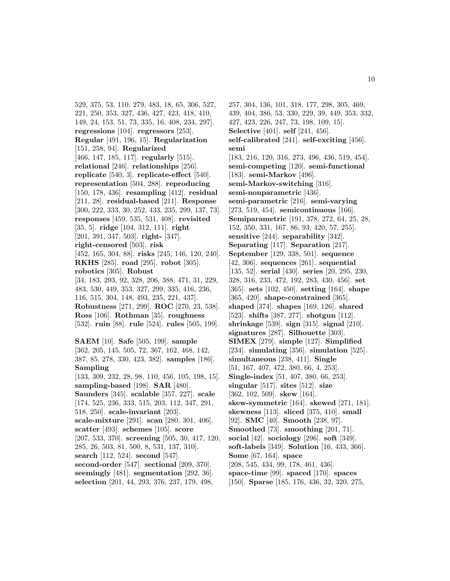529, 375, 53, 110, 279, 483, 18, 65, 306, 527, 221, 250, 353, 327, 436, 427, 423, 418, 410, 149, 24, 153, 51, 73, 335, 16, 408, 234, 297]. **regressions** [104]. **regressors** [253]. **Regular** [491, 196, 15]. **Regularization** [151, 258, 94]. **Regularized** [466, 147, 185, 117]. **regularly** [515]. **relational** [246]. **relationships** [256]. **replicate** [540, 3]. **replicate-effect** [540]. **representation** [504, 288]. **reproducing** [150, 178, 436]. **resampling** [412]. **residual** [211, 28]. **residual-based** [211]. **Response** [300, 222, 333, 30, 252, 433, 235, 299, 137, 73]. **responses** [459, 535, 531, 408]. **revisited** [35, 5]. **ridge** [104, 312, 111]. **right** [201, 391, 347, 503]. **right-** [347]. **right-censored** [503]. **risk** [452, 165, 304, 88]. **risks** [245, 146, 120, 240]. **RKHS** [285]. **road** [295]. **robot** [305]. **robotics** [305]. **Robust** [34, 183, 293, 92, 328, 206, 388, 471, 31, 229, 483, 530, 449, 353, 327, 299, 335, 416, 236, 116, 515, 304, 148, 493, 235, 221, 437]. **Robustness** [271, 299]. **ROC** [270, 23, 538]. **Ross** [106]. **Rothman** [35]. **roughness** [532]. **ruin** [88]. **rule** [524]. **rules** [505, 199]. **SAEM** [10]. **Safe** [505, 199]. **sample** [362, 205, 145, 505, 72, 367, 162, 468, 142, 387, 85, 278, 330, 423, 382]. **samples** [186]. **Sampling** [133, 309, 232, 28, 98, 110, 456, 105, 198, 15]. **sampling-based** [198]. **SAR** [480]. **Saunders** [345]. **scalable** [357, 227]. **scale** [174, 525, 236, 333, 515, 203, 112, 347, 291, 518, 250]. **scale-invariant** [203].

**scale-mixture** [291]. **scan** [280, 301, 406]. **scatter** [493]. **schemes** [105]. **score** [207, 533, 370]. **screening** [505, 30, 417, 120, 285, 26, 503, 81, 500, 8, 531, 137, 310]. **search** [112, 524]. **second** [547]. **second-order** [547]. **sectional** [209, 370].

**seemingly** [481]. **segmentation** [292, 36]. **selection** [201, 44, 293, 376, 237, 179, 498,

257, 304, 136, 101, 318, 177, 298, 305, 469, 439, 404, 386, 53, 330, 229, 39, 449, 353, 332, 427, 423, 226, 247, 73, 198, 109, 15]. **Selective** [401]. **self** [241, 456]. **self-calibrated** [241]. **self-exciting** [456]. **semi** [183, 216, 120, 316, 273, 496, 436, 519, 454]. **semi-competing** [120]. **semi-functional** [183]. **semi-Markov** [496]. **semi-Markov-switching** [316]. **semi-nonparametric** [436]. **semi-parametric** [216]. **semi-varying** [273, 519, 454]. **semicontinuous** [166]. **Semiparametric** [191, 378, 272, 64, 25, 28, 152, 350, 331, 167, 86, 93, 420, 57, 255]. **sensitive** [244]. **separability** [342]. **Separating** [117]. **Separation** [217]. **September** [129, 338, 501]. **sequence** [42, 306]. **sequences** [261]. **sequential** [135, 52]. **serial** [430]. **series** [20, 295, 230, 328, 316, 233, 472, 192, 283, 430, 456]. **set** [365]. **sets** [102, 450]. **setting** [164]. **shape** [365, 420]. **shape-constrained** [365]. **shaped** [374]. **shapes** [169, 126]. **shared** [523]. **shifts** [387, 277]. **shotgun** [112]. **shrinkage** [539]. **sign** [315]. **signal** [210]. **signatures** [287]. **Silhouette** [303]. **SIMEX** [279]. **simple** [127]. **Simplified** [234]. **simulating** [356]. **simulation** [525]. **simultaneous** [238, 411]. **Single** [51, 167, 407, 472, 380, 66, 4, 253]. **Single-index** [51, 407, 380, 66, 253]. **singular** [517]. **sites** [512]. **size** [362, 102, 509]. **skew** [164]. **skew-symmetric** [164]. **skewed** [271, 181]. **skewness** [113]. **sliced** [375, 410]. **small** [92]. **SMC** [40]. **Smooth** [238, 97]. **Smoothed** [73]. **smoothing** [201, 71]. **social** [42]. **sociology** [296]. **soft** [349]. **soft-labels** [349]. **Solution** [16, 433, 366]. **Some** [67, 164]. **space** [208, 545, 434, 99, 178, 461, 436]. **space-time** [99]. **spaced** [170]. **spaces**

[150]. **Sparse** [185, 176, 436, 32, 320, 275,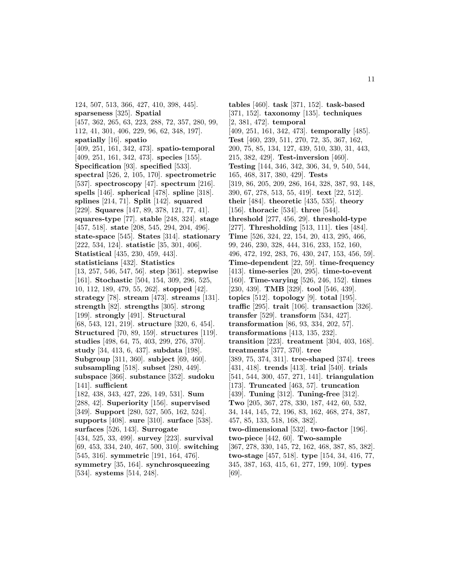124, 507, 513, 366, 427, 410, 398, 445]. **sparseness** [325]. **Spatial** [457, 362, 265, 63, 223, 288, 72, 357, 280, 99, 112, 41, 301, 406, 229, 96, 62, 348, 197]. **spatially** [16]. **spatio** [409, 251, 161, 342, 473]. **spatio-temporal** [409, 251, 161, 342, 473]. **species** [155]. **Specification** [93]. **specified** [533]. **spectral** [526, 2, 105, 170]. **spectrometric** [537]. **spectroscopy** [47]. **spectrum** [216]. **spells** [146]. **spherical** [478]. **spline** [318]. **splines** [214, 71]. **Split** [142]. **squared** [229]. **Squares** [147, 89, 378, 121, 77, 41]. **squares-type** [77]. **stable** [248, 324]. **stage** [457, 518]. **state** [208, 545, 294, 204, 496]. **state-space** [545]. **States** [314]. **stationary** [222, 534, 124]. **statistic** [35, 301, 406]. **Statistical** [435, 230, 459, 443]. **statisticians** [432]. **Statistics** [13, 257, 546, 547, 56]. **step** [361]. **stepwise** [161]. **Stochastic** [504, 154, 309, 296, 525, 10, 112, 189, 479, 55, 262]. **stopped** [42]. **strategy** [78]. **stream** [473]. **streams** [131]. **strength** [82]. **strengths** [305]. **strong** [199]. **strongly** [491]. **Structural** [68, 543, 121, 219]. **structure** [320, 6, 454]. **Structured** [70, 89, 159]. **structures** [119]. **studies** [498, 64, 75, 403, 299, 276, 370]. **study** [34, 413, 6, 437]. **subdata** [198]. **Subgroup** [311, 360]. **subject** [69, 460]. **subsampling** [518]. **subset** [280, 449]. **subspace** [366]. **substance** [352]. **sudoku** [141]. **sufficient** [182, 438, 343, 427, 226, 149, 531]. **Sum** [288, 42]. **Superiority** [156]. **supervised** [349]. **Support** [280, 527, 505, 162, 524]. **supports** [408]. **sure** [310]. **surface** [538]. **surfaces** [526, 143]. **Surrogate** [434, 525, 33, 499]. **survey** [223]. **survival** [69, 453, 334, 240, 467, 500, 310]. **switching** [545, 316]. **symmetric** [191, 164, 476]. **symmetry** [35, 164]. **synchrosqueezing** [534]. **systems** [514, 248].

**tables** [460]. **task** [371, 152]. **task-based** [371, 152]. **taxonomy** [135]. **techniques** [2, 381, 472]. **temporal** [409, 251, 161, 342, 473]. **temporally** [485]. **Test** [460, 239, 511, 270, 72, 35, 367, 162, 200, 75, 85, 134, 127, 439, 510, 330, 31, 443, 215, 382, 429]. **Test-inversion** [460]. **Testing** [144, 346, 342, 306, 34, 9, 540, 544, 165, 468, 317, 380, 429]. **Tests** [319, 86, 205, 209, 286, 164, 328, 387, 93, 148, 390, 67, 278, 513, 55, 419]. **text** [22, 512]. **their** [484]. **theoretic** [435, 535]. **theory** [156]. **thoracic** [534]. **three** [544]. **threshold** [277, 456, 29]. **threshold-type** [277]. **Thresholding** [513, 111]. **ties** [484]. **Time** [526, 324, 22, 154, 20, 413, 295, 466, 99, 246, 230, 328, 444, 316, 233, 152, 160, 496, 472, 192, 283, 76, 430, 247, 153, 456, 59]. **Time-dependent** [22, 59]. **time-frequency** [413]. **time-series** [20, 295]. **time-to-event** [160]. **Time-varying** [526, 246, 152]. **times** [230, 439]. **TMB** [329]. **tool** [546, 439]. **topics** [512]. **topology** [9]. **total** [195]. **traffic** [295]. **trait** [106]. **transaction** [326]. **transfer** [529]. **transform** [534, 427]. **transformation** [86, 93, 334, 202, 57]. **transformations** [413, 135, 232]. **transition** [223]. **treatment** [304, 403, 168]. **treatments** [377, 370]. **tree** [389, 75, 374, 311]. **tree-shaped** [374]. **trees** [431, 418]. **trends** [413]. **trial** [540]. **trials** [541, 544, 300, 457, 271, 141]. **triangulation** [173]. **Truncated** [463, 57]. **truncation** [439]. **Tuning** [312]. **Tuning-free** [312]. **Two** [205, 367, 278, 330, 187, 442, 60, 532, 34, 144, 145, 72, 196, 83, 162, 468, 274, 387, 457, 85, 133, 518, 168, 382]. **two-dimensional** [532]. **two-factor** [196]. **two-piece** [442, 60]. **Two-sample** [367, 278, 330, 145, 72, 162, 468, 387, 85, 382]. **two-stage** [457, 518]. **type** [154, 34, 416, 77, 345, 387, 163, 415, 61, 277, 199, 109]. **types** [69].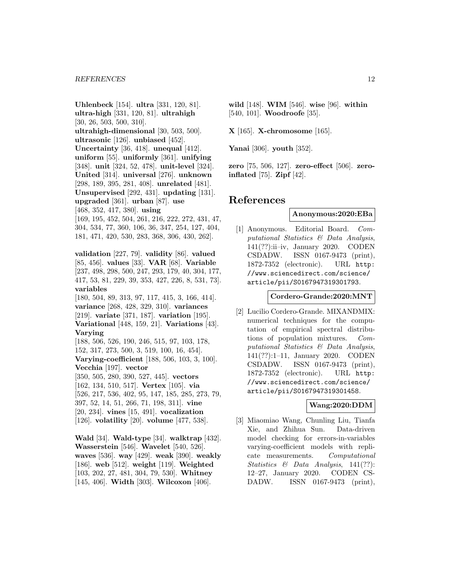**Uhlenbeck** [154]. **ultra** [331, 120, 81]. **ultra-high** [331, 120, 81]. **ultrahigh** [30, 26, 503, 500, 310]. **ultrahigh-dimensional** [30, 503, 500]. **ultrasonic** [126]. **unbiased** [452]. **Uncertainty** [36, 418]. **unequal** [412]. **uniform** [55]. **uniformly** [361]. **unifying** [348]. **unit** [324, 52, 478]. **unit-level** [324]. **United** [314]. **universal** [276]. **unknown** [298, 189, 395, 281, 408]. **unrelated** [481]. **Unsupervised** [292, 431]. **updating** [131]. **upgraded** [361]. **urban** [87]. **use** [468, 352, 417, 380]. **using** [169, 195, 452, 504, 261, 216, 222, 272, 431, 47, 304, 534, 77, 360, 106, 36, 347, 254, 127, 404, 181, 471, 420, 530, 283, 368, 306, 430, 262]. **validation** [227, 79]. **validity** [86]. **valued** [85, 456]. **values** [33]. **VAR** [68]. **Variable** [237, 498, 298, 500, 247, 293, 179, 40, 304, 177, 417, 53, 81, 229, 39, 353, 427, 226, 8, 531, 73]. **variables** [180, 504, 89, 313, 97, 117, 415, 3, 166, 414]. **variance** [268, 428, 329, 310]. **variances** [219]. **variate** [371, 187]. **variation** [195]. **Variational** [448, 159, 21]. **Variations** [43]. **Varying** [188, 506, 526, 190, 246, 515, 97, 103, 178, 152, 317, 273, 500, 3, 519, 100, 16, 454]. **Varying-coefficient** [188, 506, 103, 3, 100]. **Vecchia** [197]. **vector** [350, 505, 280, 390, 527, 445]. **vectors** [162, 134, 510, 517]. **Vertex** [105]. **via** [526, 217, 536, 402, 95, 147, 185, 285, 273, 79, 397, 52, 14, 51, 266, 71, 198, 311]. **vine** [20, 234]. **vines** [15, 491]. **vocalization** [126]. **volatility** [20]. **volume** [477, 538].

**Wald** [34]. **Wald-type** [34]. **walktrap** [432]. **Wasserstein** [546]. **Wavelet** [540, 526]. **waves** [536]. **way** [429]. **weak** [390]. **weakly** [186]. **web** [512]. **weight** [119]. **Weighted** [103, 202, 27, 481, 304, 79, 530]. **Whitney** [145, 406]. **Width** [303]. **Wilcoxon** [406].

**wild** [148]. **WIM** [546]. **wise** [96]. **within** [540, 101]. **Woodroofe** [35].

**X** [165]. **X-chromosome** [165].

**Yanai** [306]. **youth** [352].

**zero** [75, 506, 127]. **zero-effect** [506]. **zeroinflated** [75]. **Zipf** [42].

# **References**

#### **Anonymous:2020:EBa**

[1] Anonymous. Editorial Board. Computational Statistics & Data Analysis, 141(??):ii–iv, January 2020. CODEN CSDADW. ISSN 0167-9473 (print), 1872-7352 (electronic). URL http: //www.sciencedirect.com/science/ article/pii/S0167947319301793.

#### **Cordero-Grande:2020:MNT**

[2] Lucilio Cordero-Grande. MIXANDMIX: numerical techniques for the computation of empirical spectral distributions of population mixtures. Computational Statistics & Data Analysis, 141(??):1–11, January 2020. CODEN CSDADW. ISSN 0167-9473 (print), 1872-7352 (electronic). URL http: //www.sciencedirect.com/science/ article/pii/S0167947319301458.

# **Wang:2020:DDM**

[3] Miaomiao Wang, Chunling Liu, Tianfa Xie, and Zhihua Sun. Data-driven model checking for errors-in-variables varying-coefficient models with replicate measurements. Computational Statistics & Data Analysis, 141(??): 12–27, January 2020. CODEN CS-DADW. ISSN 0167-9473 (print),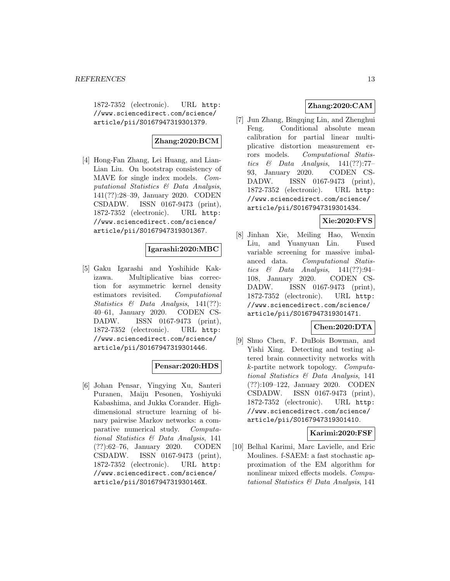1872-7352 (electronic). URL http: //www.sciencedirect.com/science/ article/pii/S0167947319301379.

# **Zhang:2020:BCM**

[4] Hong-Fan Zhang, Lei Huang, and Lian-Lian Liu. On bootstrap consistency of MAVE for single index models. Computational Statistics & Data Analysis, 141(??):28–39, January 2020. CODEN CSDADW. ISSN 0167-9473 (print), 1872-7352 (electronic). URL http: //www.sciencedirect.com/science/ article/pii/S0167947319301367.

# **Igarashi:2020:MBC**

[5] Gaku Igarashi and Yoshihide Kakizawa. Multiplicative bias correction for asymmetric kernel density estimators revisited. Computational Statistics  $\&$  Data Analysis, 141(??): 40–61, January 2020. CODEN CS-DADW. ISSN 0167-9473 (print), 1872-7352 (electronic). URL http: //www.sciencedirect.com/science/ article/pii/S0167947319301446.

# **Pensar:2020:HDS**

[6] Johan Pensar, Yingying Xu, Santeri Puranen, Maiju Pesonen, Yoshiyuki Kabashima, and Jukka Corander. Highdimensional structure learning of binary pairwise Markov networks: a comparative numerical study. Computational Statistics & Data Analysis, 141 (??):62–76, January 2020. CODEN CSDADW. ISSN 0167-9473 (print), 1872-7352 (electronic). URL http: //www.sciencedirect.com/science/ article/pii/S016794731930146X.

# **Zhang:2020:CAM**

[7] Jun Zhang, Bingqing Lin, and Zhenghui Feng. Conditional absolute mean calibration for partial linear multiplicative distortion measurement errors models. Computational Statistics  $\&$  Data Analysis, 141(??):77-93, January 2020. CODEN CS-DADW. ISSN 0167-9473 (print), 1872-7352 (electronic). URL http: //www.sciencedirect.com/science/ article/pii/S0167947319301434.

# **Xie:2020:FVS**

[8] Jinhan Xie, Meiling Hao, Wenxin Liu, and Yuanyuan Lin. Fused variable screening for massive imbalanced data. Computational Statistics & Data Analysis,  $141(??):94-$ 108, January 2020. CODEN CS-DADW. ISSN 0167-9473 (print), 1872-7352 (electronic). URL http: //www.sciencedirect.com/science/ article/pii/S0167947319301471.

# **Chen:2020:DTA**

[9] Shuo Chen, F. DuBois Bowman, and Yishi Xing. Detecting and testing altered brain connectivity networks with k-partite network topology. Computational Statistics & Data Analysis, 141 (??):109–122, January 2020. CODEN CSDADW. ISSN 0167-9473 (print), 1872-7352 (electronic). URL http: //www.sciencedirect.com/science/ article/pii/S0167947319301410.

#### **Karimi:2020:FSF**

[10] Belhal Karimi, Marc Lavielle, and Eric Moulines. f-SAEM: a fast stochastic approximation of the EM algorithm for nonlinear mixed effects models. Computational Statistics & Data Analysis, 141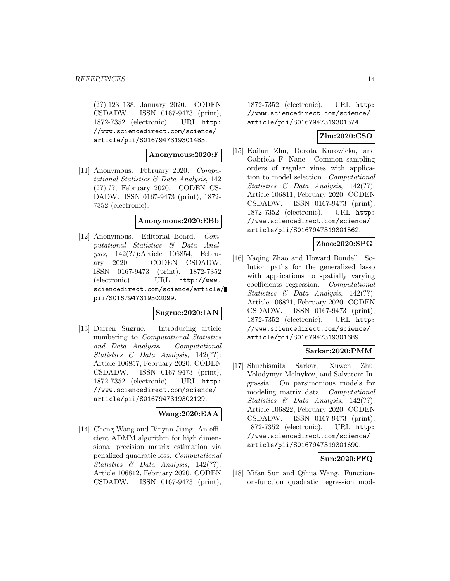(??):123–138, January 2020. CODEN CSDADW. ISSN 0167-9473 (print), 1872-7352 (electronic). URL http: //www.sciencedirect.com/science/ article/pii/S0167947319301483.

#### **Anonymous:2020:F**

[11] Anonymous. February 2020. Computational Statistics & Data Analysis, 142 (??):??, February 2020. CODEN CS-DADW. ISSN 0167-9473 (print), 1872- 7352 (electronic).

#### **Anonymous:2020:EBb**

[12] Anonymous. Editorial Board. Computational Statistics & Data Analysis, 142(??):Article 106854, February 2020. CODEN CSDADW. ISSN 0167-9473 (print), 1872-7352 (electronic). URL http://www. sciencedirect.com/science/article/ pii/S0167947319302099.

#### **Sugrue:2020:IAN**

[13] Darren Sugrue. Introducing article numbering to Computational Statistics and Data Analysis. Computational Statistics & Data Analysis, 142(??): Article 106857, February 2020. CODEN CSDADW. ISSN 0167-9473 (print), 1872-7352 (electronic). URL http: //www.sciencedirect.com/science/ article/pii/S0167947319302129.

# **Wang:2020:EAA**

[14] Cheng Wang and Binyan Jiang. An efficient ADMM algorithm for high dimensional precision matrix estimation via penalized quadratic loss. Computational Statistics & Data Analysis, 142(??): Article 106812, February 2020. CODEN CSDADW. ISSN 0167-9473 (print),

1872-7352 (electronic). URL http: //www.sciencedirect.com/science/ article/pii/S0167947319301574.

### **Zhu:2020:CSO**

[15] Kailun Zhu, Dorota Kurowicka, and Gabriela F. Nane. Common sampling orders of regular vines with application to model selection. Computational Statistics & Data Analysis, 142(??): Article 106811, February 2020. CODEN CSDADW. ISSN 0167-9473 (print), 1872-7352 (electronic). URL http: //www.sciencedirect.com/science/ article/pii/S0167947319301562.

### **Zhao:2020:SPG**

[16] Yaqing Zhao and Howard Bondell. Solution paths for the generalized lasso with applications to spatially varying coefficients regression. Computational Statistics & Data Analysis, 142(??): Article 106821, February 2020. CODEN CSDADW. ISSN 0167-9473 (print), 1872-7352 (electronic). URL http: //www.sciencedirect.com/science/ article/pii/S0167947319301689.

### **Sarkar:2020:PMM**

[17] Shuchismita Sarkar, Xuwen Zhu, Volodymyr Melnykov, and Salvatore Ingrassia. On parsimonious models for modeling matrix data. Computational Statistics & Data Analysis, 142(??): Article 106822, February 2020. CODEN CSDADW. ISSN 0167-9473 (print), 1872-7352 (electronic). URL http: //www.sciencedirect.com/science/ article/pii/S0167947319301690.

#### **Sun:2020:FFQ**

[18] Yifan Sun and Qihua Wang. Functionon-function quadratic regression mod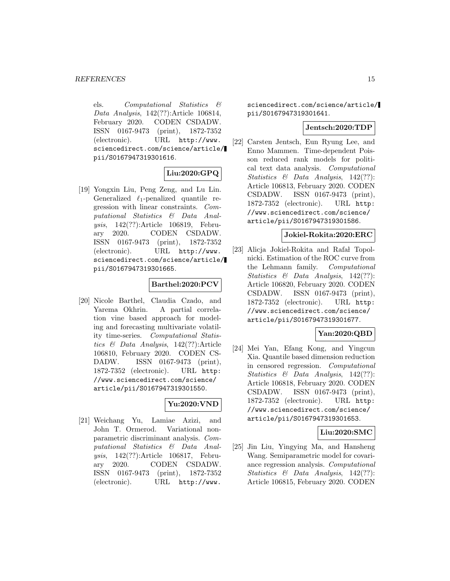els. Computational Statistics & Data Analysis, 142(??):Article 106814, February 2020. CODEN CSDADW. ISSN 0167-9473 (print), 1872-7352 (electronic). URL http://www. sciencedirect.com/science/article/ pii/S0167947319301616.

# **Liu:2020:GPQ**

[19] Yongxin Liu, Peng Zeng, and Lu Lin. Generalized  $\ell_1$ -penalized quantile regression with linear constraints. Computational Statistics & Data Analysis, 142(??):Article 106819, February 2020. CODEN CSDADW. ISSN 0167-9473 (print), 1872-7352 (electronic). URL http://www. sciencedirect.com/science/article/ pii/S0167947319301665.

#### **Barthel:2020:PCV**

[20] Nicole Barthel, Claudia Czado, and Yarema Okhrin. A partial correlation vine based approach for modeling and forecasting multivariate volatility time-series. Computational Statistics & Data Analysis, 142(??):Article 106810, February 2020. CODEN CS-DADW. ISSN 0167-9473 (print), 1872-7352 (electronic). URL http: //www.sciencedirect.com/science/ article/pii/S0167947319301550.

# **Yu:2020:VND**

[21] Weichang Yu, Lamiae Azizi, and John T. Ormerod. Variational nonparametric discriminant analysis. Computational Statistics & Data Analysis, 142(??):Article 106817, February 2020. CODEN CSDADW. ISSN 0167-9473 (print), 1872-7352 (electronic). URL http://www.

sciencedirect.com/science/article/ pii/S0167947319301641.

#### **Jentsch:2020:TDP**

[22] Carsten Jentsch, Eun Ryung Lee, and Enno Mammen. Time-dependent Poisson reduced rank models for political text data analysis. Computational Statistics & Data Analysis, 142(??): Article 106813, February 2020. CODEN CSDADW. ISSN 0167-9473 (print), 1872-7352 (electronic). URL http: //www.sciencedirect.com/science/ article/pii/S0167947319301586.

### **Jokiel-Rokita:2020:ERC**

[23] Alicja Jokiel-Rokita and Rafał Topolnicki. Estimation of the ROC curve from the Lehmann family. Computational Statistics & Data Analysis, 142(??): Article 106820, February 2020. CODEN CSDADW. ISSN 0167-9473 (print), 1872-7352 (electronic). URL http: //www.sciencedirect.com/science/ article/pii/S0167947319301677.

### **Yan:2020:QBD**

[24] Mei Yan, Efang Kong, and Yingcun Xia. Quantile based dimension reduction in censored regression. Computational Statistics & Data Analysis, 142(??): Article 106818, February 2020. CODEN CSDADW. ISSN 0167-9473 (print), 1872-7352 (electronic). URL http: //www.sciencedirect.com/science/ article/pii/S0167947319301653.

#### **Liu:2020:SMC**

[25] Jin Liu, Yingying Ma, and Hansheng Wang. Semiparametric model for covariance regression analysis. Computational Statistics & Data Analysis, 142(??): Article 106815, February 2020. CODEN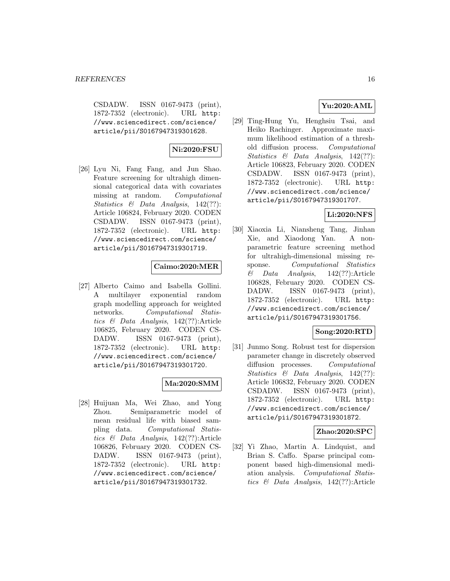CSDADW. ISSN 0167-9473 (print), 1872-7352 (electronic). URL http: //www.sciencedirect.com/science/ article/pii/S0167947319301628.

# **Ni:2020:FSU**

[26] Lyu Ni, Fang Fang, and Jun Shao. Feature screening for ultrahigh dimensional categorical data with covariates missing at random. Computational Statistics & Data Analysis, 142(??): Article 106824, February 2020. CODEN CSDADW. ISSN 0167-9473 (print), 1872-7352 (electronic). URL http: //www.sciencedirect.com/science/ article/pii/S0167947319301719.

# **Caimo:2020:MER**

[27] Alberto Caimo and Isabella Gollini. A multilayer exponential random graph modelling approach for weighted networks. Computational Statistics & Data Analysis, 142(??):Article 106825, February 2020. CODEN CS-DADW. ISSN 0167-9473 (print), 1872-7352 (electronic). URL http: //www.sciencedirect.com/science/ article/pii/S0167947319301720.

# **Ma:2020:SMM**

[28] Huijuan Ma, Wei Zhao, and Yong Zhou. Semiparametric model of mean residual life with biased sampling data. Computational Statistics & Data Analysis, 142(??):Article 106826, February 2020. CODEN CS-DADW. ISSN 0167-9473 (print), 1872-7352 (electronic). URL http: //www.sciencedirect.com/science/ article/pii/S0167947319301732.

# **Yu:2020:AML**

[29] Ting-Hung Yu, Henghsiu Tsai, and Heiko Rachinger. Approximate maximum likelihood estimation of a threshold diffusion process. Computational Statistics & Data Analysis, 142(??): Article 106823, February 2020. CODEN CSDADW. ISSN 0167-9473 (print), 1872-7352 (electronic). URL http: //www.sciencedirect.com/science/ article/pii/S0167947319301707.

# **Li:2020:NFS**

[30] Xiaoxia Li, Niansheng Tang, Jinhan Xie, and Xiaodong Yan. A nonparametric feature screening method for ultrahigh-dimensional missing response. Computational Statistics  $\&$  Data Analysis, 142(??):Article 106828, February 2020. CODEN CS-DADW. ISSN 0167-9473 (print), 1872-7352 (electronic). URL http: //www.sciencedirect.com/science/ article/pii/S0167947319301756.

### **Song:2020:RTD**

[31] Junmo Song. Robust test for dispersion parameter change in discretely observed diffusion processes. Computational Statistics & Data Analysis, 142(??): Article 106832, February 2020. CODEN CSDADW. ISSN 0167-9473 (print), 1872-7352 (electronic). URL http: //www.sciencedirect.com/science/ article/pii/S0167947319301872.

# **Zhao:2020:SPC**

[32] Yi Zhao, Martin A. Lindquist, and Brian S. Caffo. Sparse principal component based high-dimensional mediation analysis. Computational Statistics & Data Analysis, 142(??):Article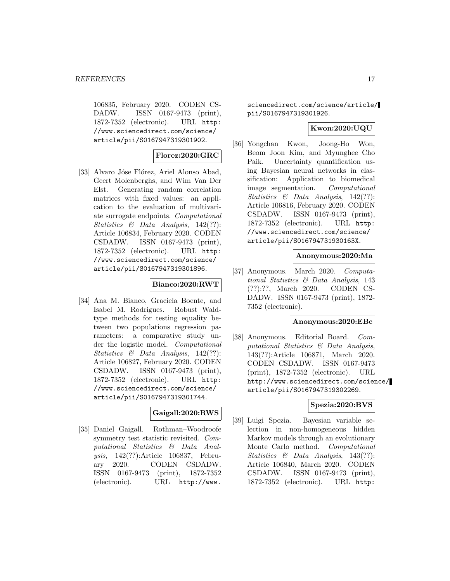106835, February 2020. CODEN CS-DADW. ISSN 0167-9473 (print), 1872-7352 (electronic). URL http: //www.sciencedirect.com/science/ article/pii/S0167947319301902.

### **Florez:2020:GRC**

[33] Alvaro Jóse Flórez, Ariel Alonso Abad, Geert Molenberghs, and Wim Van Der Elst. Generating random correlation matrices with fixed values: an application to the evaluation of multivariate surrogate endpoints. Computational Statistics & Data Analysis, 142(??): Article 106834, February 2020. CODEN CSDADW. ISSN 0167-9473 (print), 1872-7352 (electronic). URL http: //www.sciencedirect.com/science/ article/pii/S0167947319301896.

### **Bianco:2020:RWT**

[34] Ana M. Bianco, Graciela Boente, and Isabel M. Rodrigues. Robust Waldtype methods for testing equality between two populations regression parameters: a comparative study under the logistic model. Computational Statistics & Data Analysis, 142(??): Article 106827, February 2020. CODEN CSDADW. ISSN 0167-9473 (print), 1872-7352 (electronic). URL http: //www.sciencedirect.com/science/ article/pii/S0167947319301744.

### **Gaigall:2020:RWS**

[35] Daniel Gaigall. Rothman–Woodroofe symmetry test statistic revisited. Computational Statistics & Data Analysis, 142(??):Article 106837, February 2020. CODEN CSDADW. ISSN 0167-9473 (print), 1872-7352 (electronic). URL http://www.

sciencedirect.com/science/article/ pii/S0167947319301926.

### **Kwon:2020:UQU**

[36] Yongchan Kwon, Joong-Ho Won, Beom Joon Kim, and Myunghee Cho Paik. Uncertainty quantification using Bayesian neural networks in classification: Application to biomedical image segmentation. Computational Statistics & Data Analysis, 142(??): Article 106816, February 2020. CODEN CSDADW. ISSN 0167-9473 (print), 1872-7352 (electronic). URL http: //www.sciencedirect.com/science/ article/pii/S016794731930163X.

### **Anonymous:2020:Ma**

[37] Anonymous. March 2020. Computational Statistics & Data Analysis, 143 (??):??, March 2020. CODEN CS-DADW. ISSN 0167-9473 (print), 1872- 7352 (electronic).

#### **Anonymous:2020:EBc**

[38] Anonymous. Editorial Board. Computational Statistics & Data Analysis, 143(??):Article 106871, March 2020. CODEN CSDADW. ISSN 0167-9473 (print), 1872-7352 (electronic). URL http://www.sciencedirect.com/science/ article/pii/S0167947319302269.

#### **Spezia:2020:BVS**

[39] Luigi Spezia. Bayesian variable selection in non-homogeneous hidden Markov models through an evolutionary Monte Carlo method. Computational Statistics & Data Analysis, 143(??): Article 106840, March 2020. CODEN CSDADW. ISSN 0167-9473 (print), 1872-7352 (electronic). URL http: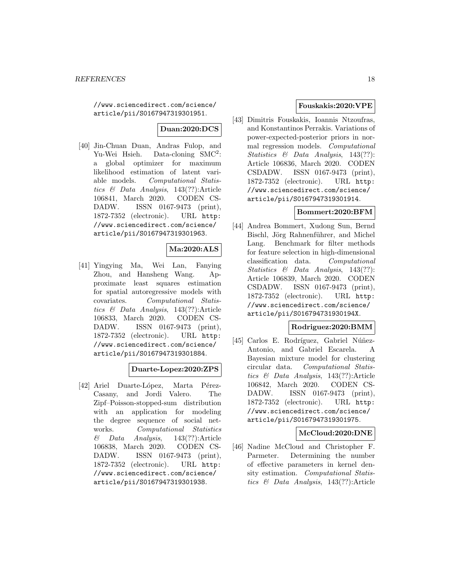//www.sciencedirect.com/science/ article/pii/S0167947319301951.

# **Duan:2020:DCS**

[40] Jin-Chuan Duan, Andras Fulop, and Yu-Wei Hsieh. Data-cloning SMC<sup>2</sup>: a global optimizer for maximum likelihood estimation of latent variable models. Computational Statistics & Data Analysis, 143(??):Article 106841, March 2020. CODEN CS-DADW. ISSN 0167-9473 (print), 1872-7352 (electronic). URL http: //www.sciencedirect.com/science/ article/pii/S0167947319301963.

### **Ma:2020:ALS**

[41] Yingying Ma, Wei Lan, Fanying Zhou, and Hansheng Wang. Approximate least squares estimation for spatial autoregressive models with covariates. Computational Statistics & Data Analysis, 143(??):Article 106833, March 2020. CODEN CS-DADW. ISSN 0167-9473 (print), 1872-7352 (electronic). URL http: //www.sciencedirect.com/science/ article/pii/S0167947319301884.

### **Duarte-Lopez:2020:ZPS**

[42] Ariel Duarte-López, Marta Pérez-Casany, and Jordi Valero. The Zipf–Poisson-stopped-sum distribution with an application for modeling the degree sequence of social networks. Computational Statistics  $\&$  Data Analysis, 143(??):Article 106838, March 2020. CODEN CS-DADW. ISSN 0167-9473 (print), 1872-7352 (electronic). URL http: //www.sciencedirect.com/science/ article/pii/S0167947319301938.

### **Fouskakis:2020:VPE**

[43] Dimitris Fouskakis, Ioannis Ntzoufras, and Konstantinos Perrakis. Variations of power-expected-posterior priors in normal regression models. Computational Statistics & Data Analysis, 143(??): Article 106836, March 2020. CODEN CSDADW. ISSN 0167-9473 (print), 1872-7352 (electronic). URL http: //www.sciencedirect.com/science/ article/pii/S0167947319301914.

#### **Bommert:2020:BFM**

[44] Andrea Bommert, Xudong Sun, Bernd Bischl, Jörg Rahnenführer, and Michel Lang. Benchmark for filter methods for feature selection in high-dimensional classification data. Computational Statistics & Data Analysis, 143(??): Article 106839, March 2020. CODEN CSDADW. ISSN 0167-9473 (print), 1872-7352 (electronic). URL http: //www.sciencedirect.com/science/ article/pii/S016794731930194X.

# **Rodriguez:2020:BMM**

[45] Carlos E. Rodríguez, Gabriel Núñez-Antonio, and Gabriel Escarela. A Bayesian mixture model for clustering circular data. Computational Statistics & Data Analysis, 143(??):Article 106842, March 2020. CODEN CS-DADW. ISSN 0167-9473 (print), 1872-7352 (electronic). URL http: //www.sciencedirect.com/science/ article/pii/S0167947319301975.

#### **McCloud:2020:DNE**

[46] Nadine McCloud and Christopher F. Parmeter. Determining the number of effective parameters in kernel density estimation. Computational Statistics & Data Analysis, 143(??):Article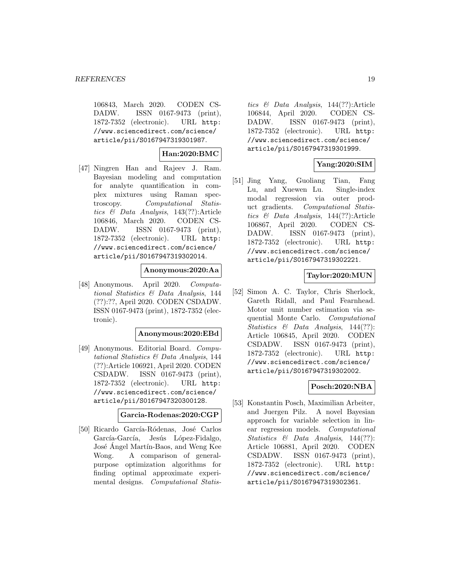106843, March 2020. CODEN CS-DADW. ISSN 0167-9473 (print), 1872-7352 (electronic). URL http: //www.sciencedirect.com/science/ article/pii/S0167947319301987.

# **Han:2020:BMC**

[47] Ningren Han and Rajeev J. Ram. Bayesian modeling and computation for analyte quantification in complex mixtures using Raman spectroscopy. Computational Statistics & Data Analysis, 143(??):Article 106846, March 2020. CODEN CS-DADW. ISSN 0167-9473 (print), 1872-7352 (electronic). URL http: //www.sciencedirect.com/science/ article/pii/S0167947319302014.

#### **Anonymous:2020:Aa**

[48] Anonymous. April 2020. Computational Statistics & Data Analysis, 144 (??):??, April 2020. CODEN CSDADW. ISSN 0167-9473 (print), 1872-7352 (electronic).

#### **Anonymous:2020:EBd**

[49] Anonymous. Editorial Board. Computational Statistics & Data Analysis, 144 (??):Article 106921, April 2020. CODEN CSDADW. ISSN 0167-9473 (print), 1872-7352 (electronic). URL http: //www.sciencedirect.com/science/ article/pii/S0167947320300128.

### **Garcia-Rodenas:2020:CGP**

[50] Ricardo García-Ródenas, José Carlos García-García, Jesús López-Fidalgo, José Ángel Martín-Baos, and Weng Kee Wong. A comparison of generalpurpose optimization algorithms for finding optimal approximate experimental designs. Computational Statistics & Data Analysis, 144(??):Article 106844, April 2020. CODEN CS-DADW. ISSN 0167-9473 (print), 1872-7352 (electronic). URL http: //www.sciencedirect.com/science/ article/pii/S0167947319301999.

# **Yang:2020:SIM**

[51] Jing Yang, Guoliang Tian, Fang Lu, and Xuewen Lu. Single-index modal regression via outer product gradients. Computational Statistics & Data Analysis, 144(??):Article 106867, April 2020. CODEN CS-DADW. ISSN 0167-9473 (print), 1872-7352 (electronic). URL http: //www.sciencedirect.com/science/ article/pii/S0167947319302221.

### **Taylor:2020:MUN**

[52] Simon A. C. Taylor, Chris Sherlock, Gareth Ridall, and Paul Fearnhead. Motor unit number estimation via sequential Monte Carlo. Computational Statistics & Data Analysis, 144(??): Article 106845, April 2020. CODEN CSDADW. ISSN 0167-9473 (print), 1872-7352 (electronic). URL http: //www.sciencedirect.com/science/ article/pii/S0167947319302002.

#### **Posch:2020:NBA**

[53] Konstantin Posch, Maximilian Arbeiter, and Juergen Pilz. A novel Bayesian approach for variable selection in linear regression models. Computational Statistics & Data Analysis, 144(??): Article 106881, April 2020. CODEN CSDADW. ISSN 0167-9473 (print), 1872-7352 (electronic). URL http: //www.sciencedirect.com/science/ article/pii/S0167947319302361.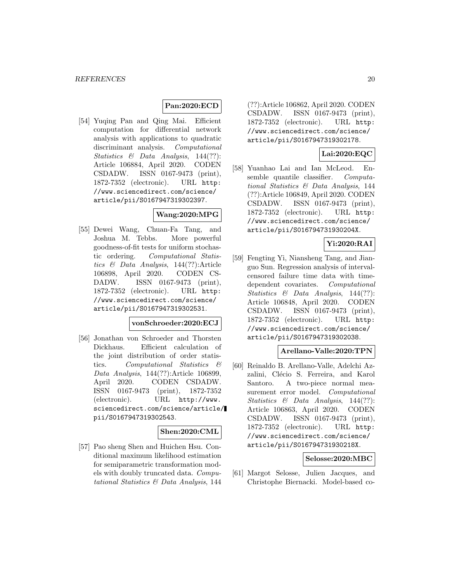### **Pan:2020:ECD**

[54] Yuqing Pan and Qing Mai. Efficient computation for differential network analysis with applications to quadratic discriminant analysis. Computational Statistics & Data Analysis, 144(??): Article 106884, April 2020. CODEN CSDADW. ISSN 0167-9473 (print), 1872-7352 (electronic). URL http: //www.sciencedirect.com/science/ article/pii/S0167947319302397.

### **Wang:2020:MPG**

[55] Dewei Wang, Chuan-Fa Tang, and Joshua M. Tebbs. More powerful goodness-of-fit tests for uniform stochastic ordering. Computational Statistics & Data Analysis, 144(??):Article 106898, April 2020. CODEN CS-DADW. ISSN 0167-9473 (print), 1872-7352 (electronic). URL http: //www.sciencedirect.com/science/ article/pii/S0167947319302531.

#### **vonSchroeder:2020:ECJ**

[56] Jonathan von Schroeder and Thorsten Dickhaus. Efficient calculation of the joint distribution of order statistics. Computational Statistics & Data Analysis, 144(??):Article 106899, April 2020. CODEN CSDADW. ISSN 0167-9473 (print), 1872-7352 (electronic). URL http://www. sciencedirect.com/science/article/ pii/S0167947319302543.

### **Shen:2020:CML**

[57] Pao sheng Shen and Huichen Hsu. Conditional maximum likelihood estimation for semiparametric transformation models with doubly truncated data. Computational Statistics & Data Analysis, 144

(??):Article 106862, April 2020. CODEN CSDADW. ISSN 0167-9473 (print), 1872-7352 (electronic). URL http: //www.sciencedirect.com/science/ article/pii/S0167947319302178.

### **Lai:2020:EQC**

[58] Yuanhao Lai and Ian McLeod. Ensemble quantile classifier. Computational Statistics & Data Analysis, 144 (??):Article 106849, April 2020. CODEN CSDADW. ISSN 0167-9473 (print), 1872-7352 (electronic). URL http: //www.sciencedirect.com/science/ article/pii/S016794731930204X.

### **Yi:2020:RAI**

[59] Fengting Yi, Niansheng Tang, and Jianguo Sun. Regression analysis of intervalcensored failure time data with timedependent covariates. Computational Statistics & Data Analysis, 144(??): Article 106848, April 2020. CODEN CSDADW. ISSN 0167-9473 (print), 1872-7352 (electronic). URL http: //www.sciencedirect.com/science/ article/pii/S0167947319302038.

### **Arellano-Valle:2020:TPN**

[60] Reinaldo B. Arellano-Valle, Adelchi Azzalini, Clécio S. Ferreira, and Karol Santoro. A two-piece normal measurement error model. Computational Statistics & Data Analysis, 144(??): Article 106863, April 2020. CODEN CSDADW. ISSN 0167-9473 (print), 1872-7352 (electronic). URL http: //www.sciencedirect.com/science/ article/pii/S016794731930218X.

#### **Selosse:2020:MBC**

[61] Margot Selosse, Julien Jacques, and Christophe Biernacki. Model-based co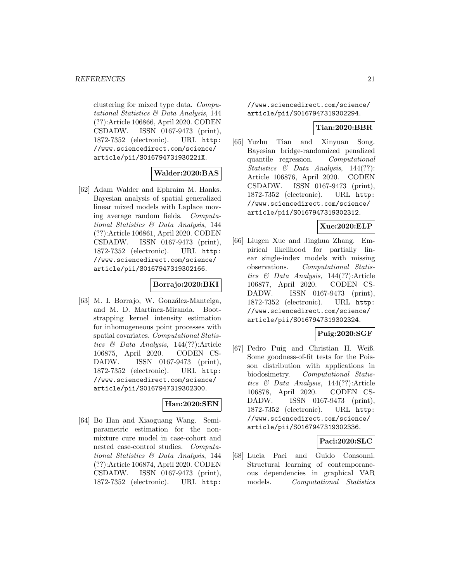clustering for mixed type data. Computational Statistics & Data Analysis, 144 (??):Article 106866, April 2020. CODEN CSDADW. ISSN 0167-9473 (print), 1872-7352 (electronic). URL http: //www.sciencedirect.com/science/ article/pii/S016794731930221X.

#### **Walder:2020:BAS**

[62] Adam Walder and Ephraim M. Hanks. Bayesian analysis of spatial generalized linear mixed models with Laplace moving average random fields. Computational Statistics & Data Analysis, 144 (??):Article 106861, April 2020. CODEN CSDADW. ISSN 0167-9473 (print), 1872-7352 (electronic). URL http: //www.sciencedirect.com/science/ article/pii/S0167947319302166.

# **Borrajo:2020:BKI**

[63] M. I. Borrajo, W. González-Manteiga, and M. D. Martínez-Miranda. Bootstrapping kernel intensity estimation for inhomogeneous point processes with spatial covariates. Computational Statistics & Data Analysis, 144(??):Article 106875, April 2020. CODEN CS-DADW. ISSN 0167-9473 (print), 1872-7352 (electronic). URL http: //www.sciencedirect.com/science/ article/pii/S0167947319302300.

# **Han:2020:SEN**

[64] Bo Han and Xiaoguang Wang. Semiparametric estimation for the nonmixture cure model in case-cohort and nested case-control studies. Computational Statistics & Data Analysis, 144 (??):Article 106874, April 2020. CODEN CSDADW. ISSN 0167-9473 (print), 1872-7352 (electronic). URL http:

//www.sciencedirect.com/science/ article/pii/S0167947319302294.

#### **Tian:2020:BBR**

[65] Yuzhu Tian and Xinyuan Song. Bayesian bridge-randomized penalized quantile regression. Computational Statistics & Data Analysis, 144(??): Article 106876, April 2020. CODEN CSDADW. ISSN 0167-9473 (print), 1872-7352 (electronic). URL http: //www.sciencedirect.com/science/ article/pii/S0167947319302312.

#### **Xue:2020:ELP**

[66] Liugen Xue and Jinghua Zhang. Empirical likelihood for partially linear single-index models with missing observations. Computational Statistics & Data Analysis, 144(??):Article 106877, April 2020. CODEN CS-DADW. ISSN 0167-9473 (print), 1872-7352 (electronic). URL http: //www.sciencedirect.com/science/ article/pii/S0167947319302324.

### **Puig:2020:SGF**

[67] Pedro Puig and Christian H. Weiß. Some goodness-of-fit tests for the Poisson distribution with applications in biodosimetry. Computational Statistics & Data Analysis, 144(??):Article 106878, April 2020. CODEN CS-DADW. ISSN 0167-9473 (print), 1872-7352 (electronic). URL http: //www.sciencedirect.com/science/ article/pii/S0167947319302336.

#### **Paci:2020:SLC**

[68] Lucia Paci and Guido Consonni. Structural learning of contemporaneous dependencies in graphical VAR models. Computational Statistics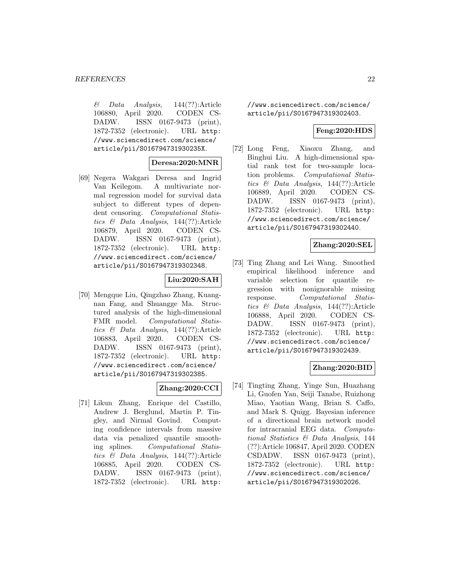$\&$  Data Analysis, 144(??):Article 106880, April 2020. CODEN CS-DADW. ISSN 0167-9473 (print), 1872-7352 (electronic). URL http: //www.sciencedirect.com/science/ article/pii/S016794731930235X.

#### **Deresa:2020:MNR**

[69] Negera Wakgari Deresa and Ingrid Van Keilegom. A multivariate normal regression model for survival data subject to different types of dependent censoring. Computational Statistics & Data Analysis, 144(??):Article 106879, April 2020. CODEN CS-DADW. ISSN 0167-9473 (print), 1872-7352 (electronic). URL http: //www.sciencedirect.com/science/ article/pii/S0167947319302348.

# **Liu:2020:SAH**

[70] Mengque Liu, Qingzhao Zhang, Kuangnan Fang, and Shuangge Ma. Structured analysis of the high-dimensional FMR model. *Computational Statis*tics & Data Analysis, 144(??):Article 106883, April 2020. CODEN CS-DADW. ISSN 0167-9473 (print), 1872-7352 (electronic). URL http: //www.sciencedirect.com/science/ article/pii/S0167947319302385.

#### **Zhang:2020:CCI**

[71] Likun Zhang, Enrique del Castillo, Andrew J. Berglund, Martin P. Tingley, and Nirmal Govind. Computing confidence intervals from massive data via penalized quantile smoothing splines. Computational Statistics & Data Analysis, 144(??):Article 106885, April 2020. CODEN CS-DADW. ISSN 0167-9473 (print), 1872-7352 (electronic). URL http:

//www.sciencedirect.com/science/ article/pii/S0167947319302403.

### **Feng:2020:HDS**

[72] Long Feng, Xiaoxu Zhang, and Binghui Liu. A high-dimensional spatial rank test for two-sample location problems. Computational Statistics & Data Analysis, 144(??):Article 106889, April 2020. CODEN CS-DADW. ISSN 0167-9473 (print), 1872-7352 (electronic). URL http: //www.sciencedirect.com/science/ article/pii/S0167947319302440.

### **Zhang:2020:SEL**

[73] Ting Zhang and Lei Wang. Smoothed empirical likelihood inference and variable selection for quantile regression with nonignorable missing response. Computational Statistics & Data Analysis, 144(??):Article 106888, April 2020. CODEN CS-DADW. ISSN 0167-9473 (print), 1872-7352 (electronic). URL http: //www.sciencedirect.com/science/ article/pii/S0167947319302439.

#### **Zhang:2020:BID**

[74] Tingting Zhang, Yinge Sun, Huazhang Li, Guofen Yan, Seiji Tanabe, Ruizhong Miao, Yaotian Wang, Brian S. Caffo, and Mark S. Quigg. Bayesian inference of a directional brain network model for intracranial EEG data. Computational Statistics & Data Analysis, 144 (??):Article 106847, April 2020. CODEN CSDADW. ISSN 0167-9473 (print), 1872-7352 (electronic). URL http: //www.sciencedirect.com/science/ article/pii/S0167947319302026.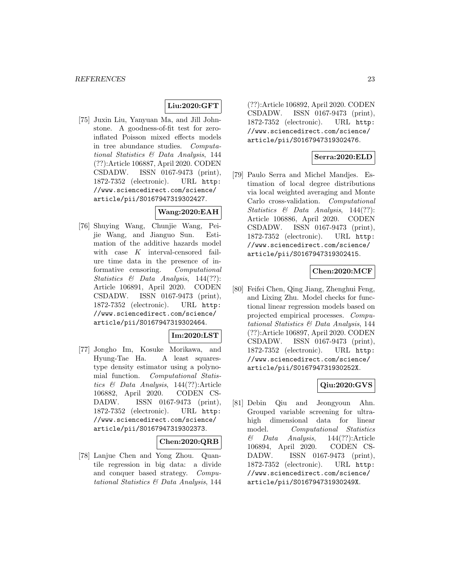# **Liu:2020:GFT**

[75] Juxin Liu, Yanyuan Ma, and Jill Johnstone. A goodness-of-fit test for zeroinflated Poisson mixed effects models in tree abundance studies. Computational Statistics & Data Analysis, 144 (??):Article 106887, April 2020. CODEN CSDADW. ISSN 0167-9473 (print), 1872-7352 (electronic). URL http: //www.sciencedirect.com/science/ article/pii/S0167947319302427.

# **Wang:2020:EAH**

[76] Shuying Wang, Chunjie Wang, Peijie Wang, and Jianguo Sun. Estimation of the additive hazards model with case  $K$  interval-censored failure time data in the presence of informative censoring. Computational Statistics & Data Analysis, 144(??): Article 106891, April 2020. CODEN CSDADW. ISSN 0167-9473 (print), 1872-7352 (electronic). URL http: //www.sciencedirect.com/science/ article/pii/S0167947319302464.

# **Im:2020:LST**

[77] Jongho Im, Kosuke Morikawa, and Hyung-Tae Ha. A least squarestype density estimator using a polynomial function. Computational Statistics & Data Analysis, 144(??):Article 106882, April 2020. CODEN CS-DADW. ISSN 0167-9473 (print), 1872-7352 (electronic). URL http: //www.sciencedirect.com/science/ article/pii/S0167947319302373.

#### **Chen:2020:QRB**

[78] Lanjue Chen and Yong Zhou. Quantile regression in big data: a divide and conquer based strategy. Computational Statistics & Data Analysis, 144

(??):Article 106892, April 2020. CODEN CSDADW. ISSN 0167-9473 (print), 1872-7352 (electronic). URL http: //www.sciencedirect.com/science/ article/pii/S0167947319302476.

# **Serra:2020:ELD**

[79] Paulo Serra and Michel Mandjes. Estimation of local degree distributions via local weighted averaging and Monte Carlo cross-validation. Computational Statistics & Data Analysis, 144(??): Article 106886, April 2020. CODEN CSDADW. ISSN 0167-9473 (print), 1872-7352 (electronic). URL http: //www.sciencedirect.com/science/ article/pii/S0167947319302415.

#### **Chen:2020:MCF**

[80] Feifei Chen, Qing Jiang, Zhenghui Feng, and Lixing Zhu. Model checks for functional linear regression models based on projected empirical processes. Computational Statistics & Data Analysis, 144 (??):Article 106897, April 2020. CODEN CSDADW. ISSN 0167-9473 (print), 1872-7352 (electronic). URL http: //www.sciencedirect.com/science/ article/pii/S016794731930252X.

# **Qiu:2020:GVS**

[81] Debin Qiu and Jeongyoun Ahn. Grouped variable screening for ultrahigh dimensional data for linear model. Computational Statistics  $\&$  Data Analysis, 144(??):Article 106894, April 2020. CODEN CS-DADW. ISSN 0167-9473 (print), 1872-7352 (electronic). URL http: //www.sciencedirect.com/science/ article/pii/S016794731930249X.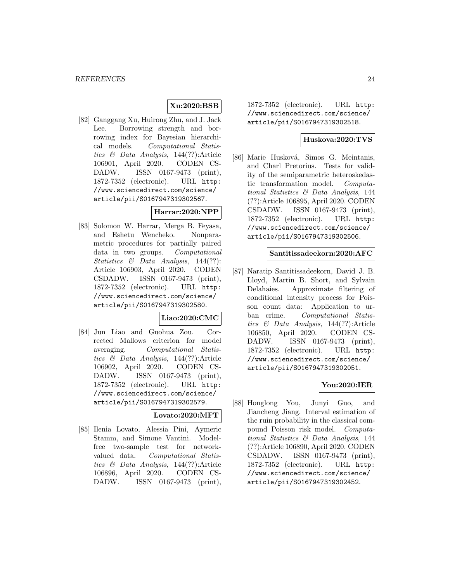# **Xu:2020:BSB**

[82] Ganggang Xu, Huirong Zhu, and J. Jack Lee. Borrowing strength and borrowing index for Bayesian hierarchical models. Computational Statistics & Data Analysis, 144(??):Article 106901, April 2020. CODEN CS-DADW. ISSN 0167-9473 (print), 1872-7352 (electronic). URL http: //www.sciencedirect.com/science/ article/pii/S0167947319302567.

### **Harrar:2020:NPP**

[83] Solomon W. Harrar, Merga B. Feyasa, and Eshetu Wencheko. Nonparametric procedures for partially paired data in two groups. Computational Statistics & Data Analysis, 144(??): Article 106903, April 2020. CODEN CSDADW. ISSN 0167-9473 (print), 1872-7352 (electronic). URL http: //www.sciencedirect.com/science/ article/pii/S0167947319302580.

#### **Liao:2020:CMC**

[84] Jun Liao and Guohua Zou. Corrected Mallows criterion for model averaging. Computational Statistics & Data Analysis, 144(??):Article 106902, April 2020. CODEN CS-DADW. ISSN 0167-9473 (print), 1872-7352 (electronic). URL http: //www.sciencedirect.com/science/ article/pii/S0167947319302579.

#### **Lovato:2020:MFT**

[85] Ilenia Lovato, Alessia Pini, Aymeric Stamm, and Simone Vantini. Modelfree two-sample test for networkvalued data. Computational Statistics & Data Analysis, 144(??):Article 106896, April 2020. CODEN CS-DADW. ISSN 0167-9473 (print),

1872-7352 (electronic). URL http: //www.sciencedirect.com/science/ article/pii/S0167947319302518.

### **Huskova:2020:TVS**

[86] Marie Husková, Simos G. Meintanis, and Charl Pretorius. Tests for validity of the semiparametric heteroskedastic transformation model. Computational Statistics & Data Analysis, 144 (??):Article 106895, April 2020. CODEN CSDADW. ISSN 0167-9473 (print), 1872-7352 (electronic). URL http: //www.sciencedirect.com/science/ article/pii/S0167947319302506.

#### **Santitissadeekorn:2020:AFC**

[87] Naratip Santitissadeekorn, David J. B. Lloyd, Martin B. Short, and Sylvain Delahaies. Approximate filtering of conditional intensity process for Poisson count data: Application to urban crime. Computational Statistics & Data Analysis, 144(??):Article 106850, April 2020. CODEN CS-DADW. ISSN 0167-9473 (print), 1872-7352 (electronic). URL http: //www.sciencedirect.com/science/ article/pii/S0167947319302051.

#### **You:2020:IER**

[88] Honglong You, Junyi Guo, and Jiancheng Jiang. Interval estimation of the ruin probability in the classical compound Poisson risk model. Computational Statistics & Data Analysis, 144 (??):Article 106890, April 2020. CODEN CSDADW. ISSN 0167-9473 (print), 1872-7352 (electronic). URL http: //www.sciencedirect.com/science/ article/pii/S0167947319302452.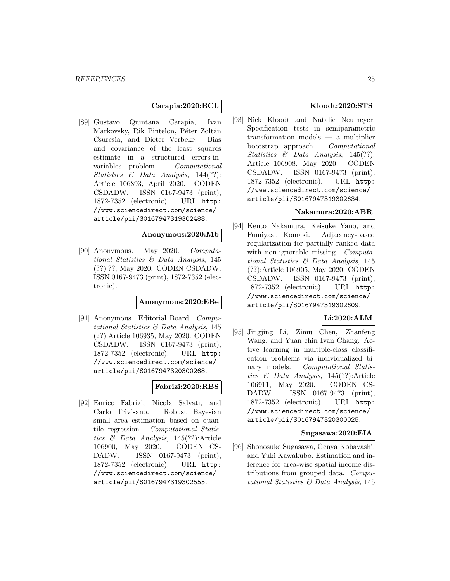#### **Carapia:2020:BCL**

[89] Gustavo Quintana Carapia, Ivan Markovsky, Rik Pintelon, Péter Zoltán Csurcsia, and Dieter Verbeke. Bias and covariance of the least squares estimate in a structured errors-invariables problem. Computational Statistics & Data Analysis, 144(??): Article 106893, April 2020. CODEN CSDADW. ISSN 0167-9473 (print), 1872-7352 (electronic). URL http: //www.sciencedirect.com/science/ article/pii/S0167947319302488.

#### **Anonymous:2020:Mb**

[90] Anonymous. May 2020. Computational Statistics & Data Analysis, 145 (??):??, May 2020. CODEN CSDADW. ISSN 0167-9473 (print), 1872-7352 (electronic).

#### **Anonymous:2020:EBe**

[91] Anonymous. Editorial Board. Computational Statistics & Data Analysis, 145 (??):Article 106935, May 2020. CODEN CSDADW. ISSN 0167-9473 (print), 1872-7352 (electronic). URL http: //www.sciencedirect.com/science/ article/pii/S0167947320300268.

# **Fabrizi:2020:RBS**

[92] Enrico Fabrizi, Nicola Salvati, and Carlo Trivisano. Robust Bayesian small area estimation based on quantile regression. Computational Statistics & Data Analysis, 145(??):Article 106900, May 2020. CODEN CS-DADW. ISSN 0167-9473 (print), 1872-7352 (electronic). URL http: //www.sciencedirect.com/science/ article/pii/S0167947319302555.

### **Kloodt:2020:STS**

[93] Nick Kloodt and Natalie Neumeyer. Specification tests in semiparametric transformation models — a multiplier bootstrap approach. Computational Statistics & Data Analysis, 145(??): Article 106908, May 2020. CODEN CSDADW. ISSN 0167-9473 (print), 1872-7352 (electronic). URL http: //www.sciencedirect.com/science/ article/pii/S0167947319302634.

#### **Nakamura:2020:ABR**

[94] Kento Nakamura, Keisuke Yano, and Fumiyasu Komaki. Adjacency-based regularization for partially ranked data with non-ignorable missing. Computational Statistics & Data Analysis, 145 (??):Article 106905, May 2020. CODEN CSDADW. ISSN 0167-9473 (print), 1872-7352 (electronic). URL http: //www.sciencedirect.com/science/ article/pii/S0167947319302609.

#### **Li:2020:ALM**

[95] Jingjing Li, Zimu Chen, Zhanfeng Wang, and Yuan chin Ivan Chang. Active learning in multiple-class classification problems via individualized binary models. Computational Statistics & Data Analysis, 145(??):Article 106911, May 2020. CODEN CS-DADW. ISSN 0167-9473 (print), 1872-7352 (electronic). URL http: //www.sciencedirect.com/science/ article/pii/S0167947320300025.

#### **Sugasawa:2020:EIA**

[96] Shonosuke Sugasawa, Genya Kobayashi, and Yuki Kawakubo. Estimation and inference for area-wise spatial income distributions from grouped data. Computational Statistics & Data Analysis, 145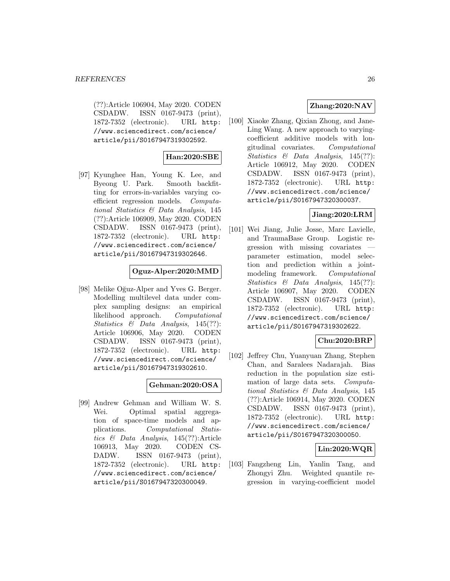(??):Article 106904, May 2020. CODEN CSDADW. ISSN 0167-9473 (print), 1872-7352 (electronic). URL http: //www.sciencedirect.com/science/ article/pii/S0167947319302592.

### **Han:2020:SBE**

[97] Kyunghee Han, Young K. Lee, and Byeong U. Park. Smooth backfitting for errors-in-variables varying coefficient regression models. Computational Statistics & Data Analysis, 145 (??):Article 106909, May 2020. CODEN CSDADW. ISSN 0167-9473 (print), 1872-7352 (electronic). URL http: //www.sciencedirect.com/science/ article/pii/S0167947319302646.

#### **Oguz-Alper:2020:MMD**

[98] Melike Oğuz-Alper and Yves G. Berger. Modelling multilevel data under complex sampling designs: an empirical likelihood approach. Computational Statistics & Data Analysis, 145(??): Article 106906, May 2020. CODEN CSDADW. ISSN 0167-9473 (print), 1872-7352 (electronic). URL http: //www.sciencedirect.com/science/ article/pii/S0167947319302610.

#### **Gehman:2020:OSA**

[99] Andrew Gehman and William W. S. Wei. Optimal spatial aggregation of space-time models and applications. Computational Statistics & Data Analysis, 145(??):Article 106913, May 2020. CODEN CS-DADW. ISSN 0167-9473 (print), 1872-7352 (electronic). URL http: //www.sciencedirect.com/science/ article/pii/S0167947320300049.

# **Zhang:2020:NAV**

[100] Xiaoke Zhang, Qixian Zhong, and Jane-Ling Wang. A new approach to varyingcoefficient additive models with longitudinal covariates. Computational Statistics & Data Analysis, 145(??): Article 106912, May 2020. CODEN CSDADW. ISSN 0167-9473 (print), 1872-7352 (electronic). URL http: //www.sciencedirect.com/science/ article/pii/S0167947320300037.

### **Jiang:2020:LRM**

[101] Wei Jiang, Julie Josse, Marc Lavielle, and TraumaBase Group. Logistic regression with missing covariates parameter estimation, model selection and prediction within a jointmodeling framework. Computational Statistics & Data Analysis, 145(??): Article 106907, May 2020. CODEN CSDADW. ISSN 0167-9473 (print), 1872-7352 (electronic). URL http: //www.sciencedirect.com/science/ article/pii/S0167947319302622.

# **Chu:2020:BRP**

[102] Jeffrey Chu, Yuanyuan Zhang, Stephen Chan, and Saralees Nadarajah. Bias reduction in the population size estimation of large data sets. Computational Statistics & Data Analysis, 145 (??):Article 106914, May 2020. CODEN CSDADW. ISSN 0167-9473 (print), 1872-7352 (electronic). URL http: //www.sciencedirect.com/science/ article/pii/S0167947320300050.

# **Lin:2020:WQR**

[103] Fangzheng Lin, Yanlin Tang, and Zhongyi Zhu. Weighted quantile regression in varying-coefficient model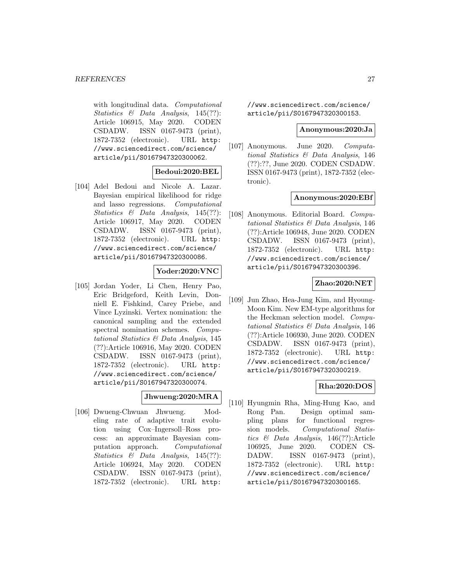with longitudinal data. Computational Statistics & Data Analysis, 145(??): Article 106915, May 2020. CODEN CSDADW. ISSN 0167-9473 (print), 1872-7352 (electronic). URL http: //www.sciencedirect.com/science/ article/pii/S0167947320300062.

### **Bedoui:2020:BEL**

[104] Adel Bedoui and Nicole A. Lazar. Bayesian empirical likelihood for ridge and lasso regressions. Computational Statistics & Data Analysis, 145(??): Article 106917, May 2020. CODEN CSDADW. ISSN 0167-9473 (print), 1872-7352 (electronic). URL http: //www.sciencedirect.com/science/ article/pii/S0167947320300086.

#### **Yoder:2020:VNC**

[105] Jordan Yoder, Li Chen, Henry Pao, Eric Bridgeford, Keith Levin, Donniell E. Fishkind, Carey Priebe, and Vince Lyzinski. Vertex nomination: the canonical sampling and the extended spectral nomination schemes. Computational Statistics & Data Analysis, 145 (??):Article 106916, May 2020. CODEN CSDADW. ISSN 0167-9473 (print), 1872-7352 (electronic). URL http: //www.sciencedirect.com/science/ article/pii/S0167947320300074.

### **Jhwueng:2020:MRA**

[106] Dwueng-Chwuan Jhwueng. Modeling rate of adaptive trait evolution using Cox–Ingersoll–Ross process: an approximate Bayesian computation approach. Computational Statistics & Data Analysis, 145(??): Article 106924, May 2020. CODEN CSDADW. ISSN 0167-9473 (print), 1872-7352 (electronic). URL http:

//www.sciencedirect.com/science/ article/pii/S0167947320300153.

#### **Anonymous:2020:Ja**

[107] Anonymous. June 2020. Computational Statistics & Data Analysis, 146 (??):??, June 2020. CODEN CSDADW. ISSN 0167-9473 (print), 1872-7352 (electronic).

#### **Anonymous:2020:EBf**

[108] Anonymous. Editorial Board. Computational Statistics & Data Analysis, 146 (??):Article 106948, June 2020. CODEN CSDADW. ISSN 0167-9473 (print), 1872-7352 (electronic). URL http: //www.sciencedirect.com/science/ article/pii/S0167947320300396.

### **Zhao:2020:NET**

[109] Jun Zhao, Hea-Jung Kim, and Hyoung-Moon Kim. New EM-type algorithms for the Heckman selection model. Computational Statistics & Data Analysis, 146 (??):Article 106930, June 2020. CODEN CSDADW. ISSN 0167-9473 (print), 1872-7352 (electronic). URL http: //www.sciencedirect.com/science/ article/pii/S0167947320300219.

# **Rha:2020:DOS**

[110] Hyungmin Rha, Ming-Hung Kao, and Rong Pan. Design optimal sampling plans for functional regression models. Computational Statistics & Data Analysis, 146(??):Article 106925, June 2020. CODEN CS-DADW. ISSN 0167-9473 (print), 1872-7352 (electronic). URL http: //www.sciencedirect.com/science/ article/pii/S0167947320300165.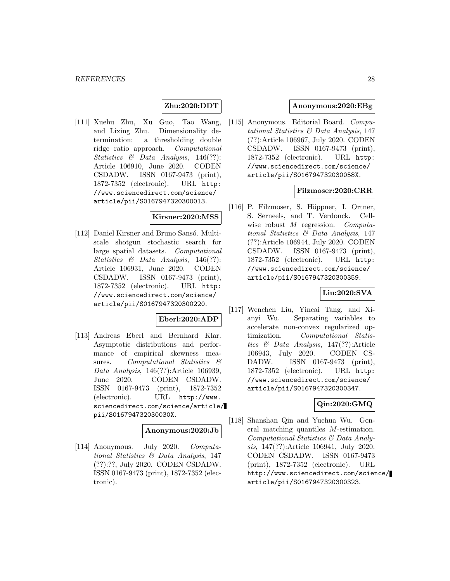# **Zhu:2020:DDT**

[111] Xuehu Zhu, Xu Guo, Tao Wang, and Lixing Zhu. Dimensionality determination: a thresholding double ridge ratio approach. Computational Statistics & Data Analysis, 146(??): Article 106910, June 2020. CODEN CSDADW. ISSN 0167-9473 (print), 1872-7352 (electronic). URL http: //www.sciencedirect.com/science/ article/pii/S0167947320300013.

#### **Kirsner:2020:MSS**

[112] Daniel Kirsner and Bruno Sansó. Multiscale shotgun stochastic search for large spatial datasets. Computational Statistics & Data Analysis, 146(??): Article 106931, June 2020. CODEN CSDADW. ISSN 0167-9473 (print), 1872-7352 (electronic). URL http: //www.sciencedirect.com/science/ article/pii/S0167947320300220.

#### **Eberl:2020:ADP**

[113] Andreas Eberl and Bernhard Klar. Asymptotic distributions and performance of empirical skewness measures. Computational Statistics  $\&$ Data Analysis, 146(??):Article 106939, June 2020. CODEN CSDADW. ISSN 0167-9473 (print), 1872-7352 (electronic). URL http://www. sciencedirect.com/science/article/ pii/S016794732030030X.

### **Anonymous:2020:Jb**

[114] Anonymous. July 2020. Computational Statistics & Data Analysis, 147 (??):??, July 2020. CODEN CSDADW. ISSN 0167-9473 (print), 1872-7352 (electronic).

### **Anonymous:2020:EBg**

[115] Anonymous. Editorial Board. Computational Statistics & Data Analysis, 147 (??):Article 106967, July 2020. CODEN CSDADW. ISSN 0167-9473 (print), 1872-7352 (electronic). URL http: //www.sciencedirect.com/science/ article/pii/S016794732030058X.

#### **Filzmoser:2020:CRR**

[116] P. Filzmoser, S. Höppner, I. Ortner, S. Serneels, and T. Verdonck. Cellwise robust M regression. Computational Statistics & Data Analysis, 147 (??):Article 106944, July 2020. CODEN CSDADW. ISSN 0167-9473 (print), 1872-7352 (electronic). URL http: //www.sciencedirect.com/science/ article/pii/S0167947320300359.

### **Liu:2020:SVA**

[117] Wenchen Liu, Yincai Tang, and Xianyi Wu. Separating variables to accelerate non-convex regularized optimization. Computational Statistics & Data Analysis, 147(??):Article 106943, July 2020. CODEN CS-DADW. ISSN 0167-9473 (print), 1872-7352 (electronic). URL http: //www.sciencedirect.com/science/ article/pii/S0167947320300347.

### **Qin:2020:GMQ**

[118] Shanshan Qin and Yuehua Wu. General matching quantiles M-estimation. Computational Statistics & Data Analysis, 147(??):Article 106941, July 2020. CODEN CSDADW. ISSN 0167-9473 (print), 1872-7352 (electronic). URL http://www.sciencedirect.com/science/ article/pii/S0167947320300323.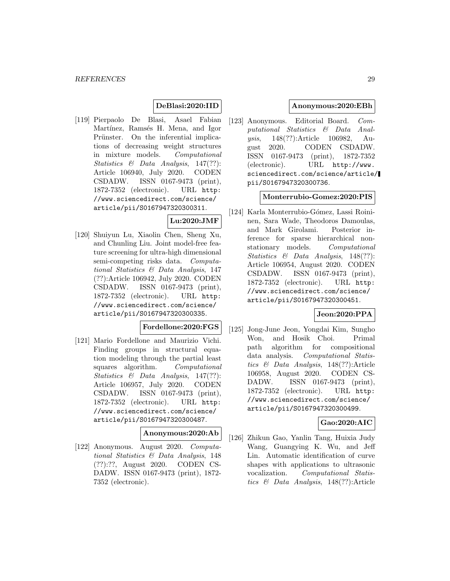### **DeBlasi:2020:IID**

[119] Pierpaolo De Blasi, Asael Fabian Martínez, Ramsés H. Mena, and Igor Prünster. On the inferential implications of decreasing weight structures in mixture models. Computational Statistics  $\&$  Data Analysis, 147(??): Article 106940, July 2020. CODEN CSDADW. ISSN 0167-9473 (print), 1872-7352 (electronic). URL http: //www.sciencedirect.com/science/ article/pii/S0167947320300311.

#### **Lu:2020:JMF**

[120] Shuiyun Lu, Xiaolin Chen, Sheng Xu, and Chunling Liu. Joint model-free feature screening for ultra-high dimensional semi-competing risks data. Computational Statistics & Data Analysis, 147 (??):Article 106942, July 2020. CODEN CSDADW. ISSN 0167-9473 (print), 1872-7352 (electronic). URL http: //www.sciencedirect.com/science/ article/pii/S0167947320300335.

# **Fordellone:2020:FGS**

[121] Mario Fordellone and Maurizio Vichi. Finding groups in structural equation modeling through the partial least squares algorithm. Computational Statistics & Data Analysis, 147(??): Article 106957, July 2020. CODEN CSDADW. ISSN 0167-9473 (print), 1872-7352 (electronic). URL http: //www.sciencedirect.com/science/ article/pii/S0167947320300487.

#### **Anonymous:2020:Ab**

[122] Anonymous. August 2020. Computational Statistics & Data Analysis, 148 (??):??, August 2020. CODEN CS-DADW. ISSN 0167-9473 (print), 1872- 7352 (electronic).

#### **Anonymous:2020:EBh**

[123] Anonymous. Editorial Board. Computational Statistics & Data Analysis, 148(??):Article 106982, August 2020. CODEN CSDADW. ISSN 0167-9473 (print), 1872-7352 (electronic). URL http://www. sciencedirect.com/science/article/ pii/S0167947320300736.

### **Monterrubio-Gomez:2020:PIS**

[124] Karla Monterrubio-Gómez, Lassi Roininen, Sara Wade, Theodoros Damoulas, and Mark Girolami. Posterior inference for sparse hierarchical nonstationary models. Computational Statistics & Data Analysis, 148(??): Article 106954, August 2020. CODEN CSDADW. ISSN 0167-9473 (print), 1872-7352 (electronic). URL http: //www.sciencedirect.com/science/ article/pii/S0167947320300451.

### **Jeon:2020:PPA**

[125] Jong-June Jeon, Yongdai Kim, Sungho Won, and Hosik Choi. Primal path algorithm for compositional data analysis. Computational Statistics & Data Analysis, 148(??):Article 106958, August 2020. CODEN CS-DADW. ISSN 0167-9473 (print), 1872-7352 (electronic). URL http: //www.sciencedirect.com/science/ article/pii/S0167947320300499.

### **Gao:2020:AIC**

[126] Zhikun Gao, Yanlin Tang, Huixia Judy Wang, Guangying K. Wu, and Jeff Lin. Automatic identification of curve shapes with applications to ultrasonic vocalization. Computational Statistics & Data Analysis, 148(??):Article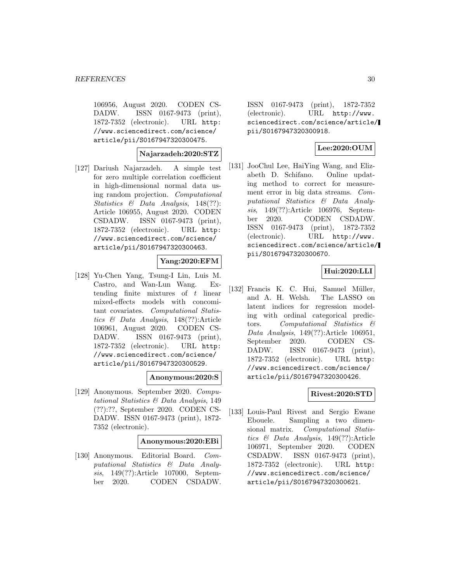106956, August 2020. CODEN CS-DADW. ISSN 0167-9473 (print), 1872-7352 (electronic). URL http: //www.sciencedirect.com/science/ article/pii/S0167947320300475.

**Najarzadeh:2020:STZ**

[127] Dariush Najarzadeh. A simple test for zero multiple correlation coefficient in high-dimensional normal data using random projection. Computational Statistics & Data Analysis, 148(??): Article 106955, August 2020. CODEN CSDADW. ISSN 0167-9473 (print), 1872-7352 (electronic). URL http: //www.sciencedirect.com/science/ article/pii/S0167947320300463.

#### **Yang:2020:EFM**

[128] Yu-Chen Yang, Tsung-I Lin, Luis M. Castro, and Wan-Lun Wang. Extending finite mixtures of t linear mixed-effects models with concomitant covariates. Computational Statistics & Data Analysis, 148(??):Article 106961, August 2020. CODEN CS-DADW. ISSN 0167-9473 (print), 1872-7352 (electronic). URL http: //www.sciencedirect.com/science/ article/pii/S0167947320300529.

#### **Anonymous:2020:S**

[129] Anonymous. September 2020. Computational Statistics & Data Analysis, 149 (??):??, September 2020. CODEN CS-DADW. ISSN 0167-9473 (print), 1872- 7352 (electronic).

#### **Anonymous:2020:EBi**

[130] Anonymous. Editorial Board. Computational Statistics & Data Analysis, 149(??):Article 107000, September 2020. CODEN CSDADW.

ISSN 0167-9473 (print), 1872-7352 (electronic). URL http://www. sciencedirect.com/science/article/ pii/S0167947320300918.

### **Lee:2020:OUM**

[131] JooChul Lee, HaiYing Wang, and Elizabeth D. Schifano. Online updating method to correct for measurement error in big data streams. Computational Statistics & Data Analysis, 149(??):Article 106976, September 2020. CODEN CSDADW. ISSN 0167-9473 (print), 1872-7352 (electronic). URL http://www. sciencedirect.com/science/article/ pii/S0167947320300670.

#### **Hui:2020:LLI**

[132] Francis K. C. Hui, Samuel Müller, and A. H. Welsh. The LASSO on latent indices for regression modeling with ordinal categorical predictors. Computational Statistics & Data Analysis, 149(??):Article 106951, September 2020. CODEN CS-DADW. ISSN 0167-9473 (print), 1872-7352 (electronic). URL http: //www.sciencedirect.com/science/ article/pii/S0167947320300426.

#### **Rivest:2020:STD**

[133] Louis-Paul Rivest and Sergio Ewane Ebouele. Sampling a two dimensional matrix. Computational Statistics & Data Analysis, 149(??):Article 106971, September 2020. CODEN CSDADW. ISSN 0167-9473 (print), 1872-7352 (electronic). URL http: //www.sciencedirect.com/science/ article/pii/S0167947320300621.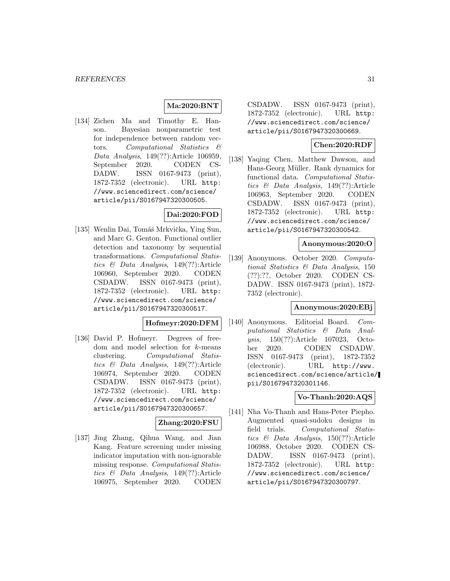### **Ma:2020:BNT**

[134] Zichen Ma and Timothy E. Hanson. Bayesian nonparametric test for independence between random vectors. Computational Statistics & Data Analysis, 149(??):Article 106959, September 2020. CODEN CS-DADW. ISSN 0167-9473 (print), 1872-7352 (electronic). URL http: //www.sciencedirect.com/science/ article/pii/S0167947320300505.

# **Dai:2020:FOD**

[135] Wenlin Dai, Tomáš Mrkvička, Ying Sun, and Marc G. Genton. Functional outlier detection and taxonomy by sequential transformations. Computational Statistics & Data Analysis, 149(??):Article 106960, September 2020. CODEN CSDADW. ISSN 0167-9473 (print), 1872-7352 (electronic). URL http: //www.sciencedirect.com/science/ article/pii/S0167947320300517.

### **Hofmeyr:2020:DFM**

[136] David P. Hofmeyr. Degrees of freedom and model selection for k-means clustering. Computational Statistics & Data Analysis, 149(??):Article 106974, September 2020. CODEN CSDADW. ISSN 0167-9473 (print), 1872-7352 (electronic). URL http: //www.sciencedirect.com/science/ article/pii/S0167947320300657.

### **Zhang:2020:FSU**

[137] Jing Zhang, Qihua Wang, and Jian Kang. Feature screening under missing indicator imputation with non-ignorable missing response. Computational Statistics & Data Analysis, 149(??):Article 106975, September 2020. CODEN

CSDADW. ISSN 0167-9473 (print), 1872-7352 (electronic). URL http: //www.sciencedirect.com/science/ article/pii/S0167947320300669.

# **Chen:2020:RDF**

[138] Yaqing Chen, Matthew Dawson, and Hans-Georg Müller. Rank dynamics for functional data. Computational Statistics & Data Analysis, 149(??):Article 106963, September 2020. CODEN CSDADW. ISSN 0167-9473 (print), 1872-7352 (electronic). URL http: //www.sciencedirect.com/science/ article/pii/S0167947320300542.

#### **Anonymous:2020:O**

[139] Anonymous. October 2020. Computational Statistics & Data Analysis, 150 (??):??, October 2020. CODEN CS-DADW. ISSN 0167-9473 (print), 1872- 7352 (electronic).

#### **Anonymous:2020:EBj**

[140] Anonymous. Editorial Board. Computational Statistics & Data Analysis, 150(??):Article 107023, October 2020. CODEN CSDADW. ISSN 0167-9473 (print), 1872-7352 (electronic). URL http://www. sciencedirect.com/science/article/ pii/S0167947320301146.

### **Vo-Thanh:2020:AQS**

[141] Nha Vo-Thanh and Hans-Peter Piepho. Augmented quasi-sudoku designs in field trials. Computational Statistics & Data Analysis, 150(??):Article 106988, October 2020. CODEN CS-DADW. ISSN 0167-9473 (print), 1872-7352 (electronic). URL http: //www.sciencedirect.com/science/ article/pii/S0167947320300797.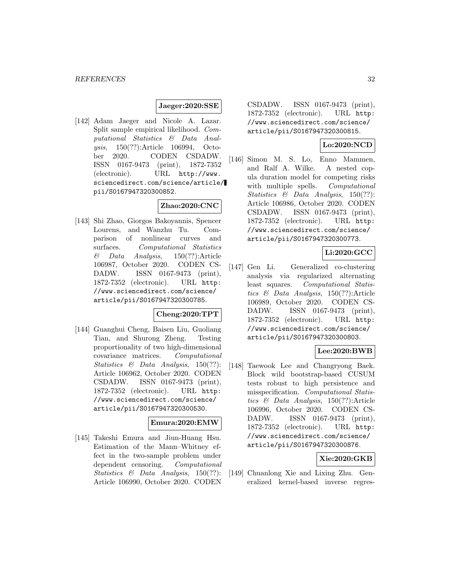#### **Jaeger:2020:SSE**

[142] Adam Jaeger and Nicole A. Lazar. Split sample empirical likelihood. Computational Statistics & Data Analysis, 150(??):Article 106994, October 2020. CODEN CSDADW. ISSN 0167-9473 (print), 1872-7352 (electronic). URL http://www. sciencedirect.com/science/article/ pii/S0167947320300852.

# **Zhao:2020:CNC**

[143] Shi Zhao, Giorgos Bakoyannis, Spencer Lourens, and Wanzhu Tu. Comparison of nonlinear curves and surfaces. Computational Statistics  $\&$  Data Analysis, 150(??):Article 106987, October 2020. CODEN CS-DADW. ISSN 0167-9473 (print), 1872-7352 (electronic). URL http: //www.sciencedirect.com/science/ article/pii/S0167947320300785.

#### **Cheng:2020:TPT**

[144] Guanghui Cheng, Baisen Liu, Guoliang Tian, and Shurong Zheng. Testing proportionality of two high-dimensional covariance matrices. Computational Statistics & Data Analysis, 150(??): Article 106962, October 2020. CODEN CSDADW. ISSN 0167-9473 (print), 1872-7352 (electronic). URL http: //www.sciencedirect.com/science/ article/pii/S0167947320300530.

### **Emura:2020:EMW**

[145] Takeshi Emura and Jiun-Huang Hsu. Estimation of the Mann–Whitney effect in the two-sample problem under dependent censoring. Computational Statistics & Data Analysis, 150(??): Article 106990, October 2020. CODEN

CSDADW. ISSN 0167-9473 (print), 1872-7352 (electronic). URL http: //www.sciencedirect.com/science/ article/pii/S0167947320300815.

# **Lo:2020:NCD**

[146] Simon M. S. Lo, Enno Mammen, and Ralf A. Wilke. A nested copula duration model for competing risks with multiple spells. Computational Statistics & Data Analysis, 150(??): Article 106986, October 2020. CODEN CSDADW. ISSN 0167-9473 (print), 1872-7352 (electronic). URL http: //www.sciencedirect.com/science/ article/pii/S0167947320300773.

### **Li:2020:GCC**

[147] Gen Li. Generalized co-clustering analysis via regularized alternating least squares. Computational Statistics & Data Analysis, 150(??):Article 106989, October 2020. CODEN CS-DADW. ISSN 0167-9473 (print), 1872-7352 (electronic). URL http: //www.sciencedirect.com/science/ article/pii/S0167947320300803.

# **Lee:2020:BWB**

[148] Taewook Lee and Changryong Baek. Block wild bootstrap-based CUSUM tests robust to high persistence and misspecification. Computational Statistics & Data Analysis, 150(??):Article 106996, October 2020. CODEN CS-DADW. ISSN 0167-9473 (print), 1872-7352 (electronic). URL http: //www.sciencedirect.com/science/ article/pii/S0167947320300876.

#### **Xie:2020:GKB**

[149] Chuanlong Xie and Lixing Zhu. Generalized kernel-based inverse regres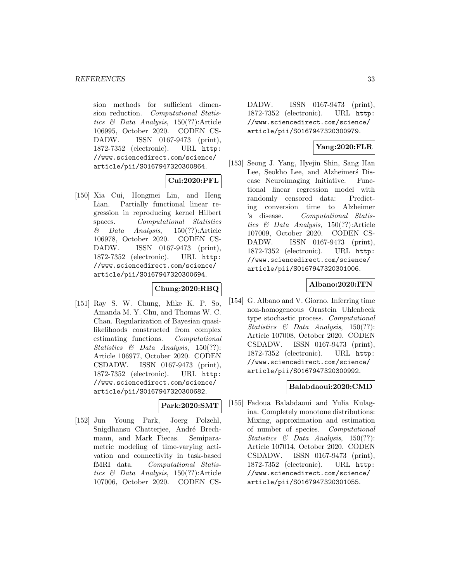sion methods for sufficient dimension reduction. Computational Statistics & Data Analysis, 150(??):Article 106995, October 2020. CODEN CS-DADW. ISSN 0167-9473 (print), 1872-7352 (electronic). URL http: //www.sciencedirect.com/science/ article/pii/S0167947320300864.

# **Cui:2020:PFL**

[150] Xia Cui, Hongmei Lin, and Heng Lian. Partially functional linear regression in reproducing kernel Hilbert spaces. Computational Statistics  $\&$  Data Analysis, 150(??):Article 106978, October 2020. CODEN CS-DADW. ISSN 0167-9473 (print), 1872-7352 (electronic). URL http: //www.sciencedirect.com/science/ article/pii/S0167947320300694.

# **Chung:2020:RBQ**

[151] Ray S. W. Chung, Mike K. P. So, Amanda M. Y. Chu, and Thomas W. C. Chan. Regularization of Bayesian quasilikelihoods constructed from complex estimating functions. Computational Statistics & Data Analysis, 150(??): Article 106977, October 2020. CODEN CSDADW. ISSN 0167-9473 (print), 1872-7352 (electronic). URL http: //www.sciencedirect.com/science/ article/pii/S0167947320300682.

#### **Park:2020:SMT**

[152] Jun Young Park, Joerg Polzehl, Snigdhansu Chatterjee, André Brechmann, and Mark Fiecas. Semiparametric modeling of time-varying activation and connectivity in task-based fMRI data. Computational Statistics & Data Analysis, 150(??):Article 107006, October 2020. CODEN CS-

DADW. ISSN 0167-9473 (print), 1872-7352 (electronic). URL http: //www.sciencedirect.com/science/ article/pii/S0167947320300979.

# **Yang:2020:FLR**

[153] Seong J. Yang, Hyejin Shin, Sang Han Lee, Seokho Lee, and Alzheimers<sup>S</sup> Disease Neuroimaging Initiative. Functional linear regression model with randomly censored data: Predicting conversion time to Alzheimer 's disease. Computational Statistics & Data Analysis, 150(??):Article 107009, October 2020. CODEN CS-DADW. ISSN 0167-9473 (print), 1872-7352 (electronic). URL http: //www.sciencedirect.com/science/ article/pii/S0167947320301006.

### **Albano:2020:ITN**

[154] G. Albano and V. Giorno. Inferring time non-homogeneous Ornstein Uhlenbeck type stochastic process. Computational Statistics & Data Analysis, 150(??): Article 107008, October 2020. CODEN CSDADW. ISSN 0167-9473 (print), 1872-7352 (electronic). URL http: //www.sciencedirect.com/science/ article/pii/S0167947320300992.

# **Balabdaoui:2020:CMD**

[155] Fadoua Balabdaoui and Yulia Kulagina. Completely monotone distributions: Mixing, approximation and estimation of number of species. Computational Statistics & Data Analysis, 150(??): Article 107014, October 2020. CODEN CSDADW. ISSN 0167-9473 (print), 1872-7352 (electronic). URL http: //www.sciencedirect.com/science/ article/pii/S0167947320301055.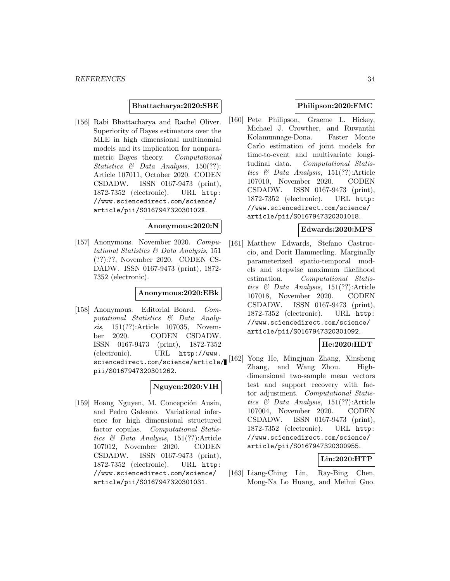#### **Bhattacharya:2020:SBE**

[156] Rabi Bhattacharya and Rachel Oliver. Superiority of Bayes estimators over the MLE in high dimensional multinomial models and its implication for nonparametric Bayes theory. Computational Statistics & Data Analysis, 150(??): Article 107011, October 2020. CODEN CSDADW. ISSN 0167-9473 (print), 1872-7352 (electronic). URL http: //www.sciencedirect.com/science/ article/pii/S016794732030102X.

#### **Anonymous:2020:N**

[157] Anonymous. November 2020. Computational Statistics & Data Analysis, 151 (??):??, November 2020. CODEN CS-DADW. ISSN 0167-9473 (print), 1872- 7352 (electronic).

#### **Anonymous:2020:EBk**

[158] Anonymous. Editorial Board. Computational Statistics & Data Analysis, 151(??):Article 107035, November 2020. CODEN CSDADW. ISSN 0167-9473 (print), 1872-7352 (electronic). URL http://www. sciencedirect.com/science/article/ pii/S0167947320301262.

# **Nguyen:2020:VIH**

[159] Hoang Nguyen, M. Concepción Ausín, and Pedro Galeano. Variational inference for high dimensional structured factor copulas. Computational Statistics & Data Analysis, 151(??):Article 107012, November 2020. CODEN CSDADW. ISSN 0167-9473 (print), 1872-7352 (electronic). URL http: //www.sciencedirect.com/science/ article/pii/S0167947320301031.

### **Philipson:2020:FMC**

[160] Pete Philipson, Graeme L. Hickey, Michael J. Crowther, and Ruwanthi Kolamunnage-Dona. Faster Monte Carlo estimation of joint models for time-to-event and multivariate longitudinal data. Computational Statistics & Data Analysis, 151(??):Article 107010, November 2020. CODEN CSDADW. ISSN 0167-9473 (print), 1872-7352 (electronic). URL http: //www.sciencedirect.com/science/ article/pii/S0167947320301018.

#### **Edwards:2020:MPS**

[161] Matthew Edwards, Stefano Castruccio, and Dorit Hammerling. Marginally parameterized spatio-temporal models and stepwise maximum likelihood estimation. Computational Statistics & Data Analysis, 151(??):Article 107018, November 2020. CODEN CSDADW. ISSN 0167-9473 (print), 1872-7352 (electronic). URL http: //www.sciencedirect.com/science/ article/pii/S0167947320301092.

#### **He:2020:HDT**

[162] Yong He, Mingjuan Zhang, Xinsheng Zhang, and Wang Zhou. Highdimensional two-sample mean vectors test and support recovery with factor adjustment. Computational Statistics & Data Analysis, 151(??):Article 107004, November 2020. CODEN CSDADW. ISSN 0167-9473 (print), 1872-7352 (electronic). URL http: //www.sciencedirect.com/science/ article/pii/S0167947320300955.

### **Lin:2020:HTP**

[163] Liang-Ching Lin, Ray-Bing Chen, Mong-Na Lo Huang, and Meihui Guo.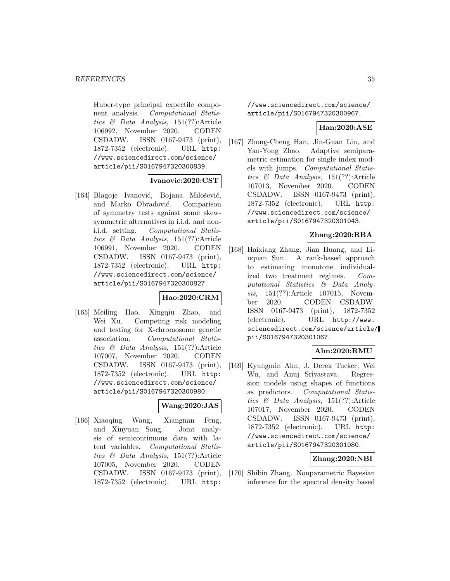Huber-type principal expectile component analysis. Computational Statistics & Data Analysis, 151(??):Article 106992, November 2020. CODEN CSDADW. ISSN 0167-9473 (print), 1872-7352 (electronic). URL http: //www.sciencedirect.com/science/ article/pii/S0167947320300839.

#### **Ivanovic:2020:CST**

[164] Blagoje Ivanović, Bojana Milošević, and Marko Obradović. Comparison of symmetry tests against some skewsymmetric alternatives in i.i.d. and noni.i.d. setting. Computational Statistics & Data Analysis, 151(??):Article 106991, November 2020. CODEN CSDADW. ISSN 0167-9473 (print), 1872-7352 (electronic). URL http: //www.sciencedirect.com/science/ article/pii/S0167947320300827.

#### **Hao:2020:CRM**

[165] Meiling Hao, Xingqiu Zhao, and Wei Xu. Competing risk modeling and testing for X-chromosome genetic association. Computational Statistics & Data Analysis, 151(??):Article 107007, November 2020. CODEN CSDADW. ISSN 0167-9473 (print), 1872-7352 (electronic). URL http: //www.sciencedirect.com/science/ article/pii/S0167947320300980.

#### **Wang:2020:JAS**

[166] Xiaoqing Wang, Xiangnan Feng, and Xinyuan Song. Joint analysis of semicontinuous data with latent variables. Computational Statistics & Data Analysis, 151(??):Article 107005, November 2020. CODEN CSDADW. ISSN 0167-9473 (print), 1872-7352 (electronic). URL http:

//www.sciencedirect.com/science/ article/pii/S0167947320300967.

#### **Han:2020:ASE**

[167] Zhong-Cheng Han, Jin-Guan Lin, and Yan-Yong Zhao. Adaptive semiparametric estimation for single index models with jumps. Computational Statistics & Data Analysis, 151(??):Article 107013, November 2020. CODEN CSDADW. ISSN 0167-9473 (print), 1872-7352 (electronic). URL http: //www.sciencedirect.com/science/ article/pii/S0167947320301043.

### **Zhang:2020:RBA**

[168] Haixiang Zhang, Jian Huang, and Liuquan Sun. A rank-based approach to estimating monotone individualized two treatment regimes. Computational Statistics & Data Analysis, 151(??): Article 107015, November 2020. CODEN CSDADW. ISSN 0167-9473 (print), 1872-7352 (electronic). URL http://www. sciencedirect.com/science/article/ pii/S0167947320301067.

# **Ahn:2020:RMU**

[169] Kyungmin Ahn, J. Derek Tucker, Wei Wu, and Anuj Srivastava. Regression models using shapes of functions as predictors. Computational Statistics & Data Analysis, 151(??):Article 107017, November 2020. CODEN CSDADW. ISSN 0167-9473 (print), 1872-7352 (electronic). URL http: //www.sciencedirect.com/science/ article/pii/S0167947320301080.

#### **Zhang:2020:NBI**

[170] Shibin Zhang. Nonparametric Bayesian inference for the spectral density based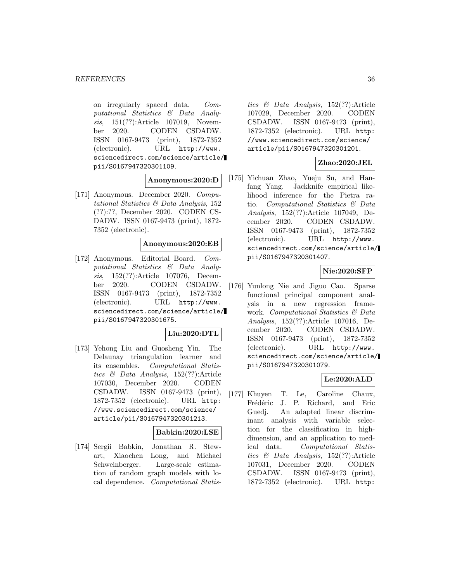on irregularly spaced data. Computational Statistics & Data Analysis, 151(??):Article 107019, November 2020. CODEN CSDADW. ISSN 0167-9473 (print), 1872-7352 (electronic). URL http://www. sciencedirect.com/science/article/ pii/S0167947320301109.

#### **Anonymous:2020:D**

[171] Anonymous. December 2020. Computational Statistics & Data Analysis, 152 (??):??, December 2020. CODEN CS-DADW. ISSN 0167-9473 (print), 1872- 7352 (electronic).

#### **Anonymous:2020:EB**

[172] Anonymous. Editorial Board. Computational Statistics & Data Analysis, 152(??):Article 107076, December 2020. CODEN CSDADW. ISSN 0167-9473 (print), 1872-7352 (electronic). URL http://www. sciencedirect.com/science/article/ pii/S0167947320301675.

#### **Liu:2020:DTL**

[173] Yehong Liu and Guosheng Yin. The Delaunay triangulation learner and its ensembles. Computational Statistics & Data Analysis, 152(??):Article 107030, December 2020. CODEN CSDADW. ISSN 0167-9473 (print), 1872-7352 (electronic). URL http: //www.sciencedirect.com/science/ article/pii/S0167947320301213.

#### **Babkin:2020:LSE**

[174] Sergii Babkin, Jonathan R. Stewart, Xiaochen Long, and Michael Schweinberger. Large-scale estimation of random graph models with local dependence. Computational Statistics & Data Analysis, 152(??):Article 107029, December 2020. CODEN CSDADW. ISSN 0167-9473 (print), 1872-7352 (electronic). URL http: //www.sciencedirect.com/science/ article/pii/S0167947320301201.

### **Zhao:2020:JEL**

[175] Yichuan Zhao, Yueju Su, and Hanfang Yang. Jackknife empirical likelihood inference for the Pietra ratio. Computational Statistics & Data Analysis, 152(??):Article 107049, December 2020. CODEN CSDADW. ISSN 0167-9473 (print), 1872-7352 (electronic). URL http://www. sciencedirect.com/science/article/ pii/S0167947320301407.

#### **Nie:2020:SFP**

[176] Yunlong Nie and Jiguo Cao. Sparse functional principal component analysis in a new regression framework. Computational Statistics & Data Analysis, 152(??):Article 107016, December 2020. CODEN CSDADW. ISSN 0167-9473 (print), 1872-7352 (electronic). URL http://www. sciencedirect.com/science/article/ pii/S0167947320301079.

### **Le:2020:ALD**

[177] Khuyen T. Le, Caroline Chaux, Frédéric J. P. Richard, and Eric Guedj. An adapted linear discriminant analysis with variable selection for the classification in highdimension, and an application to medical data. Computational Statistics & Data Analysis, 152(??):Article 107031, December 2020. CODEN CSDADW. ISSN 0167-9473 (print), 1872-7352 (electronic). URL http: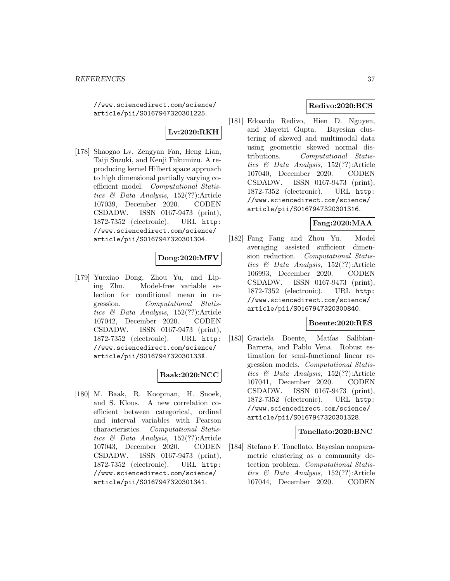//www.sciencedirect.com/science/ article/pii/S0167947320301225.

# **Lv:2020:RKH**

[178] Shaogao Lv, Zengyan Fan, Heng Lian, Taiji Suzuki, and Kenji Fukumizu. A reproducing kernel Hilbert space approach to high dimensional partially varying coefficient model. Computational Statistics & Data Analysis, 152(??):Article 107039, December 2020. CODEN CSDADW. ISSN 0167-9473 (print), 1872-7352 (electronic). URL http: //www.sciencedirect.com/science/ article/pii/S0167947320301304.

## **Dong:2020:MFV**

[179] Yuexiao Dong, Zhou Yu, and Liping Zhu. Model-free variable selection for conditional mean in regression. Computational Statistics & Data Analysis, 152(??):Article 107042, December 2020. CODEN CSDADW. ISSN 0167-9473 (print), 1872-7352 (electronic). URL http: //www.sciencedirect.com/science/ article/pii/S016794732030133X.

## **Baak:2020:NCC**

[180] M. Baak, R. Koopman, H. Snoek, and S. Klous. A new correlation coefficient between categorical, ordinal and interval variables with Pearson characteristics. Computational Statistics & Data Analysis, 152(??):Article 107043, December 2020. CODEN CSDADW. ISSN 0167-9473 (print), 1872-7352 (electronic). URL http: //www.sciencedirect.com/science/ article/pii/S0167947320301341.

# **Redivo:2020:BCS**

[181] Edoardo Redivo, Hien D. Nguyen, and Mayetri Gupta. Bayesian clustering of skewed and multimodal data using geometric skewed normal distributions. Computational Statistics & Data Analysis, 152(??):Article 107040, December 2020. CODEN CSDADW. ISSN 0167-9473 (print), 1872-7352 (electronic). URL http: //www.sciencedirect.com/science/ article/pii/S0167947320301316.

## **Fang:2020:MAA**

[182] Fang Fang and Zhou Yu. Model averaging assisted sufficient dimension reduction. Computational Statistics & Data Analysis, 152(??):Article 106993, December 2020. CODEN CSDADW. ISSN 0167-9473 (print), 1872-7352 (electronic). URL http: //www.sciencedirect.com/science/ article/pii/S0167947320300840.

## **Boente:2020:RES**

[183] Graciela Boente, Matías Salibian-Barrera, and Pablo Vena. Robust estimation for semi-functional linear regression models. Computational Statistics & Data Analysis, 152(??):Article 107041, December 2020. CODEN CSDADW. ISSN 0167-9473 (print), 1872-7352 (electronic). URL http: //www.sciencedirect.com/science/ article/pii/S0167947320301328.

## **Tonellato:2020:BNC**

[184] Stefano F. Tonellato. Bayesian nonparametric clustering as a community detection problem. Computational Statistics & Data Analysis, 152(??):Article 107044, December 2020. CODEN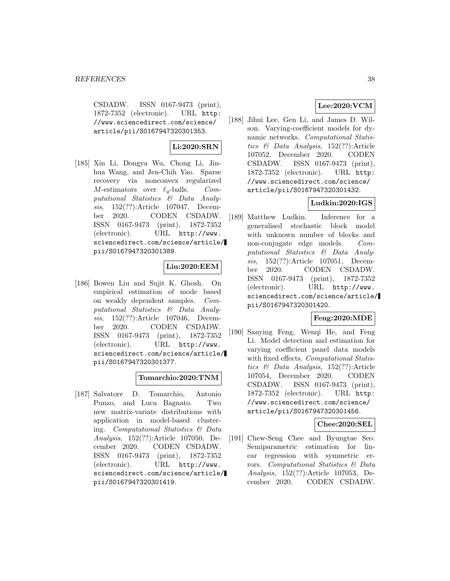CSDADW. ISSN 0167-9473 (print), 1872-7352 (electronic). URL http: //www.sciencedirect.com/science/ article/pii/S0167947320301353.

# **Li:2020:SRN**

[185] Xin Li, Dongya Wu, Chong Li, Jinhua Wang, and Jen-Chih Yao. Sparse recovery via nonconvex regularized  $M$ -estimators over  $\ell_q$ -balls. Computational Statistics & Data Analysis, 152(??):Article 107047, December 2020. CODEN CSDADW. ISSN 0167-9473 (print), 1872-7352 (electronic). URL http://www. sciencedirect.com/science/article/ pii/S0167947320301389.

# **Liu:2020:EEM**

[186] Bowen Liu and Sujit K. Ghosh. On empirical estimation of mode based on weakly dependent samples. Computational Statistics & Data Analysis, 152(??):Article 107046, December 2020. CODEN CSDADW. ISSN 0167-9473 (print), 1872-7352 (electronic). URL http://www. sciencedirect.com/science/article/ pii/S0167947320301377.

## **Tomarchio:2020:TNM**

[187] Salvatore D. Tomarchio, Antonio Punzo, and Luca Bagnato. Two new matrix-variate distributions with application in model-based clustering. Computational Statistics & Data Analysis, 152(??):Article 107050, December 2020. CODEN CSDADW. ISSN 0167-9473 (print), 1872-7352 (electronic). URL http://www. sciencedirect.com/science/article/ pii/S0167947320301419.

## **Lee:2020:VCM**

[188] Jihui Lee, Gen Li, and James D. Wilson. Varying-coefficient models for dynamic networks. Computational Statistics & Data Analysis, 152(??):Article 107052, December 2020. CODEN CSDADW. ISSN 0167-9473 (print), 1872-7352 (electronic). URL http: //www.sciencedirect.com/science/ article/pii/S0167947320301432.

## **Ludkin:2020:IGS**

[189] Matthew Ludkin. Inference for a generalised stochastic block model with unknown number of blocks and non-conjugate edge models. Computational Statistics & Data Analysis, 152(??):Article 107051, December 2020. CODEN CSDADW. ISSN 0167-9473 (print), 1872-7352 (electronic). URL http://www. sciencedirect.com/science/article/ pii/S0167947320301420.

## **Feng:2020:MDE**

[190] Sanying Feng, Wenqi He, and Feng Li. Model detection and estimation for varying coefficient panel data models with fixed effects. Computational Statistics & Data Analysis, 152(??):Article 107054, December 2020. CODEN CSDADW. ISSN 0167-9473 (print), 1872-7352 (electronic). URL http: //www.sciencedirect.com/science/ article/pii/S0167947320301456.

## **Chee:2020:SEL**

[191] Chew-Seng Chee and Byungtae Seo. Semiparametric estimation for linear regression with symmetric errors. Computational Statistics & Data Analysis, 152(??):Article 107053, December 2020. CODEN CSDADW.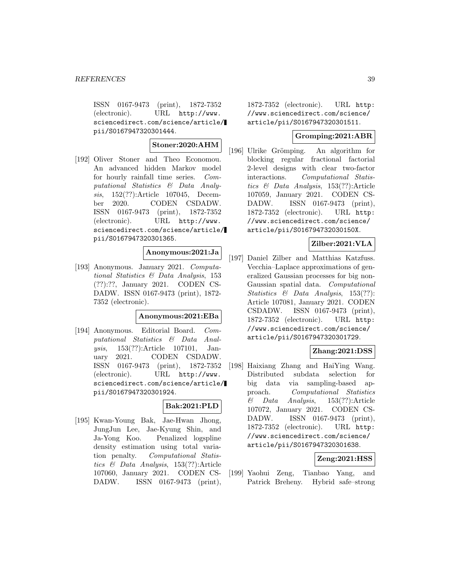ISSN 0167-9473 (print), 1872-7352 (electronic). URL http://www. sciencedirect.com/science/article/ pii/S0167947320301444.

## **Stoner:2020:AHM**

[192] Oliver Stoner and Theo Economou. An advanced hidden Markov model for hourly rainfall time series. Computational Statistics & Data Analysis, 152(??):Article 107045, December 2020. CODEN CSDADW. ISSN 0167-9473 (print), 1872-7352 (electronic). URL http://www. sciencedirect.com/science/article/ pii/S0167947320301365.

## **Anonymous:2021:Ja**

[193] Anonymous. January 2021. Computational Statistics & Data Analysis, 153 (??):??, January 2021. CODEN CS-DADW. ISSN 0167-9473 (print), 1872- 7352 (electronic).

## **Anonymous:2021:EBa**

[194] Anonymous. Editorial Board. Computational Statistics & Data Analysis, 153(??):Article 107101, January 2021. CODEN CSDADW. ISSN 0167-9473 (print), 1872-7352 (electronic). URL http://www. sciencedirect.com/science/article/ pii/S0167947320301924.

## **Bak:2021:PLD**

[195] Kwan-Young Bak, Jae-Hwan Jhong, JungJun Lee, Jae-Kyung Shin, and Ja-Yong Koo. Penalized logspline density estimation using total variation penalty. Computational Statistics & Data Analysis, 153(??):Article 107060, January 2021. CODEN CS-DADW. ISSN 0167-9473 (print), 1872-7352 (electronic). URL http: //www.sciencedirect.com/science/ article/pii/S0167947320301511.

## **Gromping:2021:ABR**

[196] Ulrike Grömping. An algorithm for blocking regular fractional factorial 2-level designs with clear two-factor interactions. Computational Statistics & Data Analysis, 153(??):Article 107059, January 2021. CODEN CS-DADW. ISSN 0167-9473 (print), 1872-7352 (electronic). URL http: //www.sciencedirect.com/science/ article/pii/S016794732030150X.

## **Zilber:2021:VLA**

[197] Daniel Zilber and Matthias Katzfuss. Vecchia–Laplace approximations of generalized Gaussian processes for big non-Gaussian spatial data. Computational Statistics & Data Analysis, 153(??): Article 107081, January 2021. CODEN CSDADW. ISSN 0167-9473 (print), 1872-7352 (electronic). URL http: //www.sciencedirect.com/science/ article/pii/S0167947320301729.

## **Zhang:2021:DSS**

[198] Haixiang Zhang and HaiYing Wang. Distributed subdata selection for big data via sampling-based approach. Computational Statistics  $\&$  Data Analysis, 153(??):Article 107072, January 2021. CODEN CS-DADW. ISSN 0167-9473 (print), 1872-7352 (electronic). URL http: //www.sciencedirect.com/science/ article/pii/S0167947320301638.

## **Zeng:2021:HSS**

[199] Yaohui Zeng, Tianbao Yang, and Patrick Breheny. Hybrid safe–strong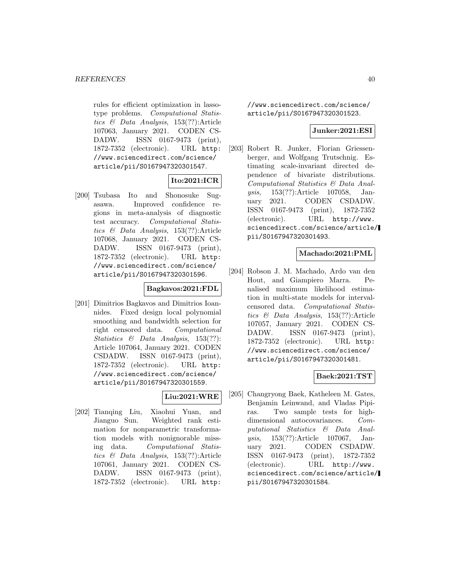rules for efficient optimization in lassotype problems. Computational Statistics & Data Analysis, 153(??):Article 107063, January 2021. CODEN CS-DADW. ISSN 0167-9473 (print), 1872-7352 (electronic). URL http: //www.sciencedirect.com/science/ article/pii/S0167947320301547.

# **Ito:2021:ICR**

[200] Tsubasa Ito and Shonosuke Sugasawa. Improved confidence regions in meta-analysis of diagnostic test accuracy. Computational Statistics & Data Analysis, 153(??):Article 107068, January 2021. CODEN CS-DADW. ISSN 0167-9473 (print), 1872-7352 (electronic). URL http: //www.sciencedirect.com/science/ article/pii/S0167947320301596.

## **Bagkavos:2021:FDL**

[201] Dimitrios Bagkavos and Dimitrios Ioannides. Fixed design local polynomial smoothing and bandwidth selection for right censored data. Computational Statistics & Data Analysis, 153(??): Article 107064, January 2021. CODEN CSDADW. ISSN 0167-9473 (print), 1872-7352 (electronic). URL http: //www.sciencedirect.com/science/ article/pii/S0167947320301559.

## **Liu:2021:WRE**

[202] Tianqing Liu, Xiaohui Yuan, and Jianguo Sun. Weighted rank estimation for nonparametric transformation models with nonignorable missing data. Computational Statistics & Data Analysis, 153(??):Article 107061, January 2021. CODEN CS-DADW. ISSN 0167-9473 (print), 1872-7352 (electronic). URL http:

//www.sciencedirect.com/science/ article/pii/S0167947320301523.

### **Junker:2021:ESI**

[203] Robert R. Junker, Florian Griessenberger, and Wolfgang Trutschnig. Estimating scale-invariant directed dependence of bivariate distributions. Computational Statistics & Data Analysis, 153(??):Article 107058, January 2021. CODEN CSDADW. ISSN 0167-9473 (print), 1872-7352 (electronic). URL http://www. sciencedirect.com/science/article/ pii/S0167947320301493.

## **Machado:2021:PML**

[204] Robson J. M. Machado, Ardo van den Hout, and Giampiero Marra. Penalised maximum likelihood estimation in multi-state models for intervalcensored data. Computational Statistics & Data Analysis, 153(??):Article 107057, January 2021. CODEN CS-DADW. ISSN 0167-9473 (print), 1872-7352 (electronic). URL http: //www.sciencedirect.com/science/ article/pii/S0167947320301481.

# **Baek:2021:TST**

[205] Changryong Baek, Katheleen M. Gates, Benjamin Leinwand, and Vladas Pipiras. Two sample tests for highdimensional autocovariances. Computational Statistics & Data Analysis, 153(??):Article 107067, January 2021. CODEN CSDADW. ISSN 0167-9473 (print), 1872-7352 (electronic). URL http://www. sciencedirect.com/science/article/ pii/S0167947320301584.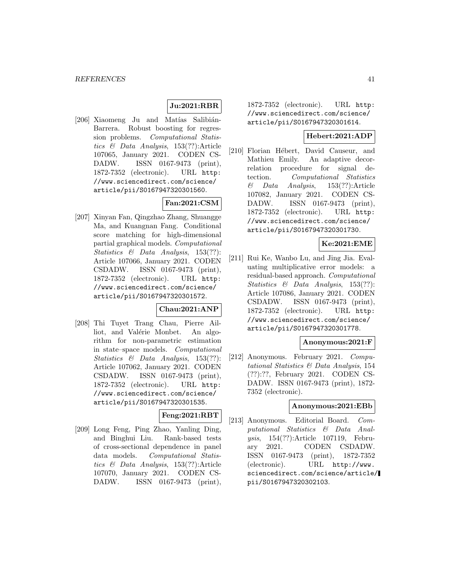## **Ju:2021:RBR**

[206] Xiaomeng Ju and Matías Salibián-Barrera. Robust boosting for regression problems. Computational Statistics & Data Analysis, 153(??):Article 107065, January 2021. CODEN CS-DADW. ISSN 0167-9473 (print), 1872-7352 (electronic). URL http: //www.sciencedirect.com/science/ article/pii/S0167947320301560.

# **Fan:2021:CSM**

[207] Xinyan Fan, Qingzhao Zhang, Shuangge Ma, and Kuangnan Fang. Conditional score matching for high-dimensional partial graphical models. Computational Statistics & Data Analysis, 153(??): Article 107066, January 2021. CODEN CSDADW. ISSN 0167-9473 (print), 1872-7352 (electronic). URL http: //www.sciencedirect.com/science/ article/pii/S0167947320301572.

## **Chau:2021:ANP**

[208] Thi Tuyet Trang Chau, Pierre Ailliot, and Valérie Monbet. An algorithm for non-parametric estimation in state–space models. Computational Statistics & Data Analysis, 153(??): Article 107062, January 2021. CODEN CSDADW. ISSN 0167-9473 (print), 1872-7352 (electronic). URL http: //www.sciencedirect.com/science/ article/pii/S0167947320301535.

### **Feng:2021:RBT**

[209] Long Feng, Ping Zhao, Yanling Ding, and Binghui Liu. Rank-based tests of cross-sectional dependence in panel data models. Computational Statistics & Data Analysis, 153(??):Article 107070, January 2021. CODEN CS-DADW. ISSN 0167-9473 (print), 1872-7352 (electronic). URL http: //www.sciencedirect.com/science/ article/pii/S0167947320301614.

## **Hebert:2021:ADP**

[210] Florian Hébert, David Causeur, and Mathieu Emily. An adaptive decorrelation procedure for signal detection. Computational Statistics  $\&$  Data Analysis, 153(??):Article 107082, January 2021. CODEN CS-DADW. ISSN 0167-9473 (print), 1872-7352 (electronic). URL http: //www.sciencedirect.com/science/ article/pii/S0167947320301730.

#### **Ke:2021:EME**

[211] Rui Ke, Wanbo Lu, and Jing Jia. Evaluating multiplicative error models: a residual-based approach. Computational Statistics & Data Analysis, 153(??): Article 107086, January 2021. CODEN CSDADW. ISSN 0167-9473 (print), 1872-7352 (electronic). URL http: //www.sciencedirect.com/science/ article/pii/S0167947320301778.

## **Anonymous:2021:F**

[212] Anonymous. February 2021. Computational Statistics & Data Analysis, 154 (??):??, February 2021. CODEN CS-DADW. ISSN 0167-9473 (print), 1872- 7352 (electronic).

#### **Anonymous:2021:EBb**

[213] Anonymous. Editorial Board. Computational Statistics & Data Analysis, 154(??):Article 107119, February 2021. CODEN CSDADW. ISSN 0167-9473 (print), 1872-7352 (electronic). URL http://www. sciencedirect.com/science/article/ pii/S0167947320302103.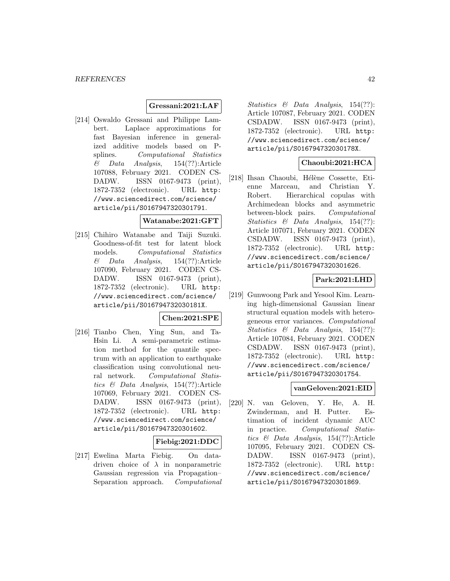## **Gressani:2021:LAF**

[214] Oswaldo Gressani and Philippe Lambert. Laplace approximations for fast Bayesian inference in generalized additive models based on Psplines. Computational Statistics  $\&$  Data Analysis, 154(??):Article 107088, February 2021. CODEN CS-DADW. ISSN 0167-9473 (print), 1872-7352 (electronic). URL http: //www.sciencedirect.com/science/ article/pii/S0167947320301791.

#### **Watanabe:2021:GFT**

[215] Chihiro Watanabe and Taiji Suzuki. Goodness-of-fit test for latent block models. Computational Statistics  $\&$  Data Analysis, 154(??):Article 107090, February 2021. CODEN CS-DADW. ISSN 0167-9473 (print), 1872-7352 (electronic). URL http: //www.sciencedirect.com/science/ article/pii/S016794732030181X.

## **Chen:2021:SPE**

[216] Tianbo Chen, Ying Sun, and Ta-Hsin Li. A semi-parametric estimation method for the quantile spectrum with an application to earthquake classification using convolutional neural network. Computational Statistics & Data Analysis, 154(??):Article 107069, February 2021. CODEN CS-DADW. ISSN 0167-9473 (print), 1872-7352 (electronic). URL http: //www.sciencedirect.com/science/ article/pii/S0167947320301602.

## **Fiebig:2021:DDC**

[217] Ewelina Marta Fiebig. On datadriven choice of  $\lambda$  in nonparametric Gaussian regression via Propagation– Separation approach. Computational Statistics & Data Analysis, 154(??): Article 107087, February 2021. CODEN CSDADW. ISSN 0167-9473 (print), 1872-7352 (electronic). URL http: //www.sciencedirect.com/science/ article/pii/S016794732030178X.

## **Chaoubi:2021:HCA**

[218] Ihsan Chaoubi, Hélène Cossette, Etienne Marceau, and Christian Y. Robert. Hierarchical copulas with Archimedean blocks and asymmetric between-block pairs. Computational Statistics & Data Analysis, 154(??): Article 107071, February 2021. CODEN CSDADW. ISSN 0167-9473 (print), 1872-7352 (electronic). URL http: //www.sciencedirect.com/science/ article/pii/S0167947320301626.

## **Park:2021:LHD**

[219] Gunwoong Park and Yesool Kim. Learning high-dimensional Gaussian linear structural equation models with heterogeneous error variances. Computational Statistics & Data Analysis, 154(??): Article 107084, February 2021. CODEN CSDADW. ISSN 0167-9473 (print), 1872-7352 (electronic). URL http: //www.sciencedirect.com/science/ article/pii/S0167947320301754.

## **vanGeloven:2021:EID**

[220] N. van Geloven, Y. He, A. H. Zwinderman, and H. Putter. Estimation of incident dynamic AUC in practice. Computational Statistics & Data Analysis, 154(??):Article 107095, February 2021. CODEN CS-DADW. ISSN 0167-9473 (print), 1872-7352 (electronic). URL http: //www.sciencedirect.com/science/ article/pii/S0167947320301869.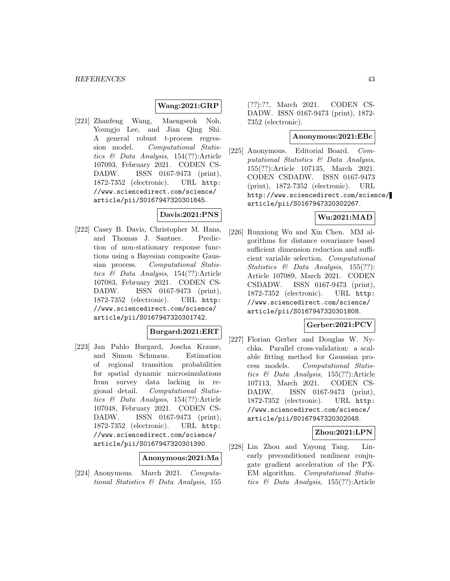## **Wang:2021:GRP**

[221] Zhanfeng Wang, Maengseok Noh, Youngjo Lee, and Jian Qing Shi. A general robust t-process regression model. Computational Statistics & Data Analysis, 154(??):Article 107093, February 2021. CODEN CS-DADW. ISSN 0167-9473 (print), 1872-7352 (electronic). URL http: //www.sciencedirect.com/science/ article/pii/S0167947320301845.

## **Davis:2021:PNS**

[222] Casey B. Davis, Christopher M. Hans, and Thomas J. Santner. Prediction of non-stationary response functions using a Bayesian composite Gaussian process. Computational Statistics & Data Analysis, 154(??):Article 107083, February 2021. CODEN CS-DADW. ISSN 0167-9473 (print), 1872-7352 (electronic). URL http: //www.sciencedirect.com/science/ article/pii/S0167947320301742.

### **Burgard:2021:ERT**

[223] Jan Pablo Burgard, Joscha Krause, and Simon Schmaus. Estimation of regional transition probabilities for spatial dynamic microsimulations from survey data lacking in regional detail. Computational Statistics & Data Analysis, 154(??):Article 107048, February 2021. CODEN CS-DADW. ISSN 0167-9473 (print), 1872-7352 (electronic). URL http: //www.sciencedirect.com/science/ article/pii/S0167947320301390.

#### **Anonymous:2021:Ma**

[224] Anonymous. March 2021. Computational Statistics & Data Analysis, 155

(??):??, March 2021. CODEN CS-DADW. ISSN 0167-9473 (print), 1872- 7352 (electronic).

## **Anonymous:2021:EBc**

[225] Anonymous. Editorial Board. Computational Statistics & Data Analysis, 155(??):Article 107135, March 2021. CODEN CSDADW. ISSN 0167-9473 (print), 1872-7352 (electronic). URL http://www.sciencedirect.com/science/ article/pii/S0167947320302267.

# **Wu:2021:MAD**

[226] Runxiong Wu and Xin Chen. MM algorithms for distance covariance based sufficient dimension reduction and sufficient variable selection. Computational Statistics & Data Analysis, 155(??): Article 107089, March 2021. CODEN CSDADW. ISSN 0167-9473 (print), 1872-7352 (electronic). URL http: //www.sciencedirect.com/science/ article/pii/S0167947320301808.

## **Gerber:2021:PCV**

[227] Florian Gerber and Douglas W. Nychka. Parallel cross-validation: a scalable fitting method for Gaussian process models. Computational Statistics & Data Analysis, 155(??):Article 107113, March 2021. CODEN CS-DADW. ISSN 0167-9473 (print), 1872-7352 (electronic). URL http: //www.sciencedirect.com/science/ article/pii/S0167947320302048.

## **Zhou:2021:LPN**

[228] Lin Zhou and Yayong Tang. Linearly preconditioned nonlinear conjugate gradient acceleration of the PX-EM algorithm. Computational Statistics & Data Analysis, 155(??):Article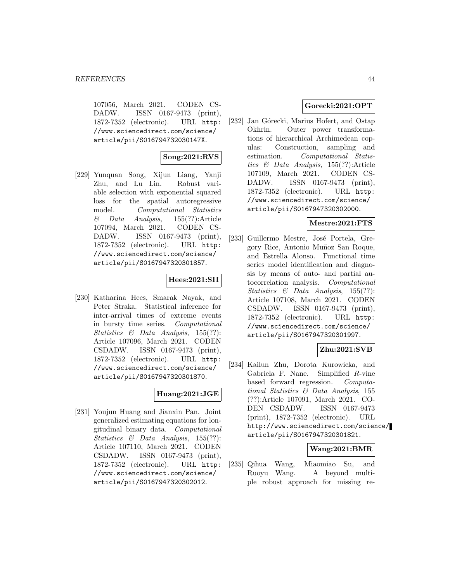107056, March 2021. CODEN CS-DADW. ISSN 0167-9473 (print), 1872-7352 (electronic). URL http: //www.sciencedirect.com/science/ article/pii/S016794732030147X.

## **Song:2021:RVS**

[229] Yunquan Song, Xijun Liang, Yanji Zhu, and Lu Lin. Robust variable selection with exponential squared loss for the spatial autoregressive model. Computational Statistics  $\&$  Data Analysis, 155(??):Article 107094, March 2021. CODEN CS-DADW. ISSN 0167-9473 (print), 1872-7352 (electronic). URL http: //www.sciencedirect.com/science/ article/pii/S0167947320301857.

## **Hees:2021:SII**

[230] Katharina Hees, Smarak Nayak, and Peter Straka. Statistical inference for inter-arrival times of extreme events in bursty time series. Computational Statistics & Data Analysis, 155(??): Article 107096, March 2021. CODEN CSDADW. ISSN 0167-9473 (print), 1872-7352 (electronic). URL http: //www.sciencedirect.com/science/ article/pii/S0167947320301870.

## **Huang:2021:JGE**

[231] Youjun Huang and Jianxin Pan. Joint generalized estimating equations for longitudinal binary data. Computational Statistics & Data Analysis, 155(??): Article 107110, March 2021. CODEN CSDADW. ISSN 0167-9473 (print), 1872-7352 (electronic). URL http: //www.sciencedirect.com/science/ article/pii/S0167947320302012.

## **Gorecki:2021:OPT**

[232] Jan Górecki, Marius Hofert, and Ostap Okhrin. Outer power transformations of hierarchical Archimedean copulas: Construction, sampling and estimation. Computational Statistics & Data Analysis, 155(??):Article 107109, March 2021. CODEN CS-DADW. ISSN 0167-9473 (print), 1872-7352 (electronic). URL http: //www.sciencedirect.com/science/ article/pii/S0167947320302000.

#### **Mestre:2021:FTS**

[233] Guillermo Mestre, José Portela, Gregory Rice, Antonio Mu˜noz San Roque, and Estrella Alonso. Functional time series model identification and diagnosis by means of auto- and partial autocorrelation analysis. Computational Statistics & Data Analysis, 155(??): Article 107108, March 2021. CODEN CSDADW. ISSN 0167-9473 (print), 1872-7352 (electronic). URL http: //www.sciencedirect.com/science/ article/pii/S0167947320301997.

## **Zhu:2021:SVB**

[234] Kailun Zhu, Dorota Kurowicka, and Gabriela F. Nane. Simplified R-vine based forward regression. Computational Statistics & Data Analysis, 155 (??):Article 107091, March 2021. CO-DEN CSDADW. ISSN 0167-9473 (print), 1872-7352 (electronic). URL http://www.sciencedirect.com/science/ article/pii/S0167947320301821.

#### **Wang:2021:BMR**

[235] Qihua Wang, Miaomiao Su, and Ruoyu Wang. A beyond multiple robust approach for missing re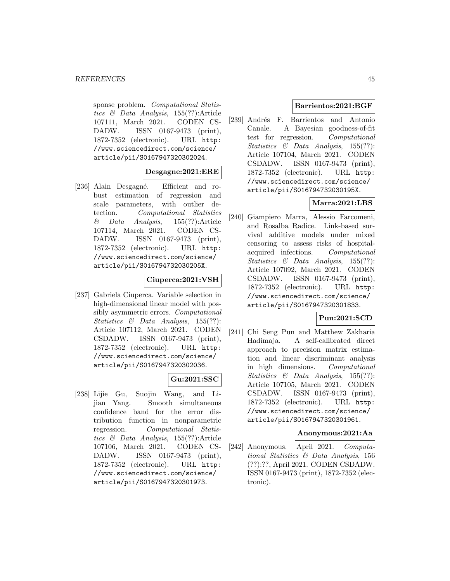sponse problem. Computational Statistics & Data Analysis, 155(??):Article 107111, March 2021. CODEN CS-DADW. ISSN 0167-9473 (print), 1872-7352 (electronic). URL http: //www.sciencedirect.com/science/ article/pii/S0167947320302024.

## **Desgagne:2021:ERE**

[236] Alain Desgagné. Efficient and robust estimation of regression and scale parameters, with outlier detection. Computational Statistics & Data Analysis, 155(??):Article 107114, March 2021. CODEN CS-DADW. ISSN 0167-9473 (print), 1872-7352 (electronic). URL http: //www.sciencedirect.com/science/ article/pii/S016794732030205X.

## **Ciuperca:2021:VSH**

[237] Gabriela Ciuperca. Variable selection in high-dimensional linear model with possibly asymmetric errors. Computational Statistics & Data Analysis, 155(??): Article 107112, March 2021. CODEN CSDADW. ISSN 0167-9473 (print), 1872-7352 (electronic). URL http: //www.sciencedirect.com/science/ article/pii/S0167947320302036.

## **Gu:2021:SSC**

[238] Lijie Gu, Suojin Wang, and Lijian Yang. Smooth simultaneous confidence band for the error distribution function in nonparametric regression. Computational Statistics & Data Analysis, 155(??):Article 107106, March 2021. CODEN CS-DADW. ISSN 0167-9473 (print), 1872-7352 (electronic). URL http: //www.sciencedirect.com/science/ article/pii/S0167947320301973.

### **Barrientos:2021:BGF**

[239] Andrés F. Barrientos and Antonio Canale. A Bayesian goodness-of-fit test for regression. Computational Statistics & Data Analysis, 155(??): Article 107104, March 2021. CODEN CSDADW. ISSN 0167-9473 (print), 1872-7352 (electronic). URL http: //www.sciencedirect.com/science/ article/pii/S016794732030195X.

## **Marra:2021:LBS**

[240] Giampiero Marra, Alessio Farcomeni, and Rosalba Radice. Link-based survival additive models under mixed censoring to assess risks of hospitalacquired infections. Computational Statistics & Data Analysis, 155(??): Article 107092, March 2021. CODEN CSDADW. ISSN 0167-9473 (print), 1872-7352 (electronic). URL http: //www.sciencedirect.com/science/ article/pii/S0167947320301833.

## **Pun:2021:SCD**

[241] Chi Seng Pun and Matthew Zakharia Hadimaja. A self-calibrated direct approach to precision matrix estimation and linear discriminant analysis in high dimensions. Computational Statistics & Data Analysis, 155(??): Article 107105, March 2021. CODEN CSDADW. ISSN 0167-9473 (print), 1872-7352 (electronic). URL http: //www.sciencedirect.com/science/ article/pii/S0167947320301961.

#### **Anonymous:2021:Aa**

[242] Anonymous. April 2021. Computational Statistics & Data Analysis, 156 (??):??, April 2021. CODEN CSDADW. ISSN 0167-9473 (print), 1872-7352 (electronic).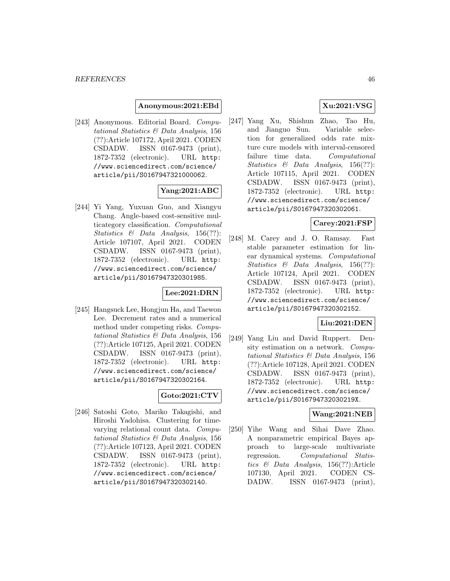#### **Anonymous:2021:EBd**

[243] Anonymous. Editorial Board. Computational Statistics & Data Analysis, 156 (??):Article 107172, April 2021. CODEN CSDADW. ISSN 0167-9473 (print), 1872-7352 (electronic). URL http: //www.sciencedirect.com/science/ article/pii/S0167947321000062.

## **Yang:2021:ABC**

[244] Yi Yang, Yuxuan Guo, and Xiangyu Chang. Angle-based cost-sensitive multicategory classification. Computational Statistics & Data Analysis, 156(??): Article 107107, April 2021. CODEN CSDADW. ISSN 0167-9473 (print), 1872-7352 (electronic). URL http: //www.sciencedirect.com/science/ article/pii/S0167947320301985.

## **Lee:2021:DRN**

[245] Hangsuck Lee, Hongjun Ha, and Taewon Lee. Decrement rates and a numerical method under competing risks. Computational Statistics & Data Analysis, 156 (??):Article 107125, April 2021. CODEN CSDADW. ISSN 0167-9473 (print), 1872-7352 (electronic). URL http: //www.sciencedirect.com/science/ article/pii/S0167947320302164.

#### **Goto:2021:CTV**

[246] Satoshi Goto, Mariko Takagishi, and Hiroshi Yadohisa. Clustering for timevarying relational count data. Computational Statistics & Data Analysis, 156 (??):Article 107123, April 2021. CODEN CSDADW. ISSN 0167-9473 (print), 1872-7352 (electronic). URL http: //www.sciencedirect.com/science/ article/pii/S0167947320302140.

## **Xu:2021:VSG**

[247] Yang Xu, Shishun Zhao, Tao Hu, and Jianguo Sun. Variable selection for generalized odds rate mixture cure models with interval-censored failure time data. Computational Statistics & Data Analysis, 156(??): Article 107115, April 2021. CODEN CSDADW. ISSN 0167-9473 (print), 1872-7352 (electronic). URL http: //www.sciencedirect.com/science/ article/pii/S0167947320302061.

#### **Carey:2021:FSP**

[248] M. Carey and J. O. Ramsay. Fast stable parameter estimation for linear dynamical systems. Computational Statistics & Data Analysis, 156(??): Article 107124, April 2021. CODEN CSDADW. ISSN 0167-9473 (print), 1872-7352 (electronic). URL http: //www.sciencedirect.com/science/ article/pii/S0167947320302152.

#### **Liu:2021:DEN**

[249] Yang Liu and David Ruppert. Density estimation on a network. Computational Statistics & Data Analysis, 156 (??):Article 107128, April 2021. CODEN CSDADW. ISSN 0167-9473 (print), 1872-7352 (electronic). URL http: //www.sciencedirect.com/science/ article/pii/S016794732030219X.

## **Wang:2021:NEB**

[250] Yihe Wang and Sihai Dave Zhao. A nonparametric empirical Bayes approach to large-scale multivariate regression. Computational Statistics & Data Analysis, 156(??):Article 107130, April 2021. CODEN CS-DADW. ISSN 0167-9473 (print),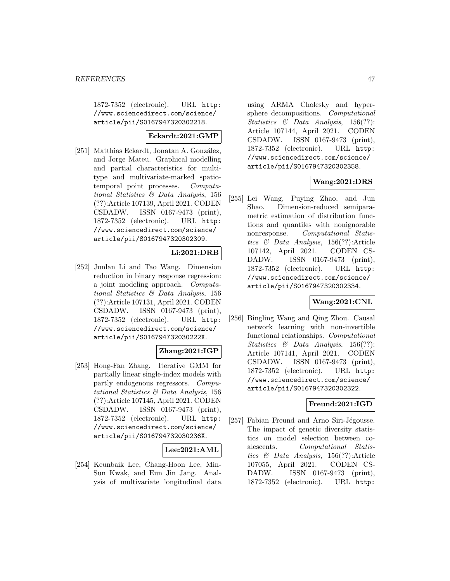1872-7352 (electronic). URL http: //www.sciencedirect.com/science/ article/pii/S0167947320302218.

## **Eckardt:2021:GMP**

[251] Matthias Eckardt, Jonatan A. González, and Jorge Mateu. Graphical modelling and partial characteristics for multitype and multivariate-marked spatiotemporal point processes. Computational Statistics & Data Analysis, 156 (??):Article 107139, April 2021. CODEN CSDADW. ISSN 0167-9473 (print), 1872-7352 (electronic). URL http: //www.sciencedirect.com/science/ article/pii/S0167947320302309.

## **Li:2021:DRB**

[252] Junlan Li and Tao Wang. Dimension reduction in binary response regression: a joint modeling approach. Computational Statistics & Data Analysis, 156 (??):Article 107131, April 2021. CODEN CSDADW. ISSN 0167-9473 (print), 1872-7352 (electronic). URL http: //www.sciencedirect.com/science/ article/pii/S016794732030222X.

## **Zhang:2021:IGP**

[253] Hong-Fan Zhang. Iterative GMM for partially linear single-index models with partly endogenous regressors. Computational Statistics & Data Analysis, 156 (??):Article 107145, April 2021. CODEN CSDADW. ISSN 0167-9473 (print), 1872-7352 (electronic). URL http: //www.sciencedirect.com/science/ article/pii/S016794732030236X.

## **Lee:2021:AML**

[254] Keunbaik Lee, Chang-Hoon Lee, Min-Sun Kwak, and Eun Jin Jang. Analysis of multivariate longitudinal data using ARMA Cholesky and hypersphere decompositions. Computational Statistics & Data Analysis, 156(??): Article 107144, April 2021. CODEN CSDADW. ISSN 0167-9473 (print), 1872-7352 (electronic). URL http: //www.sciencedirect.com/science/ article/pii/S0167947320302358.

## **Wang:2021:DRS**

[255] Lei Wang, Puying Zhao, and Jun Shao. Dimension-reduced semiparametric estimation of distribution functions and quantiles with nonignorable nonresponse. Computational Statistics & Data Analysis, 156(??):Article 107142, April 2021. CODEN CS-DADW. ISSN 0167-9473 (print), 1872-7352 (electronic). URL http: //www.sciencedirect.com/science/ article/pii/S0167947320302334.

## **Wang:2021:CNL**

[256] Bingling Wang and Qing Zhou. Causal network learning with non-invertible functional relationships. Computational Statistics  $\&$  Data Analysis, 156(??): Article 107141, April 2021. CODEN CSDADW. ISSN 0167-9473 (print), 1872-7352 (electronic). URL http: //www.sciencedirect.com/science/ article/pii/S0167947320302322.

## **Freund:2021:IGD**

[257] Fabian Freund and Arno Siri-Jégousse. The impact of genetic diversity statistics on model selection between coalescents. Computational Statistics & Data Analysis, 156(??):Article 107055, April 2021. CODEN CS-DADW. ISSN 0167-9473 (print), 1872-7352 (electronic). URL http: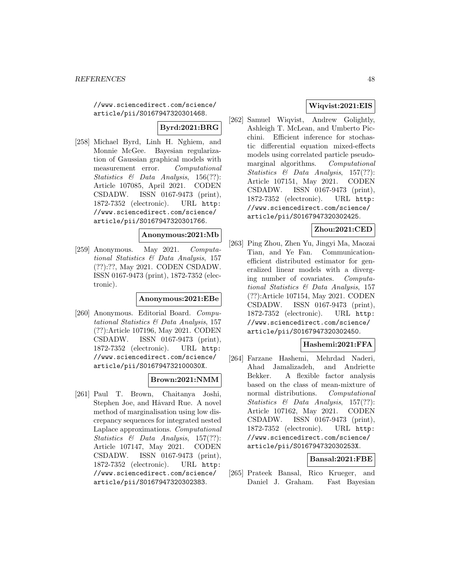//www.sciencedirect.com/science/ article/pii/S0167947320301468.

**Byrd:2021:BRG**

[258] Michael Byrd, Linh H. Nghiem, and Monnie McGee. Bayesian regularization of Gaussian graphical models with measurement error. Computational Statistics & Data Analysis, 156(??): Article 107085, April 2021. CODEN CSDADW. ISSN 0167-9473 (print), 1872-7352 (electronic). URL http: //www.sciencedirect.com/science/ article/pii/S0167947320301766.

## **Anonymous:2021:Mb**

[259] Anonymous. May 2021. Computational Statistics & Data Analysis, 157 (??):??, May 2021. CODEN CSDADW. ISSN 0167-9473 (print), 1872-7352 (electronic).

#### **Anonymous:2021:EBe**

[260] Anonymous. Editorial Board. Computational Statistics & Data Analysis, 157 (??):Article 107196, May 2021. CODEN CSDADW. ISSN 0167-9473 (print), 1872-7352 (electronic). URL http: //www.sciencedirect.com/science/ article/pii/S016794732100030X.

## **Brown:2021:NMM**

[261] Paul T. Brown, Chaitanya Joshi, Stephen Joe, and Håvard Rue. A novel method of marginalisation using low discrepancy sequences for integrated nested Laplace approximations. Computational Statistics & Data Analysis, 157(??): Article 107147, May 2021. CODEN CSDADW. ISSN 0167-9473 (print), 1872-7352 (electronic). URL http: //www.sciencedirect.com/science/ article/pii/S0167947320302383.

## **Wiqvist:2021:EIS**

[262] Samuel Wiqvist, Andrew Golightly, Ashleigh T. McLean, and Umberto Picchini. Efficient inference for stochastic differential equation mixed-effects models using correlated particle pseudomarginal algorithms. Computational Statistics & Data Analysis, 157(??): Article 107151, May 2021. CODEN CSDADW. ISSN 0167-9473 (print), 1872-7352 (electronic). URL http: //www.sciencedirect.com/science/ article/pii/S0167947320302425.

## **Zhou:2021:CED**

[263] Ping Zhou, Zhen Yu, Jingyi Ma, Maozai Tian, and Ye Fan. Communicationefficient distributed estimator for generalized linear models with a diverging number of covariates. Computational Statistics & Data Analysis, 157 (??):Article 107154, May 2021. CODEN CSDADW. ISSN 0167-9473 (print), 1872-7352 (electronic). URL http: //www.sciencedirect.com/science/ article/pii/S0167947320302450.

## **Hashemi:2021:FFA**

[264] Farzane Hashemi, Mehrdad Naderi, Ahad Jamalizadeh, and Andriette Bekker. A flexible factor analysis based on the class of mean-mixture of normal distributions. Computational Statistics & Data Analysis, 157(??): Article 107162, May 2021. CODEN CSDADW. ISSN 0167-9473 (print), 1872-7352 (electronic). URL http: //www.sciencedirect.com/science/ article/pii/S016794732030253X.

## **Bansal:2021:FBE**

[265] Prateek Bansal, Rico Krueger, and Daniel J. Graham. Fast Bayesian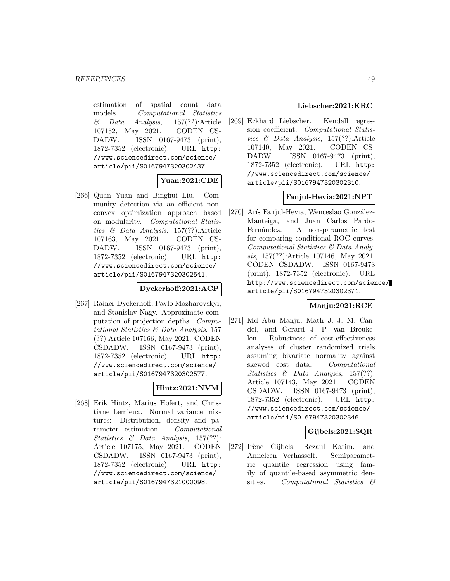estimation of spatial count data models. Computational Statistics  $\&$  Data Analysis, 157(??):Article 107152, May 2021. CODEN CS-DADW. ISSN 0167-9473 (print), 1872-7352 (electronic). URL http: //www.sciencedirect.com/science/ article/pii/S0167947320302437.

# **Yuan:2021:CDE**

[266] Quan Yuan and Binghui Liu. Community detection via an efficient nonconvex optimization approach based on modularity. Computational Statistics & Data Analysis, 157(??):Article 107163, May 2021. CODEN CS-DADW. ISSN 0167-9473 (print), 1872-7352 (electronic). URL http: //www.sciencedirect.com/science/ article/pii/S0167947320302541.

## **Dyckerhoff:2021:ACP**

[267] Rainer Dyckerhoff, Pavlo Mozharovskyi, and Stanislav Nagy. Approximate computation of projection depths. Computational Statistics & Data Analysis, 157 (??):Article 107166, May 2021. CODEN CSDADW. ISSN 0167-9473 (print), 1872-7352 (electronic). URL http: //www.sciencedirect.com/science/ article/pii/S0167947320302577.

## **Hintz:2021:NVM**

[268] Erik Hintz, Marius Hofert, and Christiane Lemieux. Normal variance mixtures: Distribution, density and parameter estimation. Computational Statistics & Data Analysis, 157(??): Article 107175, May 2021. CODEN CSDADW. ISSN 0167-9473 (print), 1872-7352 (electronic). URL http: //www.sciencedirect.com/science/ article/pii/S0167947321000098.

## **Liebscher:2021:KRC**

[269] Eckhard Liebscher. Kendall regression coefficient. Computational Statistics & Data Analysis, 157(??):Article 107140, May 2021. CODEN CS-DADW. ISSN 0167-9473 (print), 1872-7352 (electronic). URL http: //www.sciencedirect.com/science/ article/pii/S0167947320302310.

### **Fanjul-Hevia:2021:NPT**

[270] Arís Fanjul-Hevia, Wenceslao González-Manteiga, and Juan Carlos Pardo-Fernández. A non-parametric test for comparing conditional ROC curves. Computational Statistics & Data Analysis, 157(??):Article 107146, May 2021. CODEN CSDADW. ISSN 0167-9473 (print), 1872-7352 (electronic). URL http://www.sciencedirect.com/science/ article/pii/S0167947320302371.

## **Manju:2021:RCE**

[271] Md Abu Manju, Math J. J. M. Candel, and Gerard J. P. van Breukelen. Robustness of cost-effectiveness analyses of cluster randomized trials assuming bivariate normality against skewed cost data. Computational Statistics & Data Analysis, 157(??): Article 107143, May 2021. CODEN CSDADW. ISSN 0167-9473 (print), 1872-7352 (electronic). URL http: //www.sciencedirect.com/science/ article/pii/S0167947320302346.

## **Gijbels:2021:SQR**

[272] Irène Gijbels, Rezaul Karim, and Anneleen Verhasselt. Semiparametric quantile regression using family of quantile-based asymmetric densities. Computational Statistics &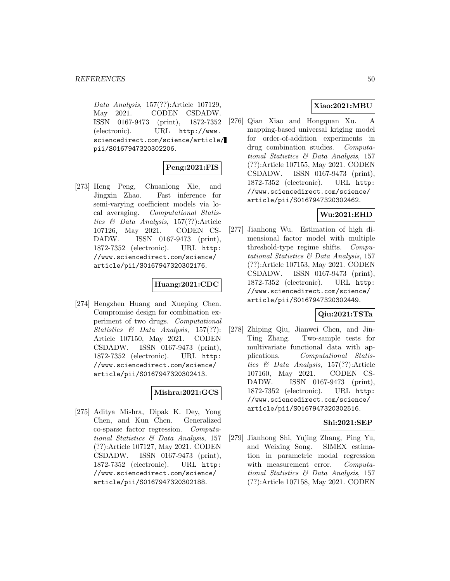Data Analysis, 157(??):Article 107129, May 2021. CODEN CSDADW. ISSN 0167-9473 (print), 1872-7352 (electronic). URL http://www. sciencedirect.com/science/article/ pii/S0167947320302206.

# **Peng:2021:FIS**

[273] Heng Peng, Chuanlong Xie, and Jingxin Zhao. Fast inference for semi-varying coefficient models via local averaging. Computational Statistics & Data Analysis, 157(??):Article 107126, May 2021. CODEN CS-DADW. ISSN 0167-9473 (print), 1872-7352 (electronic). URL http: //www.sciencedirect.com/science/ article/pii/S0167947320302176.

## **Huang:2021:CDC**

[274] Hengzhen Huang and Xueping Chen. Compromise design for combination experiment of two drugs. Computational Statistics & Data Analysis, 157(??): Article 107150, May 2021. CODEN CSDADW. ISSN 0167-9473 (print), 1872-7352 (electronic). URL http: //www.sciencedirect.com/science/ article/pii/S0167947320302413.

## **Mishra:2021:GCS**

[275] Aditya Mishra, Dipak K. Dey, Yong Chen, and Kun Chen. Generalized co-sparse factor regression. Computational Statistics & Data Analysis, 157 (??):Article 107127, May 2021. CODEN CSDADW. ISSN 0167-9473 (print), 1872-7352 (electronic). URL http: //www.sciencedirect.com/science/ article/pii/S0167947320302188.

## **Xiao:2021:MBU**

[276] Qian Xiao and Hongquan Xu. A mapping-based universal kriging model for order-of-addition experiments in drug combination studies. Computational Statistics & Data Analysis, 157 (??):Article 107155, May 2021. CODEN CSDADW. ISSN 0167-9473 (print), 1872-7352 (electronic). URL http: //www.sciencedirect.com/science/ article/pii/S0167947320302462.

## **Wu:2021:EHD**

[277] Jianhong Wu. Estimation of high dimensional factor model with multiple threshold-type regime shifts. Computational Statistics & Data Analysis, 157 (??):Article 107153, May 2021. CODEN CSDADW. ISSN 0167-9473 (print), 1872-7352 (electronic). URL http: //www.sciencedirect.com/science/ article/pii/S0167947320302449.

## **Qiu:2021:TSTa**

[278] Zhiping Qiu, Jianwei Chen, and Jin-Ting Zhang. Two-sample tests for multivariate functional data with applications. Computational Statistics & Data Analysis, 157(??):Article 107160, May 2021. CODEN CS-DADW. ISSN 0167-9473 (print), 1872-7352 (electronic). URL http: //www.sciencedirect.com/science/ article/pii/S0167947320302516.

## **Shi:2021:SEP**

[279] Jianhong Shi, Yujing Zhang, Ping Yu, and Weixing Song. SIMEX estimation in parametric modal regression with measurement error. Computational Statistics & Data Analysis, 157 (??):Article 107158, May 2021. CODEN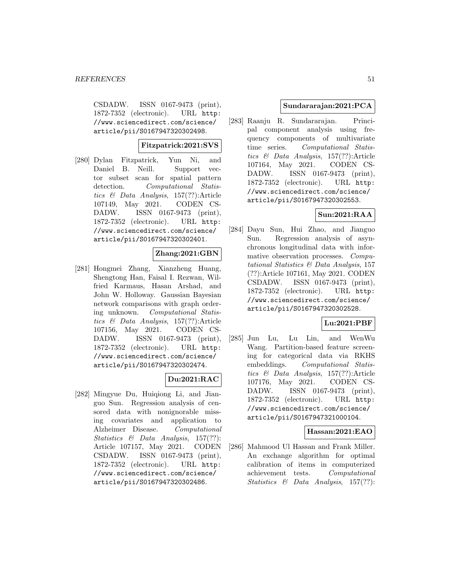CSDADW. ISSN 0167-9473 (print), 1872-7352 (electronic). URL http: //www.sciencedirect.com/science/ article/pii/S0167947320302498.

## **Fitzpatrick:2021:SVS**

[280] Dylan Fitzpatrick, Yun Ni, and Daniel B. Neill. Support vector subset scan for spatial pattern detection. Computational Statistics & Data Analysis, 157(??):Article 107149, May 2021. CODEN CS-DADW. ISSN 0167-9473 (print), 1872-7352 (electronic). URL http: //www.sciencedirect.com/science/ article/pii/S0167947320302401.

## **Zhang:2021:GBN**

[281] Hongmei Zhang, Xianzheng Huang, Shengtong Han, Faisal I. Rezwan, Wilfried Karmaus, Hasan Arshad, and John W. Holloway. Gaussian Bayesian network comparisons with graph ordering unknown. Computational Statistics & Data Analysis, 157(??):Article 107156, May 2021. CODEN CS-DADW. ISSN 0167-9473 (print), 1872-7352 (electronic). URL http: //www.sciencedirect.com/science/ article/pii/S0167947320302474.

## **Du:2021:RAC**

[282] Mingyue Du, Huiqiong Li, and Jianguo Sun. Regression analysis of censored data with nonignorable missing covariates and application to Alzheimer Disease. Computational Statistics & Data Analysis, 157(??): Article 107157, May 2021. CODEN CSDADW. ISSN 0167-9473 (print), 1872-7352 (electronic). URL http: //www.sciencedirect.com/science/ article/pii/S0167947320302486.

### **Sundararajan:2021:PCA**

[283] Raanju R. Sundararajan. Principal component analysis using frequency components of multivariate time series. Computational Statistics & Data Analysis, 157(??):Article 107164, May 2021. CODEN CS-DADW. ISSN 0167-9473 (print), 1872-7352 (electronic). URL http: //www.sciencedirect.com/science/ article/pii/S0167947320302553.

## **Sun:2021:RAA**

[284] Dayu Sun, Hui Zhao, and Jianguo Sun. Regression analysis of asynchronous longitudinal data with informative observation processes. Computational Statistics & Data Analysis, 157 (??):Article 107161, May 2021. CODEN CSDADW. ISSN 0167-9473 (print), 1872-7352 (electronic). URL http: //www.sciencedirect.com/science/ article/pii/S0167947320302528.

## **Lu:2021:PBF**

[285] Jun Lu, Lu Lin, and WenWu Wang. Partition-based feature screening for categorical data via RKHS embeddings. Computational Statistics & Data Analysis, 157(??):Article 107176, May 2021. CODEN CS-DADW. ISSN 0167-9473 (print), 1872-7352 (electronic). URL http: //www.sciencedirect.com/science/ article/pii/S0167947321000104.

## **Hassan:2021:EAO**

[286] Mahmood Ul Hassan and Frank Miller. An exchange algorithm for optimal calibration of items in computerized achievement tests. Computational Statistics & Data Analysis, 157(??):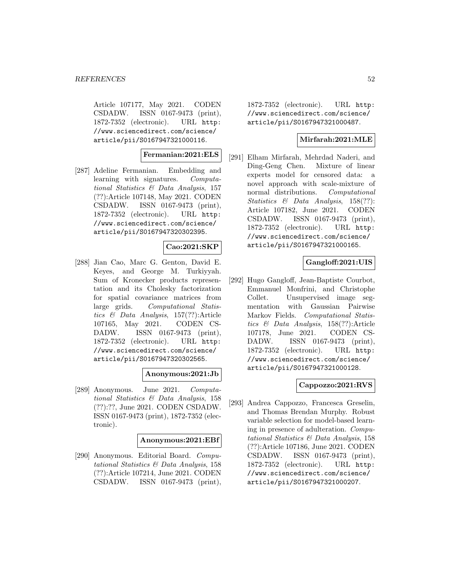Article 107177, May 2021. CODEN CSDADW. ISSN 0167-9473 (print), 1872-7352 (electronic). URL http: //www.sciencedirect.com/science/ article/pii/S0167947321000116.

**Fermanian:2021:ELS**

[287] Adeline Fermanian. Embedding and learning with signatures. Computational Statistics & Data Analysis, 157 (??):Article 107148, May 2021. CODEN CSDADW. ISSN 0167-9473 (print), 1872-7352 (electronic). URL http: //www.sciencedirect.com/science/ article/pii/S0167947320302395.

#### **Cao:2021:SKP**

[288] Jian Cao, Marc G. Genton, David E. Keyes, and George M. Turkiyyah. Sum of Kronecker products representation and its Cholesky factorization for spatial covariance matrices from large grids. Computational Statistics & Data Analysis, 157(??):Article 107165, May 2021. CODEN CS-DADW. ISSN 0167-9473 (print), 1872-7352 (electronic). URL http: //www.sciencedirect.com/science/ article/pii/S0167947320302565.

#### **Anonymous:2021:Jb**

[289] Anonymous. June 2021. Computational Statistics & Data Analysis, 158 (??):??, June 2021. CODEN CSDADW. ISSN 0167-9473 (print), 1872-7352 (electronic).

#### **Anonymous:2021:EBf**

[290] Anonymous. Editorial Board. Computational Statistics & Data Analysis, 158 (??):Article 107214, June 2021. CODEN CSDADW. ISSN 0167-9473 (print),

1872-7352 (electronic). URL http: //www.sciencedirect.com/science/ article/pii/S0167947321000487.

## **Mirfarah:2021:MLE**

[291] Elham Mirfarah, Mehrdad Naderi, and Ding-Geng Chen. Mixture of linear experts model for censored data: a novel approach with scale-mixture of normal distributions. Computational Statistics & Data Analysis, 158(??): Article 107182, June 2021. CODEN CSDADW. ISSN 0167-9473 (print), 1872-7352 (electronic). URL http: //www.sciencedirect.com/science/ article/pii/S0167947321000165.

## **Gangloff:2021:UIS**

[292] Hugo Gangloff, Jean-Baptiste Courbot, Emmanuel Monfrini, and Christophe Collet. Unsupervised image segmentation with Gaussian Pairwise Markov Fields. Computational Statistics & Data Analysis, 158(??):Article 107178, June 2021. CODEN CS-DADW. ISSN 0167-9473 (print), 1872-7352 (electronic). URL http: //www.sciencedirect.com/science/ article/pii/S0167947321000128.

## **Cappozzo:2021:RVS**

[293] Andrea Cappozzo, Francesca Greselin, and Thomas Brendan Murphy. Robust variable selection for model-based learning in presence of adulteration. Computational Statistics & Data Analysis, 158 (??):Article 107186, June 2021. CODEN CSDADW. ISSN 0167-9473 (print), 1872-7352 (electronic). URL http: //www.sciencedirect.com/science/ article/pii/S0167947321000207.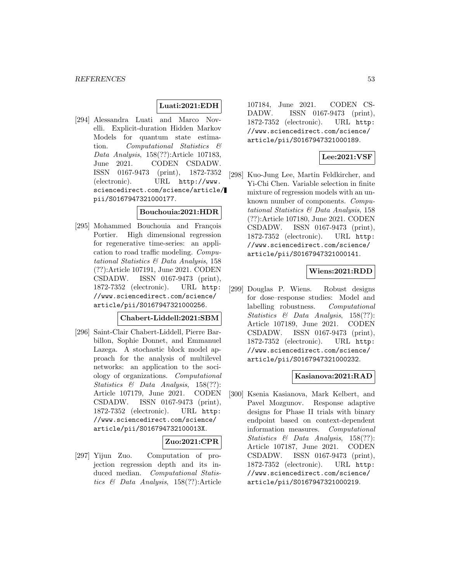## **Luati:2021:EDH**

[294] Alessandra Luati and Marco Novelli. Explicit-duration Hidden Markov Models for quantum state estimation. Computational Statistics & Data Analysis, 158(??):Article 107183, June 2021. CODEN CSDADW. ISSN 0167-9473 (print), 1872-7352 (electronic). URL http://www. sciencedirect.com/science/article/ pii/S0167947321000177.

## **Bouchouia:2021:HDR**

[295] Mohammed Bouchouia and François Portier. High dimensional regression for regenerative time-series: an application to road traffic modeling. Computational Statistics & Data Analysis, 158 (??):Article 107191, June 2021. CODEN CSDADW. ISSN 0167-9473 (print), 1872-7352 (electronic). URL http: //www.sciencedirect.com/science/ article/pii/S0167947321000256.

#### **Chabert-Liddell:2021:SBM**

[296] Saint-Clair Chabert-Liddell, Pierre Barbillon, Sophie Donnet, and Emmanuel Lazega. A stochastic block model approach for the analysis of multilevel networks: an application to the sociology of organizations. Computational Statistics & Data Analysis, 158(??): Article 107179, June 2021. CODEN CSDADW. ISSN 0167-9473 (print), 1872-7352 (electronic). URL http: //www.sciencedirect.com/science/ article/pii/S016794732100013X.

## **Zuo:2021:CPR**

[297] Yijun Zuo. Computation of projection regression depth and its induced median. Computational Statistics & Data Analysis, 158(??):Article 107184, June 2021. CODEN CS-DADW. ISSN 0167-9473 (print), 1872-7352 (electronic). URL http: //www.sciencedirect.com/science/ article/pii/S0167947321000189.

## **Lee:2021:VSF**

[298] Kuo-Jung Lee, Martin Feldkircher, and Yi-Chi Chen. Variable selection in finite mixture of regression models with an unknown number of components. Computational Statistics & Data Analysis, 158 (??):Article 107180, June 2021. CODEN CSDADW. ISSN 0167-9473 (print), 1872-7352 (electronic). URL http: //www.sciencedirect.com/science/ article/pii/S0167947321000141.

## **Wiens:2021:RDD**

[299] Douglas P. Wiens. Robust designs for dose–response studies: Model and labelling robustness. Computational Statistics & Data Analysis, 158(??): Article 107189, June 2021. CODEN CSDADW. ISSN 0167-9473 (print), 1872-7352 (electronic). URL http: //www.sciencedirect.com/science/ article/pii/S0167947321000232.

## **Kasianova:2021:RAD**

[300] Ksenia Kasianova, Mark Kelbert, and Pavel Mozgunov. Response adaptive designs for Phase II trials with binary endpoint based on context-dependent information measures. Computational Statistics & Data Analysis, 158(??): Article 107187, June 2021. CODEN CSDADW. ISSN 0167-9473 (print), 1872-7352 (electronic). URL http: //www.sciencedirect.com/science/ article/pii/S0167947321000219.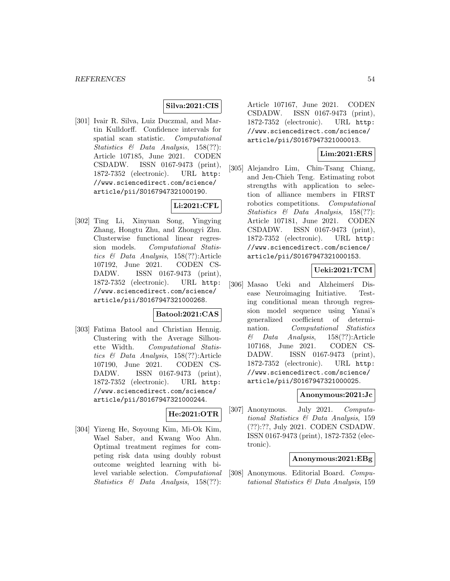### **Silva:2021:CIS**

[301] Ivair R. Silva, Luiz Duczmal, and Martin Kulldorff. Confidence intervals for spatial scan statistic. Computational Statistics & Data Analysis, 158(??): Article 107185, June 2021. CODEN CSDADW. ISSN 0167-9473 (print), 1872-7352 (electronic). URL http: //www.sciencedirect.com/science/ article/pii/S0167947321000190.

# **Li:2021:CFL**

[302] Ting Li, Xinyuan Song, Yingying Zhang, Hongtu Zhu, and Zhongyi Zhu. Clusterwise functional linear regression models. Computational Statistics & Data Analysis, 158(??):Article 107192, June 2021. CODEN CS-DADW. ISSN 0167-9473 (print), 1872-7352 (electronic). URL http: //www.sciencedirect.com/science/ article/pii/S0167947321000268.

## **Batool:2021:CAS**

[303] Fatima Batool and Christian Hennig. Clustering with the Average Silhouette Width. Computational Statistics & Data Analysis, 158(??):Article 107190, June 2021. CODEN CS-DADW. ISSN 0167-9473 (print), 1872-7352 (electronic). URL http: //www.sciencedirect.com/science/ article/pii/S0167947321000244.

## **He:2021:OTR**

[304] Yizeng He, Soyoung Kim, Mi-Ok Kim, Wael Saber, and Kwang Woo Ahn. Optimal treatment regimes for competing risk data using doubly robust outcome weighted learning with bilevel variable selection. Computational Statistics & Data Analysis, 158(??):

Article 107167, June 2021. CODEN CSDADW. ISSN 0167-9473 (print), 1872-7352 (electronic). URL http: //www.sciencedirect.com/science/ article/pii/S0167947321000013.

## **Lim:2021:ERS**

[305] Alejandro Lim, Chin-Tsang Chiang, and Jen-Chieh Teng. Estimating robot strengths with application to selection of alliance members in FIRST robotics competitions. Computational Statistics & Data Analysis, 158(??): Article 107181, June 2021. CODEN CSDADW. ISSN 0167-9473 (print), 1872-7352 (electronic). URL http: //www.sciencedirect.com/science/ article/pii/S0167947321000153.

## **Ueki:2021:TCM**

[306] Masao Ueki and Alzheimers<sup>\*</sup> Disease Neuroimaging Initiative. Testing conditional mean through regression model sequence using Yanai's generalized coefficient of determination. Computational Statistics & Data Analysis, 158(??):Article 107168, June 2021. CODEN CS-DADW. ISSN 0167-9473 (print), 1872-7352 (electronic). URL http: //www.sciencedirect.com/science/ article/pii/S0167947321000025.

#### **Anonymous:2021:Jc**

[307] Anonymous. July 2021. Computational Statistics & Data Analysis, 159 (??):??, July 2021. CODEN CSDADW. ISSN 0167-9473 (print), 1872-7352 (electronic).

#### **Anonymous:2021:EBg**

[308] Anonymous. Editorial Board. Computational Statistics & Data Analysis, 159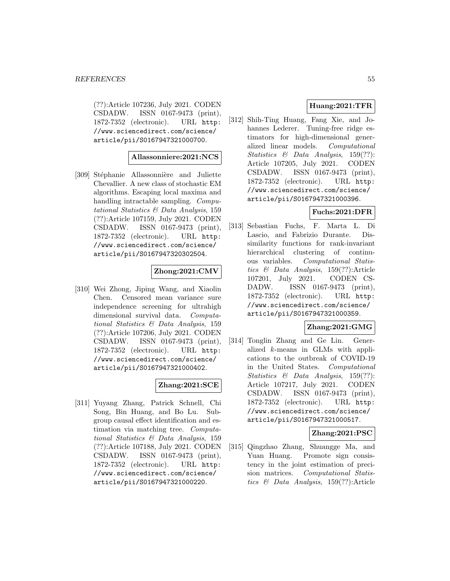(??):Article 107236, July 2021. CODEN CSDADW. ISSN 0167-9473 (print), 1872-7352 (electronic). URL http: //www.sciencedirect.com/science/ article/pii/S0167947321000700.

## **Allassonniere:2021:NCS**

[309] Stéphanie Allassonnière and Juliette Chevallier. A new class of stochastic EM algorithms. Escaping local maxima and handling intractable sampling. Computational Statistics & Data Analysis, 159 (??):Article 107159, July 2021. CODEN CSDADW. ISSN 0167-9473 (print), 1872-7352 (electronic). URL http: //www.sciencedirect.com/science/ article/pii/S0167947320302504.

## **Zhong:2021:CMV**

[310] Wei Zhong, Jiping Wang, and Xiaolin Chen. Censored mean variance sure independence screening for ultrahigh dimensional survival data. Computational Statistics & Data Analysis, 159 (??):Article 107206, July 2021. CODEN CSDADW. ISSN 0167-9473 (print), 1872-7352 (electronic). URL http: //www.sciencedirect.com/science/ article/pii/S0167947321000402.

## **Zhang:2021:SCE**

[311] Yuyang Zhang, Patrick Schnell, Chi Song, Bin Huang, and Bo Lu. Subgroup causal effect identification and estimation via matching tree. Computational Statistics & Data Analysis, 159 (??):Article 107188, July 2021. CODEN CSDADW. ISSN 0167-9473 (print), 1872-7352 (electronic). URL http: //www.sciencedirect.com/science/ article/pii/S0167947321000220.

## **Huang:2021:TFR**

[312] Shih-Ting Huang, Fang Xie, and Johannes Lederer. Tuning-free ridge estimators for high-dimensional generalized linear models. Computational Statistics & Data Analysis, 159(??): Article 107205, July 2021. CODEN CSDADW. ISSN 0167-9473 (print), 1872-7352 (electronic). URL http: //www.sciencedirect.com/science/ article/pii/S0167947321000396.

## **Fuchs:2021:DFR**

[313] Sebastian Fuchs, F. Marta L. Di Lascio, and Fabrizio Durante. Dissimilarity functions for rank-invariant hierarchical clustering of continuous variables. Computational Statistics & Data Analysis, 159(??):Article 107201, July 2021. CODEN CS-DADW. ISSN 0167-9473 (print), 1872-7352 (electronic). URL http: //www.sciencedirect.com/science/ article/pii/S0167947321000359.

## **Zhang:2021:GMG**

[314] Tonglin Zhang and Ge Lin. Generalized k-means in GLMs with applications to the outbreak of COVID-19 in the United States. Computational Statistics & Data Analysis, 159(??): Article 107217, July 2021. CODEN CSDADW. ISSN 0167-9473 (print), 1872-7352 (electronic). URL http: //www.sciencedirect.com/science/ article/pii/S0167947321000517.

## **Zhang:2021:PSC**

[315] Qingzhao Zhang, Shuangge Ma, and Yuan Huang. Promote sign consistency in the joint estimation of precision matrices. Computational Statistics & Data Analysis, 159(??):Article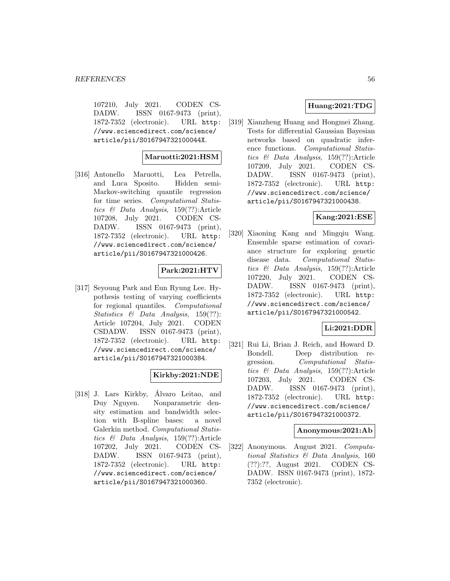107210, July 2021. CODEN CS-DADW. ISSN 0167-9473 (print), 1872-7352 (electronic). URL http: //www.sciencedirect.com/science/ article/pii/S016794732100044X.

## **Maruotti:2021:HSM**

[316] Antonello Maruotti, Lea Petrella, and Luca Sposito. Hidden semi-Markov-switching quantile regression for time series. Computational Statistics & Data Analysis, 159(??):Article 107208, July 2021. CODEN CS-DADW. ISSN 0167-9473 (print), 1872-7352 (electronic). URL http: //www.sciencedirect.com/science/ article/pii/S0167947321000426.

## **Park:2021:HTV**

[317] Seyoung Park and Eun Ryung Lee. Hypothesis testing of varying coefficients for regional quantiles. Computational Statistics & Data Analysis, 159(??): Article 107204, July 2021. CODEN CSDADW. ISSN 0167-9473 (print), 1872-7352 (electronic). URL http: //www.sciencedirect.com/science/ article/pii/S0167947321000384.

## **Kirkby:2021:NDE**

[318] J. Lars Kirkby, Alvaro Leitao, and ´ Duy Nguyen. Nonparametric density estimation and bandwidth selection with B-spline bases: a novel Galerkin method. Computational Statistics & Data Analysis, 159(??):Article 107202, July 2021. CODEN CS-DADW. ISSN 0167-9473 (print), 1872-7352 (electronic). URL http: //www.sciencedirect.com/science/ article/pii/S0167947321000360.

## **Huang:2021:TDG**

[319] Xianzheng Huang and Hongmei Zhang. Tests for differential Gaussian Bayesian networks based on quadratic inference functions. Computational Statistics & Data Analysis, 159(??):Article 107209, July 2021. CODEN CS-DADW. ISSN 0167-9473 (print), 1872-7352 (electronic). URL http: //www.sciencedirect.com/science/ article/pii/S0167947321000438.

## **Kang:2021:ESE**

[320] Xiaoning Kang and Mingqiu Wang. Ensemble sparse estimation of covariance structure for exploring genetic disease data. Computational Statistics & Data Analysis, 159(??):Article 107220, July 2021. CODEN CS-DADW. ISSN 0167-9473 (print), 1872-7352 (electronic). URL http: //www.sciencedirect.com/science/ article/pii/S0167947321000542.

# **Li:2021:DDR**

[321] Rui Li, Brian J. Reich, and Howard D. Bondell. Deep distribution regression. Computational Statistics & Data Analysis, 159(??):Article 107203, July 2021. CODEN CS-DADW. ISSN 0167-9473 (print), 1872-7352 (electronic). URL http: //www.sciencedirect.com/science/ article/pii/S0167947321000372.

#### **Anonymous:2021:Ab**

[322] Anonymous. August 2021. Computational Statistics & Data Analysis, 160 (??):??, August 2021. CODEN CS-DADW. ISSN 0167-9473 (print), 1872- 7352 (electronic).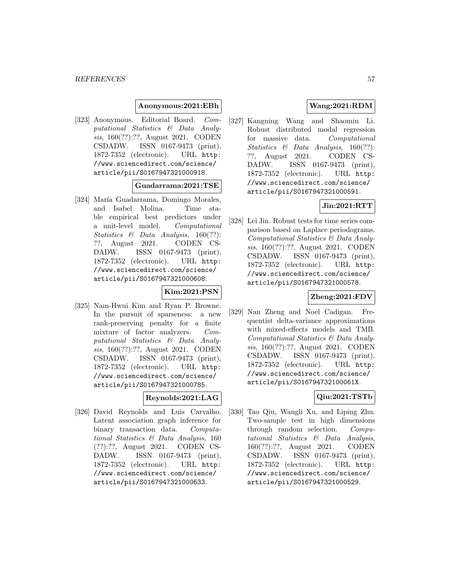### **Anonymous:2021:EBh**

[323] Anonymous. Editorial Board. Computational Statistics & Data Analysis, 160(??):??, August 2021. CODEN CSDADW. ISSN 0167-9473 (print), 1872-7352 (electronic). URL http: //www.sciencedirect.com/science/ article/pii/S0167947321000918.

#### **Guadarrama:2021:TSE**

[324] María Guadarrama, Domingo Morales, and Isabel Molina. Time stable empirical best predictors under a unit-level model. Computational Statistics & Data Analysis, 160(??): ??, August 2021. CODEN CS-DADW. ISSN 0167-9473 (print), 1872-7352 (electronic). URL http: //www.sciencedirect.com/science/ article/pii/S0167947321000608.

#### **Kim:2021:PSN**

[325] Nam-Hwui Kim and Ryan P. Browne. In the pursuit of sparseness: a new rank-preserving penalty for a finite mixture of factor analyzers. Computational Statistics & Data Analysis, 160(??):??, August 2021. CODEN CSDADW. ISSN 0167-9473 (print), 1872-7352 (electronic). URL http: //www.sciencedirect.com/science/ article/pii/S0167947321000785.

## **Reynolds:2021:LAG**

[326] David Reynolds and Luis Carvalho. Latent association graph inference for binary transaction data. Computational Statistics & Data Analysis, 160 (??):??, August 2021. CODEN CS-DADW. ISSN 0167-9473 (print), 1872-7352 (electronic). URL http: //www.sciencedirect.com/science/ article/pii/S0167947321000633.

## **Wang:2021:RDM**

[327] Kangning Wang and Shaomin Li. Robust distributed modal regression for massive data. Computational Statistics & Data Analysis, 160(??): ??, August 2021. CODEN CS-DADW. ISSN 0167-9473 (print), 1872-7352 (electronic). URL http: //www.sciencedirect.com/science/ article/pii/S0167947321000591.

# **Jin:2021:RTT**

[328] Lei Jin. Robust tests for time series comparison based on Laplace periodograms. Computational Statistics & Data Analysis, 160(??):??, August 2021. CODEN CSDADW. ISSN 0167-9473 (print), 1872-7352 (electronic). URL http: //www.sciencedirect.com/science/ article/pii/S0167947321000578.

#### **Zheng:2021:FDV**

[329] Nan Zheng and Noel Cadigan. Frequentist delta-variance approximations with mixed-effects models and TMB. Computational Statistics & Data Analysis, 160(??):??, August 2021. CODEN CSDADW. ISSN 0167-9473 (print), 1872-7352 (electronic). URL http: //www.sciencedirect.com/science/ article/pii/S016794732100061X.

## **Qiu:2021:TSTb**

[330] Tao Qiu, Wangli Xu, and Liping Zhu. Two-sample test in high dimensions through random selection. Computational Statistics & Data Analysis, 160(??):??, August 2021. CODEN CSDADW. ISSN 0167-9473 (print), 1872-7352 (electronic). URL http: //www.sciencedirect.com/science/ article/pii/S0167947321000529.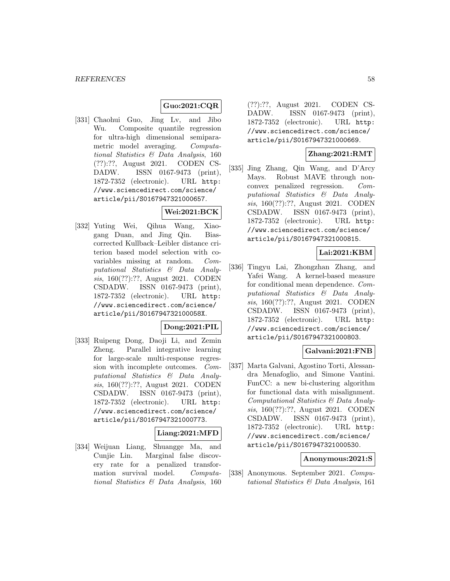## **Guo:2021:CQR**

[331] Chaohui Guo, Jing Lv, and Jibo Wu. Composite quantile regression for ultra-high dimensional semiparametric model averaging. Computational Statistics & Data Analysis, 160 (??):??, August 2021. CODEN CS-DADW. ISSN 0167-9473 (print), 1872-7352 (electronic). URL http: //www.sciencedirect.com/science/ article/pii/S0167947321000657.

## **Wei:2021:BCK**

[332] Yuting Wei, Qihua Wang, Xiaogang Duan, and Jing Qin. Biascorrected Kullback–Leibler distance criterion based model selection with covariables missing at random. Computational Statistics & Data Analysis, 160(??):??, August 2021. CODEN CSDADW. ISSN 0167-9473 (print), 1872-7352 (electronic). URL http: //www.sciencedirect.com/science/ article/pii/S016794732100058X.

## **Dong:2021:PIL**

[333] Ruipeng Dong, Daoji Li, and Zemin Zheng. Parallel integrative learning for large-scale multi-response regression with incomplete outcomes. Computational Statistics & Data Analysis, 160(??):??, August 2021. CODEN CSDADW. ISSN 0167-9473 (print), 1872-7352 (electronic). URL http: //www.sciencedirect.com/science/ article/pii/S0167947321000773.

## **Liang:2021:MFD**

[334] Weijuan Liang, Shuangge Ma, and Cunjie Lin. Marginal false discovery rate for a penalized transformation survival model. Computational Statistics & Data Analysis, 160 (??):??, August 2021. CODEN CS-DADW. ISSN 0167-9473 (print), 1872-7352 (electronic). URL http: //www.sciencedirect.com/science/ article/pii/S0167947321000669.

## **Zhang:2021:RMT**

[335] Jing Zhang, Qin Wang, and D'Arcy Mays. Robust MAVE through nonconvex penalized regression. Computational Statistics & Data Analysis, 160(??):??, August 2021. CODEN CSDADW. ISSN 0167-9473 (print), 1872-7352 (electronic). URL http: //www.sciencedirect.com/science/ article/pii/S0167947321000815.

## **Lai:2021:KBM**

[336] Tingyu Lai, Zhongzhan Zhang, and Yafei Wang. A kernel-based measure for conditional mean dependence. Computational Statistics & Data Analysis, 160(??):??, August 2021. CODEN CSDADW. ISSN 0167-9473 (print), 1872-7352 (electronic). URL http: //www.sciencedirect.com/science/ article/pii/S0167947321000803.

## **Galvani:2021:FNB**

[337] Marta Galvani, Agostino Torti, Alessandra Menafoglio, and Simone Vantini. FunCC: a new bi-clustering algorithm for functional data with misalignment. Computational Statistics & Data Analysis, 160(??):??, August 2021. CODEN CSDADW. ISSN 0167-9473 (print), 1872-7352 (electronic). URL http: //www.sciencedirect.com/science/ article/pii/S0167947321000530.

#### **Anonymous:2021:S**

[338] Anonymous. September 2021. Computational Statistics & Data Analysis, 161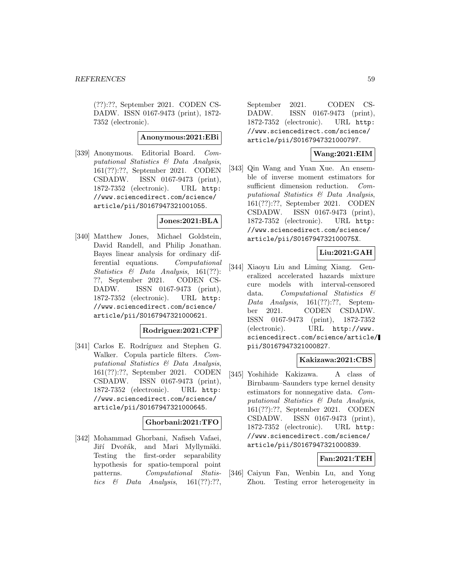(??):??, September 2021. CODEN CS-DADW. ISSN 0167-9473 (print), 1872- 7352 (electronic).

#### **Anonymous:2021:EBi**

[339] Anonymous. Editorial Board. Computational Statistics & Data Analysis, 161(??):??, September 2021. CODEN CSDADW. ISSN 0167-9473 (print), 1872-7352 (electronic). URL http: //www.sciencedirect.com/science/ article/pii/S0167947321001055.

#### **Jones:2021:BLA**

[340] Matthew Jones, Michael Goldstein, David Randell, and Philip Jonathan. Bayes linear analysis for ordinary differential equations. Computational Statistics & Data Analysis, 161(??): ??, September 2021. CODEN CS-DADW. ISSN 0167-9473 (print), 1872-7352 (electronic). URL http: //www.sciencedirect.com/science/ article/pii/S0167947321000621.

#### **Rodriguez:2021:CPF**

[341] Carlos E. Rodríguez and Stephen G. Walker. Copula particle filters. Computational Statistics & Data Analysis, 161(??):??, September 2021. CODEN CSDADW. ISSN 0167-9473 (print), 1872-7352 (electronic). URL http: //www.sciencedirect.com/science/ article/pii/S0167947321000645.

#### **Ghorbani:2021:TFO**

[342] Mohammad Ghorbani, Nafiseh Vafaei, Jiří Dvořák, and Mari Myllymäki. Testing the first-order separability hypothesis for spatio-temporal point patterns. Computational Statistics  $\&$  Data Analysis, 161(??):??, September 2021. CODEN CS-DADW. ISSN 0167-9473 (print), 1872-7352 (electronic). URL http: //www.sciencedirect.com/science/ article/pii/S0167947321000797.

## **Wang:2021:EIM**

[343] Qin Wang and Yuan Xue. An ensemble of inverse moment estimators for sufficient dimension reduction. Computational Statistics & Data Analysis, 161(??):??, September 2021. CODEN CSDADW. ISSN 0167-9473 (print), 1872-7352 (electronic). URL http: //www.sciencedirect.com/science/ article/pii/S016794732100075X.

## **Liu:2021:GAH**

[344] Xiaoyu Liu and Liming Xiang. Generalized accelerated hazards mixture cure models with interval-censored data. Computational Statistics & Data Analysis, 161(??):??, September 2021. CODEN CSDADW. ISSN 0167-9473 (print), 1872-7352 (electronic). URL http://www. sciencedirect.com/science/article/ pii/S0167947321000827.

## **Kakizawa:2021:CBS**

[345] Yoshihide Kakizawa. A class of Birnbaum–Saunders type kernel density estimators for nonnegative data. Computational Statistics & Data Analysis, 161(??):??, September 2021. CODEN CSDADW. ISSN 0167-9473 (print), 1872-7352 (electronic). URL http: //www.sciencedirect.com/science/ article/pii/S0167947321000839.

## **Fan:2021:TEH**

[346] Caiyun Fan, Wenbin Lu, and Yong Zhou. Testing error heterogeneity in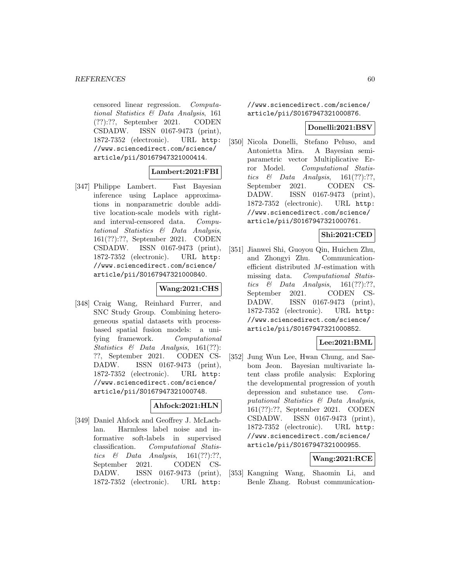censored linear regression. Computational Statistics & Data Analysis, 161 (??):??, September 2021. CODEN CSDADW. ISSN 0167-9473 (print), 1872-7352 (electronic). URL http: //www.sciencedirect.com/science/ article/pii/S0167947321000414.

## **Lambert:2021:FBI**

[347] Philippe Lambert. Fast Bayesian inference using Laplace approximations in nonparametric double additive location-scale models with rightand interval-censored data. Computational Statistics & Data Analysis, 161(??):??, September 2021. CODEN CSDADW. ISSN 0167-9473 (print), 1872-7352 (electronic). URL http: //www.sciencedirect.com/science/ article/pii/S0167947321000840.

## **Wang:2021:CHS**

[348] Craig Wang, Reinhard Furrer, and SNC Study Group. Combining heterogeneous spatial datasets with processbased spatial fusion models: a unifying framework. Computational Statistics & Data Analysis, 161(??): ??, September 2021. CODEN CS-DADW. ISSN 0167-9473 (print), 1872-7352 (electronic). URL http: //www.sciencedirect.com/science/ article/pii/S0167947321000748.

## **Ahfock:2021:HLN**

[349] Daniel Ahfock and Geoffrey J. McLachlan. Harmless label noise and informative soft-labels in supervised classification. Computational Statistics & Data Analysis,  $161(??):??$ , September 2021. CODEN CS-DADW. ISSN 0167-9473 (print), 1872-7352 (electronic). URL http:

//www.sciencedirect.com/science/ article/pii/S0167947321000876.

## **Donelli:2021:BSV**

[350] Nicola Donelli, Stefano Peluso, and Antonietta Mira. A Bayesian semiparametric vector Multiplicative Error Model. Computational Statistics & Data Analysis,  $161(??):??,$ September 2021. CODEN CS-DADW. ISSN 0167-9473 (print), 1872-7352 (electronic). URL http: //www.sciencedirect.com/science/ article/pii/S0167947321000761.

### **Shi:2021:CED**

[351] Jianwei Shi, Guoyou Qin, Huichen Zhu, and Zhongyi Zhu. Communicationefficient distributed M-estimation with missing data. Computational Statistics  $\&$  Data Analysis, 161(??):??, September 2021. CODEN CS-DADW. ISSN 0167-9473 (print), 1872-7352 (electronic). URL http: //www.sciencedirect.com/science/ article/pii/S0167947321000852.

## **Lee:2021:BML**

[352] Jung Wun Lee, Hwan Chung, and Saebom Jeon. Bayesian multivariate latent class profile analysis: Exploring the developmental progression of youth depression and substance use. Computational Statistics & Data Analysis, 161(??):??, September 2021. CODEN CSDADW. ISSN 0167-9473 (print), 1872-7352 (electronic). URL http: //www.sciencedirect.com/science/ article/pii/S0167947321000955.

## **Wang:2021:RCE**

[353] Kangning Wang, Shaomin Li, and Benle Zhang. Robust communication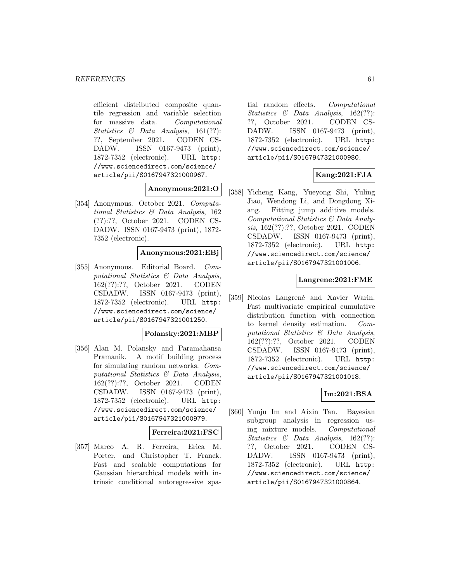efficient distributed composite quantile regression and variable selection for massive data. Computational Statistics & Data Analysis, 161(??): ??, September 2021. CODEN CS-DADW. ISSN 0167-9473 (print), 1872-7352 (electronic). URL http: //www.sciencedirect.com/science/ article/pii/S0167947321000967.

**Anonymous:2021:O**

[354] Anonymous. October 2021. Computational Statistics & Data Analysis, 162 (??):??, October 2021. CODEN CS-DADW. ISSN 0167-9473 (print), 1872- 7352 (electronic).

## **Anonymous:2021:EBj**

[355] Anonymous. Editorial Board. Computational Statistics & Data Analysis, 162(??):??, October 2021. CODEN CSDADW. ISSN 0167-9473 (print), 1872-7352 (electronic). URL http: //www.sciencedirect.com/science/ article/pii/S0167947321001250.

#### **Polansky:2021:MBP**

[356] Alan M. Polansky and Paramahansa Pramanik. A motif building process for simulating random networks. Computational Statistics & Data Analysis, 162(??):??, October 2021. CODEN CSDADW. ISSN 0167-9473 (print), 1872-7352 (electronic). URL http: //www.sciencedirect.com/science/ article/pii/S0167947321000979.

#### **Ferreira:2021:FSC**

[357] Marco A. R. Ferreira, Erica M. Porter, and Christopher T. Franck. Fast and scalable computations for Gaussian hierarchical models with intrinsic conditional autoregressive spatial random effects. Computational Statistics & Data Analysis, 162(??): ??, October 2021. CODEN CS-DADW. ISSN 0167-9473 (print), 1872-7352 (electronic). URL http: //www.sciencedirect.com/science/ article/pii/S0167947321000980.

## **Kang:2021:FJA**

[358] Yicheng Kang, Yueyong Shi, Yuling Jiao, Wendong Li, and Dongdong Xiang. Fitting jump additive models. Computational Statistics & Data Analysis, 162(??):??, October 2021. CODEN CSDADW. ISSN 0167-9473 (print), 1872-7352 (electronic). URL http: //www.sciencedirect.com/science/ article/pii/S0167947321001006.

### **Langrene:2021:FME**

[359] Nicolas Langrené and Xavier Warin. Fast multivariate empirical cumulative distribution function with connection to kernel density estimation. Computational Statistics & Data Analysis, 162(??):??, October 2021. CODEN CSDADW. ISSN 0167-9473 (print), 1872-7352 (electronic). URL http: //www.sciencedirect.com/science/ article/pii/S0167947321001018.

## **Im:2021:BSA**

[360] Yunju Im and Aixin Tan. Bayesian subgroup analysis in regression using mixture models. Computational Statistics & Data Analysis, 162(??): ??, October 2021. CODEN CS-DADW. ISSN 0167-9473 (print), 1872-7352 (electronic). URL http: //www.sciencedirect.com/science/ article/pii/S0167947321000864.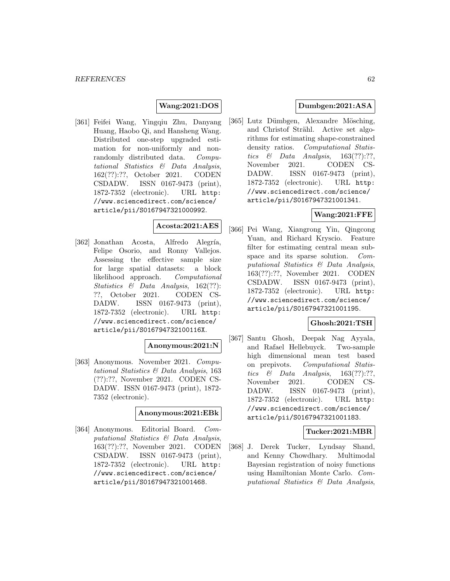## **Wang:2021:DOS**

[361] Feifei Wang, Yingqiu Zhu, Danyang Huang, Haobo Qi, and Hansheng Wang. Distributed one-step upgraded estimation for non-uniformly and nonrandomly distributed data. Computational Statistics & Data Analysis, 162(??):??, October 2021. CODEN CSDADW. ISSN 0167-9473 (print), 1872-7352 (electronic). URL http: //www.sciencedirect.com/science/ article/pii/S0167947321000992.

# **Acosta:2021:AES**

[362] Jonathan Acosta, Alfredo Alegría, Felipe Osorio, and Ronny Vallejos. Assessing the effective sample size for large spatial datasets: a block likelihood approach. Computational Statistics & Data Analysis, 162(??): ??, October 2021. CODEN CS-DADW. ISSN 0167-9473 (print), 1872-7352 (electronic). URL http: //www.sciencedirect.com/science/ article/pii/S016794732100116X.

#### **Anonymous:2021:N**

[363] Anonymous. November 2021. Computational Statistics & Data Analysis, 163 (??):??, November 2021. CODEN CS-DADW. ISSN 0167-9473 (print), 1872- 7352 (electronic).

#### **Anonymous:2021:EBk**

[364] Anonymous. Editorial Board. Computational Statistics & Data Analysis, 163(??):??, November 2021. CODEN CSDADW. ISSN 0167-9473 (print), 1872-7352 (electronic). URL http: //www.sciencedirect.com/science/ article/pii/S0167947321001468.

## **Dumbgen:2021:ASA**

[365] Lutz Dümbgen, Alexandre Mösching, and Christof Strähl. Active set algorithms for estimating shape-constrained density ratios. Computational Statistics  $\&$  Data Analysis, 163(??):??, November 2021. CODEN CS-DADW. ISSN 0167-9473 (print), 1872-7352 (electronic). URL http: //www.sciencedirect.com/science/ article/pii/S0167947321001341.

## **Wang:2021:FFE**

[366] Pei Wang, Xiangrong Yin, Qingcong Yuan, and Richard Kryscio. Feature filter for estimating central mean subspace and its sparse solution. Computational Statistics & Data Analysis, 163(??):??, November 2021. CODEN CSDADW. ISSN 0167-9473 (print), 1872-7352 (electronic). URL http: //www.sciencedirect.com/science/ article/pii/S0167947321001195.

## **Ghosh:2021:TSH**

[367] Santu Ghosh, Deepak Nag Ayyala, and Rafael Hellebuyck. Two-sample high dimensional mean test based on prepivots. Computational Statistics  $\&$  Data Analysis, 163(??):??, November 2021. CODEN CS-DADW. ISSN 0167-9473 (print), 1872-7352 (electronic). URL http: //www.sciencedirect.com/science/ article/pii/S0167947321001183.

## **Tucker:2021:MBR**

[368] J. Derek Tucker, Lyndsay Shand, and Kenny Chowdhary. Multimodal Bayesian registration of noisy functions using Hamiltonian Monte Carlo. Computational Statistics & Data Analysis,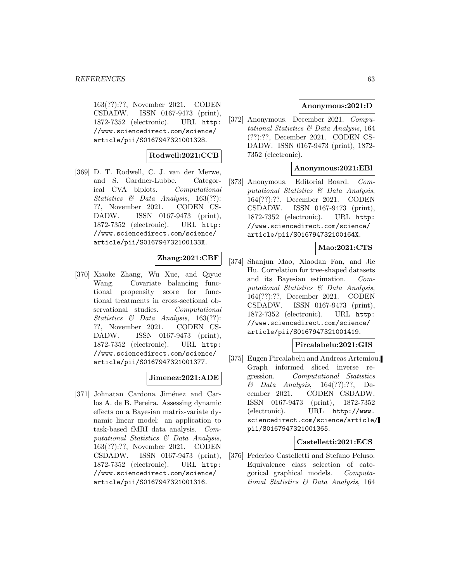163(??):??, November 2021. CODEN CSDADW. ISSN 0167-9473 (print), 1872-7352 (electronic). URL http: //www.sciencedirect.com/science/ article/pii/S0167947321001328.

## **Rodwell:2021:CCB**

[369] D. T. Rodwell, C. J. van der Merwe, and S. Gardner-Lubbe. Categorical CVA biplots. Computational Statistics & Data Analysis, 163(??): ??, November 2021. CODEN CS-DADW. ISSN 0167-9473 (print), 1872-7352 (electronic). URL http: //www.sciencedirect.com/science/ article/pii/S016794732100133X.

## **Zhang:2021:CBF**

[370] Xiaoke Zhang, Wu Xue, and Qiyue Wang. Covariate balancing functional propensity score for functional treatments in cross-sectional observational studies. Computational Statistics & Data Analysis, 163(??): ??, November 2021. CODEN CS-DADW. ISSN 0167-9473 (print), 1872-7352 (electronic). URL http: //www.sciencedirect.com/science/ article/pii/S0167947321001377.

## **Jimenez:2021:ADE**

[371] Johnatan Cardona Jiménez and Carlos A. de B. Pereira. Assessing dynamic effects on a Bayesian matrix-variate dynamic linear model: an application to task-based fMRI data analysis. Computational Statistics & Data Analysis, 163(??):??, November 2021. CODEN CSDADW. ISSN 0167-9473 (print), 1872-7352 (electronic). URL http: //www.sciencedirect.com/science/ article/pii/S0167947321001316.

## **Anonymous:2021:D**

[372] Anonymous. December 2021. Computational Statistics & Data Analysis, 164 (??):??, December 2021. CODEN CS-DADW. ISSN 0167-9473 (print), 1872- 7352 (electronic).

## **Anonymous:2021:EBl**

[373] Anonymous. Editorial Board. Computational Statistics & Data Analysis, 164(??):??, December 2021. CODEN CSDADW. ISSN 0167-9473 (print), 1872-7352 (electronic). URL http: //www.sciencedirect.com/science/ article/pii/S016794732100164X.

## **Mao:2021:CTS**

[374] Shanjun Mao, Xiaodan Fan, and Jie Hu. Correlation for tree-shaped datasets and its Bayesian estimation. Computational Statistics & Data Analysis, 164(??):??, December 2021. CODEN CSDADW. ISSN 0167-9473 (print), 1872-7352 (electronic). URL http: //www.sciencedirect.com/science/ article/pii/S0167947321001419.

#### **Pircalabelu:2021:GIS**

[375] Eugen Pircalabelu and Andreas Artemiou. Graph informed sliced inverse regression. Computational Statistics  $\&$  Data Analysis, 164(??):??, December 2021. CODEN CSDADW. ISSN 0167-9473 (print), 1872-7352 (electronic). URL http://www. sciencedirect.com/science/article/ pii/S0167947321001365.

## **Castelletti:2021:ECS**

[376] Federico Castelletti and Stefano Peluso. Equivalence class selection of categorical graphical models. Computational Statistics & Data Analysis, 164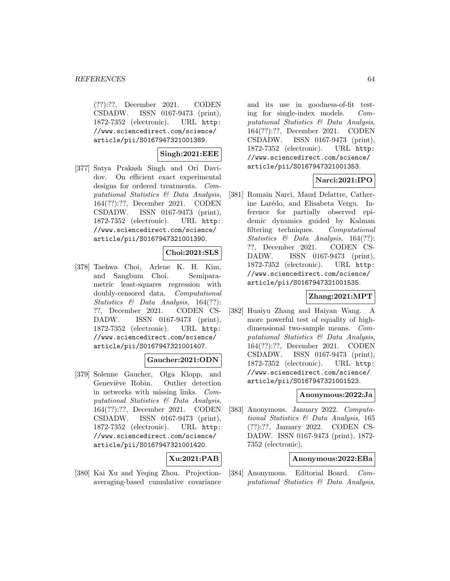#### *REFERENCES* 64

(??):??, December 2021. CODEN CSDADW. ISSN 0167-9473 (print), 1872-7352 (electronic). URL http: //www.sciencedirect.com/science/ article/pii/S0167947321001389.

## **Singh:2021:EEE**

[377] Satya Prakash Singh and Ori Davidov. On efficient exact experimental designs for ordered treatments. Computational Statistics & Data Analysis, 164(??):??, December 2021. CODEN CSDADW. ISSN 0167-9473 (print), 1872-7352 (electronic). URL http: //www.sciencedirect.com/science/ article/pii/S0167947321001390.

## **Choi:2021:SLS**

[378] Taehwa Choi, Arlene K. H. Kim, and Sangbum Choi. Semiparametric least-squares regression with doubly-censored data. Computational Statistics & Data Analysis, 164(??): ??, December 2021. CODEN CS-DADW. ISSN 0167-9473 (print), 1872-7352 (electronic). URL http: //www.sciencedirect.com/science/ article/pii/S0167947321001407.

#### **Gaucher:2021:ODN**

[379] Solenne Gaucher, Olga Klopp, and Geneviève Robin. Outlier detection in networks with missing links. Computational Statistics & Data Analysis, 164(??):??, December 2021. CODEN CSDADW. ISSN 0167-9473 (print), 1872-7352 (electronic). URL http: //www.sciencedirect.com/science/ article/pii/S0167947321001420.

## **Xu:2021:PAB**

[380] Kai Xu and Yeqing Zhou. Projectionaveraging-based cumulative covariance and its use in goodness-of-fit testing for single-index models. Computational Statistics & Data Analysis, 164(??):??, December 2021. CODEN CSDADW. ISSN 0167-9473 (print), 1872-7352 (electronic). URL http: //www.sciencedirect.com/science/ article/pii/S0167947321001353.

## **Narci:2021:IPO**

[381] Romain Narci, Maud Delattre, Catherine Larédo, and Elisabeta Vergu. Inference for partially observed epidemic dynamics guided by Kalman filtering techniques. Computational Statistics & Data Analysis, 164(??): ??, December 2021. CODEN CS-DADW. ISSN 0167-9473 (print), 1872-7352 (electronic). URL http: //www.sciencedirect.com/science/ article/pii/S0167947321001535.

## **Zhang:2021:MPT**

[382] Huaiyu Zhang and Haiyan Wang. A more powerful test of equality of highdimensional two-sample means. Computational Statistics & Data Analysis, 164(??):??, December 2021. CODEN CSDADW. ISSN 0167-9473 (print), 1872-7352 (electronic). URL http: //www.sciencedirect.com/science/ article/pii/S0167947321001523.

#### **Anonymous:2022:Ja**

[383] Anonymous. January 2022. Computational Statistics & Data Analysis, 165 (??):??, January 2022. CODEN CS-DADW. ISSN 0167-9473 (print), 1872- 7352 (electronic).

## **Anonymous:2022:EBa**

[384] Anonymous. Editorial Board. Computational Statistics & Data Analysis,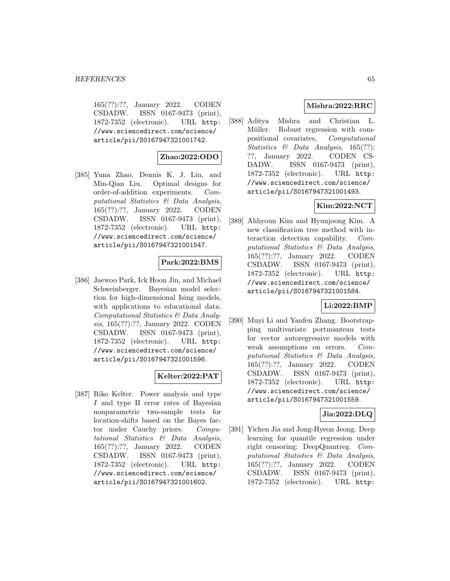165(??):??, January 2022. CODEN CSDADW. ISSN 0167-9473 (print), 1872-7352 (electronic). URL http: //www.sciencedirect.com/science/ article/pii/S0167947321001742.

## **Zhao:2022:ODO**

[385] Yuna Zhao, Dennis K. J. Lin, and Min-Qian Liu. Optimal designs for order-of-addition experiments. Computational Statistics & Data Analysis, 165(??):??, January 2022. CODEN CSDADW. ISSN 0167-9473 (print), 1872-7352 (electronic). URL http: //www.sciencedirect.com/science/ article/pii/S0167947321001547.

## **Park:2022:BMS**

[386] Jaewoo Park, Ick Hoon Jin, and Michael Schweinberger. Bayesian model selection for high-dimensional Ising models, with applications to educational data. Computational Statistics & Data Analysis, 165(??):??, January 2022. CODEN CSDADW. ISSN 0167-9473 (print), 1872-7352 (electronic). URL http: //www.sciencedirect.com/science/ article/pii/S0167947321001596.

## **Kelter:2022:PAT**

[387] Riko Kelter. Power analysis and type I and type II error rates of Bayesian nonparametric two-sample tests for location-shifts based on the Bayes factor under Cauchy priors. Computational Statistics & Data Analysis, 165(??):??, January 2022. CODEN CSDADW. ISSN 0167-9473 (print), 1872-7352 (electronic). URL http: //www.sciencedirect.com/science/ article/pii/S0167947321001602.

## **Mishra:2022:RRC**

[388] Aditya Mishra and Christian L. Müller. Robust regression with compositional covariates. Computational Statistics & Data Analysis, 165(??): ??, January 2022. CODEN CS-DADW. ISSN 0167-9473 (print), 1872-7352 (electronic). URL http: //www.sciencedirect.com/science/ article/pii/S0167947321001493.

# **Kim:2022:NCT**

[389] Ahhyoun Kim and Hyunjoong Kim. A new classification tree method with interaction detection capability. Computational Statistics & Data Analysis, 165(??):??, January 2022. CODEN CSDADW. ISSN 0167-9473 (print), 1872-7352 (electronic). URL http: //www.sciencedirect.com/science/ article/pii/S0167947321001584.

## **Li:2022:BMP**

[390] Muyi Li and Yanfen Zhang. Bootstrapping multivariate portmanteau tests for vector autoregressive models with weak assumptions on errors. Computational Statistics & Data Analysis, 165(??):??, January 2022. CODEN CSDADW. ISSN 0167-9473 (print), 1872-7352 (electronic). URL http: //www.sciencedirect.com/science/ article/pii/S0167947321001559.

## **Jia:2022:DLQ**

[391] Yichen Jia and Jong-Hyeon Jeong. Deep learning for quantile regression under right censoring: DeepQuantreg. Computational Statistics & Data Analysis, 165(??):??, January 2022. CODEN CSDADW. ISSN 0167-9473 (print), 1872-7352 (electronic). URL http: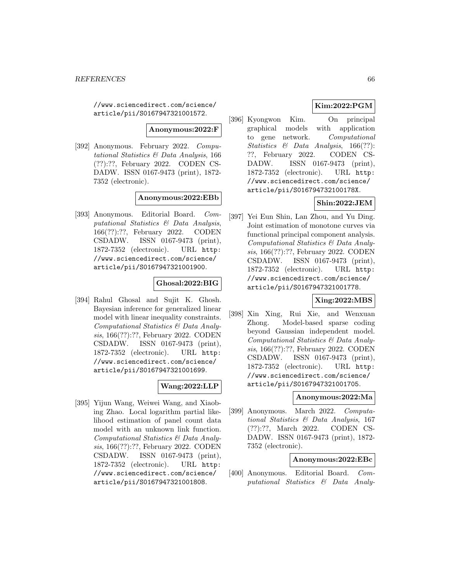//www.sciencedirect.com/science/ article/pii/S0167947321001572.

**Anonymous:2022:F**

[392] Anonymous. February 2022. Computational Statistics & Data Analysis, 166 (??):??, February 2022. CODEN CS-DADW. ISSN 0167-9473 (print), 1872- 7352 (electronic).

#### **Anonymous:2022:EBb**

[393] Anonymous. Editorial Board. Computational Statistics & Data Analysis, 166(??):??, February 2022. CODEN CSDADW. ISSN 0167-9473 (print), 1872-7352 (electronic). URL http: //www.sciencedirect.com/science/ article/pii/S0167947321001900.

## **Ghosal:2022:BIG**

[394] Rahul Ghosal and Sujit K. Ghosh. Bayesian inference for generalized linear model with linear inequality constraints. Computational Statistics & Data Analysis, 166(??):??, February 2022. CODEN CSDADW. ISSN 0167-9473 (print), 1872-7352 (electronic). URL http: //www.sciencedirect.com/science/ article/pii/S0167947321001699.

## **Wang:2022:LLP**

[395] Yijun Wang, Weiwei Wang, and Xiaobing Zhao. Local logarithm partial likelihood estimation of panel count data model with an unknown link function. Computational Statistics & Data Analysis, 166(??):??, February 2022. CODEN CSDADW. ISSN 0167-9473 (print), 1872-7352 (electronic). URL http: //www.sciencedirect.com/science/ article/pii/S0167947321001808.

## **Kim:2022:PGM**

[396] Kyongwon Kim. On principal graphical models with application to gene network. Computational Statistics & Data Analysis, 166(??): ??, February 2022. CODEN CS-DADW. ISSN 0167-9473 (print), 1872-7352 (electronic). URL http: //www.sciencedirect.com/science/ article/pii/S016794732100178X.

## **Shin:2022:JEM**

[397] Yei Eun Shin, Lan Zhou, and Yu Ding. Joint estimation of monotone curves via functional principal component analysis. Computational Statistics & Data Analysis, 166(??):??, February 2022. CODEN CSDADW. ISSN 0167-9473 (print), 1872-7352 (electronic). URL http: //www.sciencedirect.com/science/ article/pii/S0167947321001778.

## **Xing:2022:MBS**

[398] Xin Xing, Rui Xie, and Wenxuan Zhong. Model-based sparse coding beyond Gaussian independent model. Computational Statistics & Data Analysis, 166(??):??, February 2022. CODEN CSDADW. ISSN 0167-9473 (print), 1872-7352 (electronic). URL http: //www.sciencedirect.com/science/ article/pii/S0167947321001705.

#### **Anonymous:2022:Ma**

[399] Anonymous. March 2022. Computational Statistics & Data Analysis, 167 (??):??, March 2022. CODEN CS-DADW. ISSN 0167-9473 (print), 1872- 7352 (electronic).

## **Anonymous:2022:EBc**

[400] Anonymous. Editorial Board. Computational Statistics & Data Analy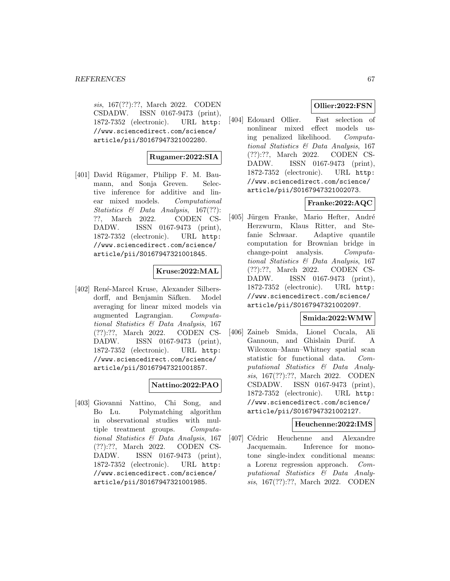sis, 167(??):??, March 2022. CODEN CSDADW. ISSN 0167-9473 (print), 1872-7352 (electronic). URL http: //www.sciencedirect.com/science/ article/pii/S0167947321002280.

## **Rugamer:2022:SIA**

[401] David Rügamer, Philipp F. M. Baumann, and Sonja Greven. Selective inference for additive and linear mixed models. Computational Statistics & Data Analysis, 167(??): ??, March 2022. CODEN CS-DADW. ISSN 0167-9473 (print), 1872-7352 (electronic). URL http: //www.sciencedirect.com/science/ article/pii/S0167947321001845.

## **Kruse:2022:MAL**

[402] René-Marcel Kruse, Alexander Silbersdorff, and Benjamin Säfken. Model averaging for linear mixed models via augmented Lagrangian. Computational Statistics & Data Analysis, 167 (??):??, March 2022. CODEN CS-DADW. ISSN 0167-9473 (print), 1872-7352 (electronic). URL http: //www.sciencedirect.com/science/ article/pii/S0167947321001857.

## **Nattino:2022:PAO**

[403] Giovanni Nattino, Chi Song, and Bo Lu. Polymatching algorithm in observational studies with multiple treatment groups. Computational Statistics & Data Analysis, 167 (??):??, March 2022. CODEN CS-DADW. ISSN 0167-9473 (print), 1872-7352 (electronic). URL http: //www.sciencedirect.com/science/ article/pii/S0167947321001985.

## **Ollier:2022:FSN**

[404] Edouard Ollier. Fast selection of nonlinear mixed effect models using penalized likelihood. Computational Statistics & Data Analysis, 167 (??):??, March 2022. CODEN CS-DADW. ISSN 0167-9473 (print), 1872-7352 (electronic). URL http: //www.sciencedirect.com/science/ article/pii/S0167947321002073.

# **Franke:2022:AQC**

[405] Jürgen Franke, Mario Hefter, André Herzwurm, Klaus Ritter, and Stefanie Schwaar. Adaptive quantile computation for Brownian bridge in change-point analysis. Computational Statistics & Data Analysis, 167 (??):??, March 2022. CODEN CS-DADW. ISSN 0167-9473 (print), 1872-7352 (electronic). URL http: //www.sciencedirect.com/science/ article/pii/S0167947321002097.

## **Smida:2022:WMW**

[406] Zaineb Smida, Lionel Cucala, Ali Gannoun, and Ghislain Durif. A Wilcoxon–Mann–Whitney spatial scan statistic for functional data. Computational Statistics & Data Analysis, 167(??):??, March 2022. CODEN CSDADW. ISSN 0167-9473 (print), 1872-7352 (electronic). URL http: //www.sciencedirect.com/science/ article/pii/S0167947321002127.

### **Heuchenne:2022:IMS**

[407] Cédric Heuchenne and Alexandre Jacquemain. Inference for monotone single-index conditional means: a Lorenz regression approach. Computational Statistics & Data Analysis, 167(??):??, March 2022. CODEN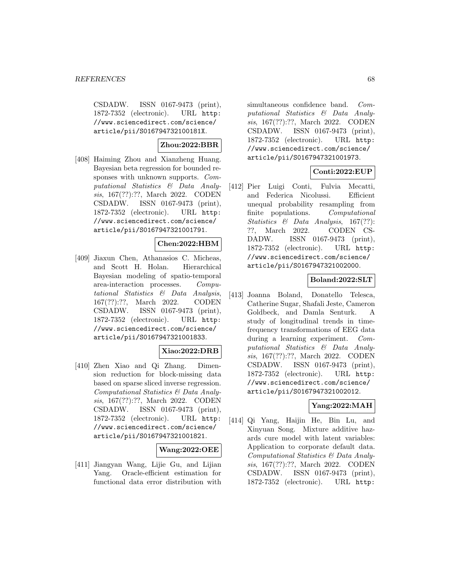CSDADW. ISSN 0167-9473 (print), 1872-7352 (electronic). URL http: //www.sciencedirect.com/science/ article/pii/S016794732100181X.

# **Zhou:2022:BBR**

[408] Haiming Zhou and Xianzheng Huang. Bayesian beta regression for bounded responses with unknown supports. Computational Statistics & Data Analysis, 167(??):??, March 2022. CODEN CSDADW. ISSN 0167-9473 (print), 1872-7352 (electronic). URL http: //www.sciencedirect.com/science/ article/pii/S0167947321001791.

## **Chen:2022:HBM**

[409] Jiaxun Chen, Athanasios C. Micheas, and Scott H. Holan. Hierarchical Bayesian modeling of spatio-temporal area-interaction processes. Computational Statistics & Data Analysis, 167(??):??, March 2022. CODEN CSDADW. ISSN 0167-9473 (print), 1872-7352 (electronic). URL http: //www.sciencedirect.com/science/ article/pii/S0167947321001833.

## **Xiao:2022:DRB**

[410] Zhen Xiao and Qi Zhang. Dimension reduction for block-missing data based on sparse sliced inverse regression. Computational Statistics & Data Analysis, 167(??):??, March 2022. CODEN CSDADW. ISSN 0167-9473 (print), 1872-7352 (electronic). URL http: //www.sciencedirect.com/science/ article/pii/S0167947321001821.

## **Wang:2022:OEE**

[411] Jiangyan Wang, Lijie Gu, and Lijian Yang. Oracle-efficient estimation for functional data error distribution with simultaneous confidence band. Computational Statistics & Data Analysis, 167(??):??, March 2022. CODEN CSDADW. ISSN 0167-9473 (print), 1872-7352 (electronic). URL http: //www.sciencedirect.com/science/ article/pii/S0167947321001973.

## **Conti:2022:EUP**

[412] Pier Luigi Conti, Fulvia Mecatti, and Federica Nicolussi. Efficient unequal probability resampling from finite populations. Computational Statistics & Data Analysis, 167(??): ??, March 2022. CODEN CS-DADW. ISSN 0167-9473 (print), 1872-7352 (electronic). URL http: //www.sciencedirect.com/science/ article/pii/S0167947321002000.

## **Boland:2022:SLT**

[413] Joanna Boland, Donatello Telesca, Catherine Sugar, Shafali Jeste, Cameron Goldbeck, and Damla Senturk. A study of longitudinal trends in timefrequency transformations of EEG data during a learning experiment. Computational Statistics & Data Analysis, 167(??):??, March 2022. CODEN CSDADW. ISSN 0167-9473 (print), 1872-7352 (electronic). URL http: //www.sciencedirect.com/science/ article/pii/S0167947321002012.

# **Yang:2022:MAH**

[414] Qi Yang, Haijin He, Bin Lu, and Xinyuan Song. Mixture additive hazards cure model with latent variables: Application to corporate default data. Computational Statistics & Data Analysis, 167(??):??, March 2022. CODEN CSDADW. ISSN 0167-9473 (print), 1872-7352 (electronic). URL http: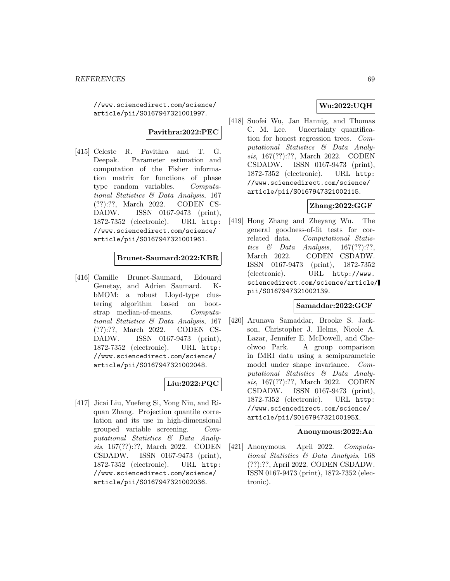//www.sciencedirect.com/science/ article/pii/S0167947321001997.

## **Pavithra:2022:PEC**

[415] Celeste R. Pavithra and T. G. Deepak. Parameter estimation and computation of the Fisher information matrix for functions of phase type random variables. Computational Statistics & Data Analysis, 167 (??):??, March 2022. CODEN CS-DADW. ISSN 0167-9473 (print), 1872-7352 (electronic). URL http: //www.sciencedirect.com/science/ article/pii/S0167947321001961.

# **Brunet-Saumard:2022:KBR**

[416] Camille Brunet-Saumard, Edouard Genetay, and Adrien Saumard. KbMOM: a robust Lloyd-type clustering algorithm based on bootstrap median-of-means. Computational Statistics & Data Analysis, 167 (??):??, March 2022. CODEN CS-DADW. ISSN 0167-9473 (print), 1872-7352 (electronic). URL http: //www.sciencedirect.com/science/ article/pii/S0167947321002048.

## **Liu:2022:PQC**

[417] Jicai Liu, Yuefeng Si, Yong Niu, and Riquan Zhang. Projection quantile correlation and its use in high-dimensional grouped variable screening. Computational Statistics & Data Analysis, 167(??):??, March 2022. CODEN CSDADW. ISSN 0167-9473 (print), 1872-7352 (electronic). URL http: //www.sciencedirect.com/science/ article/pii/S0167947321002036.

## **Wu:2022:UQH**

[418] Suofei Wu, Jan Hannig, and Thomas C. M. Lee. Uncertainty quantification for honest regression trees. Computational Statistics & Data Analysis, 167(??):??, March 2022. CODEN CSDADW. ISSN 0167-9473 (print), 1872-7352 (electronic). URL http: //www.sciencedirect.com/science/ article/pii/S0167947321002115.

# **Zhang:2022:GGF**

[419] Hong Zhang and Zheyang Wu. The general goodness-of-fit tests for correlated data. Computational Statistics  $\&$  Data Analysis, 167(??):??, March 2022. CODEN CSDADW. ISSN 0167-9473 (print), 1872-7352 (electronic). URL http://www. sciencedirect.com/science/article/ pii/S0167947321002139.

### **Samaddar:2022:GCF**

[420] Arunava Samaddar, Brooke S. Jackson, Christopher J. Helms, Nicole A. Lazar, Jennifer E. McDowell, and Cheolwoo Park. A group comparison in fMRI data using a semiparametric model under shape invariance. Computational Statistics & Data Analysis, 167(??):??, March 2022. CODEN CSDADW. ISSN 0167-9473 (print), 1872-7352 (electronic). URL http: //www.sciencedirect.com/science/ article/pii/S016794732100195X.

#### **Anonymous:2022:Aa**

[421] Anonymous. April 2022. Computational Statistics & Data Analysis, 168 (??):??, April 2022. CODEN CSDADW. ISSN 0167-9473 (print), 1872-7352 (electronic).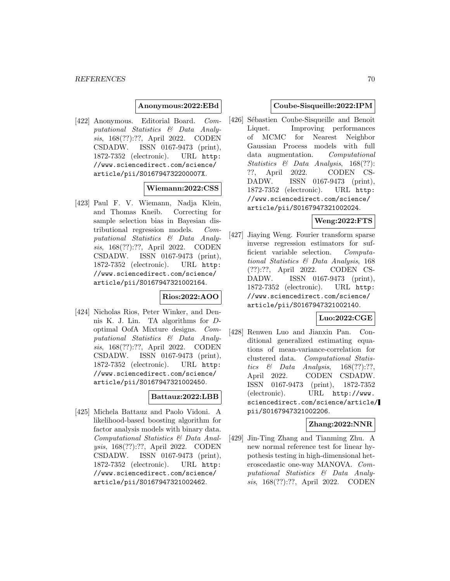#### **Anonymous:2022:EBd**

[422] Anonymous. Editorial Board. Computational Statistics & Data Analysis, 168(??):??, April 2022. CODEN CSDADW. ISSN 0167-9473 (print), 1872-7352 (electronic). URL http: //www.sciencedirect.com/science/ article/pii/S016794732200007X.

#### **Wiemann:2022:CSS**

[423] Paul F. V. Wiemann, Nadja Klein, and Thomas Kneib. Correcting for sample selection bias in Bayesian distributional regression models. Computational Statistics & Data Analysis, 168(??):??, April 2022. CODEN CSDADW. ISSN 0167-9473 (print), 1872-7352 (electronic). URL http: //www.sciencedirect.com/science/ article/pii/S0167947321002164.

## **Rios:2022:AOO**

[424] Nicholas Rios, Peter Winker, and Dennis K. J. Lin. TA algorithms for Doptimal OofA Mixture designs. Computational Statistics & Data Analysis, 168(??):??, April 2022. CODEN CSDADW. ISSN 0167-9473 (print), 1872-7352 (electronic). URL http: //www.sciencedirect.com/science/ article/pii/S0167947321002450.

#### **Battauz:2022:LBB**

[425] Michela Battauz and Paolo Vidoni. A likelihood-based boosting algorithm for factor analysis models with binary data. Computational Statistics & Data Analysis, 168(??):??, April 2022. CODEN CSDADW. ISSN 0167-9473 (print), 1872-7352 (electronic). URL http: //www.sciencedirect.com/science/ article/pii/S0167947321002462.

#### **Coube-Sisqueille:2022:IPM**

[426] Sébastien Coube-Sisqueille and Benoît Liquet. Improving performances of MCMC for Nearest Neighbor Gaussian Process models with full data augmentation. Computational Statistics & Data Analysis, 168(??): ??, April 2022. CODEN CS-DADW. ISSN 0167-9473 (print), 1872-7352 (electronic). URL http: //www.sciencedirect.com/science/ article/pii/S0167947321002024.

## **Weng:2022:FTS**

[427] Jiaying Weng. Fourier transform sparse inverse regression estimators for sufficient variable selection. Computational Statistics & Data Analysis, 168 (??):??, April 2022. CODEN CS-DADW. ISSN 0167-9473 (print), 1872-7352 (electronic). URL http: //www.sciencedirect.com/science/ article/pii/S0167947321002140.

#### **Luo:2022:CGE**

[428] Renwen Luo and Jianxin Pan. Conditional generalized estimating equations of mean-variance-correlation for clustered data. Computational Statistics & Data Analysis,  $168(??):??,$ April 2022. CODEN CSDADW. ISSN 0167-9473 (print), 1872-7352 (electronic). URL http://www. sciencedirect.com/science/article/ pii/S0167947321002206.

## **Zhang:2022:NNR**

[429] Jin-Ting Zhang and Tianming Zhu. A new normal reference test for linear hypothesis testing in high-dimensional heteroscedastic one-way MANOVA. Computational Statistics & Data Analysis, 168(??):??, April 2022. CODEN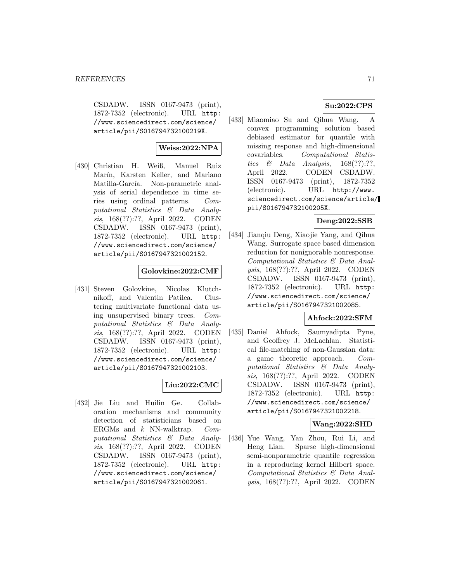CSDADW. ISSN 0167-9473 (print), 1872-7352 (electronic). URL http: //www.sciencedirect.com/science/ article/pii/S016794732100219X.

## **Weiss:2022:NPA**

[430] Christian H. Weiß, Manuel Ruiz Marín, Karsten Keller, and Mariano Matilla-García. Non-parametric analysis of serial dependence in time series using ordinal patterns. Computational Statistics & Data Analysis, 168(??):??, April 2022. CODEN CSDADW. ISSN 0167-9473 (print), 1872-7352 (electronic). URL http: //www.sciencedirect.com/science/ article/pii/S0167947321002152.

## **Golovkine:2022:CMF**

[431] Steven Golovkine, Nicolas Klutchnikoff, and Valentin Patilea. Clustering multivariate functional data using unsupervised binary trees. Computational Statistics & Data Analysis, 168(??):??, April 2022. CODEN CSDADW. ISSN 0167-9473 (print), 1872-7352 (electronic). URL http: //www.sciencedirect.com/science/ article/pii/S0167947321002103.

## **Liu:2022:CMC**

[432] Jie Liu and Huilin Ge. Collaboration mechanisms and community detection of statisticians based on ERGMs and k NN-walktrap. Computational Statistics & Data Analysis, 168(??):??, April 2022. CODEN CSDADW. ISSN 0167-9473 (print), 1872-7352 (electronic). URL http: //www.sciencedirect.com/science/ article/pii/S0167947321002061.

## **Su:2022:CPS**

[433] Miaomiao Su and Qihua Wang. A convex programming solution based debiased estimator for quantile with missing response and high-dimensional covariables. Computational Statistics  $\&$  Data Analysis, 168(??):??, April 2022. CODEN CSDADW. ISSN 0167-9473 (print), 1872-7352 (electronic). URL http://www. sciencedirect.com/science/article/ pii/S016794732100205X.

## **Deng:2022:SSB**

[434] Jianqiu Deng, Xiaojie Yang, and Qihua Wang. Surrogate space based dimension reduction for nonignorable nonresponse. Computational Statistics & Data Analysis, 168(??):??, April 2022. CODEN CSDADW. ISSN 0167-9473 (print), 1872-7352 (electronic). URL http: //www.sciencedirect.com/science/ article/pii/S0167947321002085.

## **Ahfock:2022:SFM**

[435] Daniel Ahfock, Saumyadipta Pyne, and Geoffrey J. McLachlan. Statistical file-matching of non-Gaussian data: a game theoretic approach. Computational Statistics & Data Analysis, 168(??):??, April 2022. CODEN CSDADW. ISSN 0167-9473 (print), 1872-7352 (electronic). URL http: //www.sciencedirect.com/science/ article/pii/S0167947321002218.

## **Wang:2022:SHD**

[436] Yue Wang, Yan Zhou, Rui Li, and Heng Lian. Sparse high-dimensional semi-nonparametric quantile regression in a reproducing kernel Hilbert space. Computational Statistics & Data Analysis, 168(??):??, April 2022. CODEN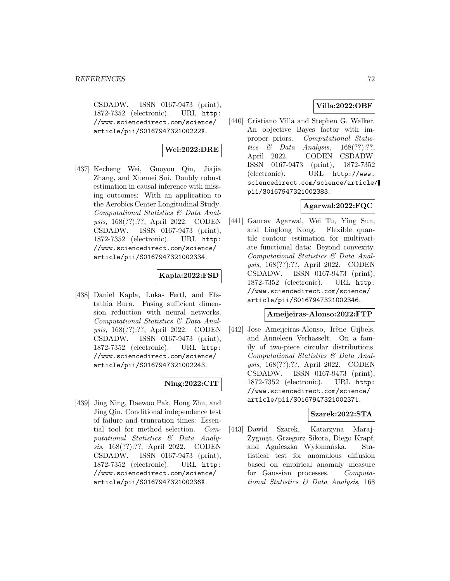CSDADW. ISSN 0167-9473 (print), 1872-7352 (electronic). URL http: //www.sciencedirect.com/science/ article/pii/S016794732100222X.

## **Wei:2022:DRE**

[437] Kecheng Wei, Guoyou Qin, Jiajia Zhang, and Xuemei Sui. Doubly robust estimation in causal inference with missing outcomes: With an application to the Aerobics Center Longitudinal Study. Computational Statistics & Data Analysis, 168(??):??, April 2022. CODEN CSDADW. ISSN 0167-9473 (print), 1872-7352 (electronic). URL http: //www.sciencedirect.com/science/ article/pii/S0167947321002334.

## **Kapla:2022:FSD**

[438] Daniel Kapla, Lukas Fertl, and Efstathia Bura. Fusing sufficient dimension reduction with neural networks. Computational Statistics & Data Analysis, 168(??):??, April 2022. CODEN CSDADW. ISSN 0167-9473 (print), 1872-7352 (electronic). URL http: //www.sciencedirect.com/science/ article/pii/S0167947321002243.

## **Ning:2022:CIT**

[439] Jing Ning, Daewoo Pak, Hong Zhu, and Jing Qin. Conditional independence test of failure and truncation times: Essential tool for method selection. Computational Statistics & Data Analysis, 168(??):??, April 2022. CODEN CSDADW. ISSN 0167-9473 (print), 1872-7352 (electronic). URL http: //www.sciencedirect.com/science/ article/pii/S016794732100236X.

# **Villa:2022:OBF**

[440] Cristiano Villa and Stephen G. Walker. An objective Bayes factor with improper priors. Computational Statistics  $\&$  Data Analysis, 168(??):??, April 2022. CODEN CSDADW. ISSN 0167-9473 (print), 1872-7352 (electronic). URL http://www. sciencedirect.com/science/article/ pii/S0167947321002383.

# **Agarwal:2022:FQC**

[441] Gaurav Agarwal, Wei Tu, Ying Sun, and Linglong Kong. Flexible quantile contour estimation for multivariate functional data: Beyond convexity. Computational Statistics & Data Analysis, 168(??):??, April 2022. CODEN CSDADW. ISSN 0167-9473 (print), 1872-7352 (electronic). URL http: //www.sciencedirect.com/science/ article/pii/S0167947321002346.

## **Ameijeiras-Alonso:2022:FTP**

[442] Jose Ameijeiras-Alonso, Irène Gijbels, and Anneleen Verhasselt. On a family of two-piece circular distributions. Computational Statistics & Data Analysis, 168(??):??, April 2022. CODEN CSDADW. ISSN 0167-9473 (print), 1872-7352 (electronic). URL http: //www.sciencedirect.com/science/ article/pii/S0167947321002371.

## **Szarek:2022:STA**

[443] Dawid Szarek, Katarzyna Maraj-Zygmat, Grzegorz Sikora, Diego Krapf, and Agnieszka Wyłomańska. Statistical test for anomalous diffusion based on empirical anomaly measure for Gaussian processes. Computational Statistics & Data Analysis, 168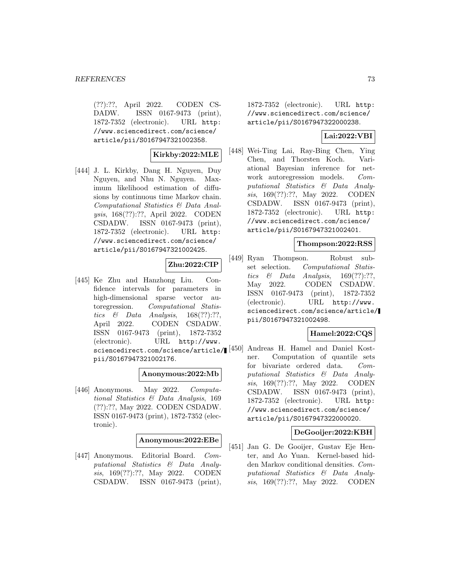(??):??, April 2022. CODEN CS-DADW. ISSN 0167-9473 (print), 1872-7352 (electronic). URL http: //www.sciencedirect.com/science/ article/pii/S0167947321002358.

**Kirkby:2022:MLE**

[444] J. L. Kirkby, Dang H. Nguyen, Duy Nguyen, and Nhu N. Nguyen. Maximum likelihood estimation of diffusions by continuous time Markov chain. Computational Statistics & Data Analysis, 168(??):??, April 2022. CODEN CSDADW. ISSN 0167-9473 (print), 1872-7352 (electronic). URL http: //www.sciencedirect.com/science/ article/pii/S0167947321002425.

# **Zhu:2022:CIP**

[445] Ke Zhu and Hanzhong Liu. Confidence intervals for parameters in high-dimensional sparse vector autoregression. Computational Statistics & Data Analysis,  $168(??):??,$ April 2022. CODEN CSDADW. ISSN 0167-9473 (print), 1872-7352 (electronic). URL http://www. sciencedirect.com/science/article/ $[450]$ pii/S0167947321002176.

### **Anonymous:2022:Mb**

[446] Anonymous. May 2022. Computational Statistics & Data Analysis, 169 (??):??, May 2022. CODEN CSDADW. ISSN 0167-9473 (print), 1872-7352 (electronic).

## **Anonymous:2022:EBe**

[447] Anonymous. Editorial Board. Computational Statistics & Data Analysis, 169(??):??, May 2022. CODEN CSDADW. ISSN 0167-9473 (print), 1872-7352 (electronic). URL http: //www.sciencedirect.com/science/ article/pii/S0167947322000238.

# **Lai:2022:VBI**

[448] Wei-Ting Lai, Ray-Bing Chen, Ying Chen, and Thorsten Koch. Variational Bayesian inference for network autoregression models. Computational Statistics & Data Analysis, 169(??):??, May 2022. CODEN CSDADW. ISSN 0167-9473 (print), 1872-7352 (electronic). URL http: //www.sciencedirect.com/science/ article/pii/S0167947321002401.

## **Thompson:2022:RSS**

[449] Ryan Thompson. Robust subset selection. Computational Statistics  $\&$  Data Analysis, 169(??):??, May 2022. CODEN CSDADW. ISSN 0167-9473 (print), 1872-7352 (electronic). URL http://www. sciencedirect.com/science/article/ pii/S0167947321002498.

## **Hamel:2022:CQS**

Andreas H. Hamel and Daniel Kostner. Computation of quantile sets for bivariate ordered data. Computational Statistics & Data Analysis, 169(??):??, May 2022. CODEN CSDADW. ISSN 0167-9473 (print), 1872-7352 (electronic). URL http: //www.sciencedirect.com/science/ article/pii/S0167947322000020.

## **DeGooijer:2022:KBH**

[451] Jan G. De Gooijer, Gustav Eje Henter, and Ao Yuan. Kernel-based hidden Markov conditional densities. Computational Statistics & Data Analysis, 169(??):??, May 2022. CODEN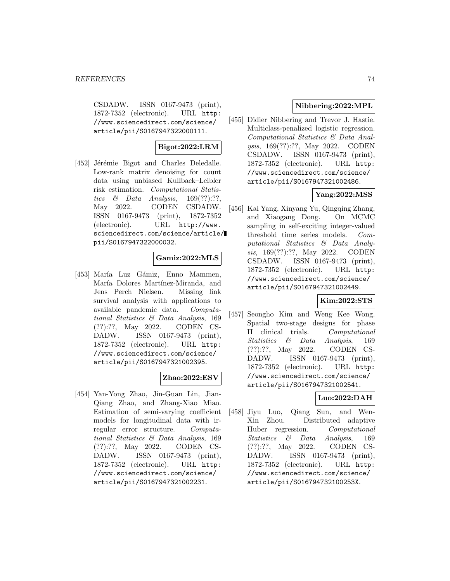CSDADW. ISSN 0167-9473 (print), 1872-7352 (electronic). URL http: //www.sciencedirect.com/science/ article/pii/S0167947322000111.

# **Bigot:2022:LRM**

[452] Jérémie Bigot and Charles Deledalle. Low-rank matrix denoising for count data using unbiased Kullback–Leibler risk estimation. Computational Statistics  $\&$  Data Analysis, 169(??):??, May 2022. CODEN CSDADW. ISSN 0167-9473 (print), 1872-7352 (electronic). URL http://www. sciencedirect.com/science/article/ pii/S0167947322000032.

## **Gamiz:2022:MLS**

[453] María Luz Gámiz, Enno Mammen, María Dolores Martínez-Miranda, and Jens Perch Nielsen. Missing link survival analysis with applications to available pandemic data. Computational Statistics & Data Analysis, 169 (??):??, May 2022. CODEN CS-DADW. ISSN 0167-9473 (print), 1872-7352 (electronic). URL http: //www.sciencedirect.com/science/ article/pii/S0167947321002395.

# **Zhao:2022:ESV**

[454] Yan-Yong Zhao, Jin-Guan Lin, Jian-Qiang Zhao, and Zhang-Xiao Miao. Estimation of semi-varying coefficient models for longitudinal data with irregular error structure. Computational Statistics & Data Analysis, 169 (??):??, May 2022. CODEN CS-DADW. ISSN 0167-9473 (print), 1872-7352 (electronic). URL http: //www.sciencedirect.com/science/ article/pii/S0167947321002231.

# **Nibbering:2022:MPL**

[455] Didier Nibbering and Trevor J. Hastie. Multiclass-penalized logistic regression. Computational Statistics & Data Analysis, 169(??):??, May 2022. CODEN CSDADW. ISSN 0167-9473 (print), 1872-7352 (electronic). URL http: //www.sciencedirect.com/science/ article/pii/S0167947321002486.

# **Yang:2022:MSS**

[456] Kai Yang, Xinyang Yu, Qingqing Zhang, and Xiaogang Dong. On MCMC sampling in self-exciting integer-valued threshold time series models. Computational Statistics & Data Analysis, 169(??):??, May 2022. CODEN CSDADW. ISSN 0167-9473 (print), 1872-7352 (electronic). URL http: //www.sciencedirect.com/science/ article/pii/S0167947321002449.

# **Kim:2022:STS**

[457] Seongho Kim and Weng Kee Wong. Spatial two-stage designs for phase II clinical trials. Computational Statistics & Data Analysis, 169 (??):??, May 2022. CODEN CS-DADW. ISSN 0167-9473 (print), 1872-7352 (electronic). URL http: //www.sciencedirect.com/science/ article/pii/S0167947321002541.

# **Luo:2022:DAH**

[458] Jiyu Luo, Qiang Sun, and Wen-Xin Zhou. Distributed adaptive Huber regression. Computational Statistics & Data Analysis, 169 (??):??, May 2022. CODEN CS-DADW. ISSN 0167-9473 (print), 1872-7352 (electronic). URL http: //www.sciencedirect.com/science/ article/pii/S016794732100253X.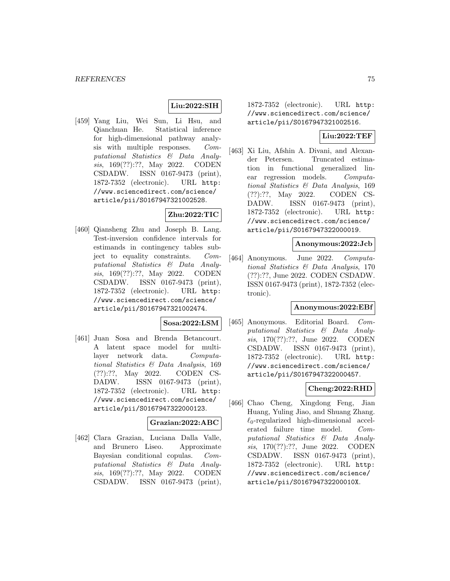## **Liu:2022:SIH**

[459] Yang Liu, Wei Sun, Li Hsu, and Qianchuan He. Statistical inference for high-dimensional pathway analysis with multiple responses. Computational Statistics & Data Analysis, 169(??):??, May 2022. CODEN CSDADW. ISSN 0167-9473 (print), 1872-7352 (electronic). URL http: //www.sciencedirect.com/science/ article/pii/S0167947321002528.

# **Zhu:2022:TIC**

[460] Qiansheng Zhu and Joseph B. Lang. Test-inversion confidence intervals for estimands in contingency tables subject to equality constraints. Computational Statistics & Data Analysis, 169(??):??, May 2022. CODEN CSDADW. ISSN 0167-9473 (print), 1872-7352 (electronic). URL http: //www.sciencedirect.com/science/ article/pii/S0167947321002474.

## **Sosa:2022:LSM**

[461] Juan Sosa and Brenda Betancourt. A latent space model for multilayer network data. Computational Statistics & Data Analysis, 169 (??):??, May 2022. CODEN CS-DADW. ISSN 0167-9473 (print), 1872-7352 (electronic). URL http: //www.sciencedirect.com/science/ article/pii/S0167947322000123.

## **Grazian:2022:ABC**

[462] Clara Grazian, Luciana Dalla Valle, and Brunero Liseo. Approximate Bayesian conditional copulas. Computational Statistics & Data Analysis, 169(??):??, May 2022. CODEN CSDADW. ISSN 0167-9473 (print),

1872-7352 (electronic). URL http: //www.sciencedirect.com/science/ article/pii/S0167947321002516.

## **Liu:2022:TEF**

[463] Xi Liu, Afshin A. Divani, and Alexander Petersen. Truncated estimation in functional generalized linear regression models. Computational Statistics & Data Analysis, 169 (??):??, May 2022. CODEN CS-DADW. ISSN 0167-9473 (print), 1872-7352 (electronic). URL http: //www.sciencedirect.com/science/ article/pii/S0167947322000019.

#### **Anonymous:2022:Jcb**

[464] Anonymous. June 2022. Computational Statistics & Data Analysis, 170 (??):??, June 2022. CODEN CSDADW. ISSN 0167-9473 (print), 1872-7352 (electronic).

#### **Anonymous:2022:EBf**

[465] Anonymous. Editorial Board. Computational Statistics & Data Analysis, 170(??):??, June 2022. CODEN CSDADW. ISSN 0167-9473 (print), 1872-7352 (electronic). URL http: //www.sciencedirect.com/science/ article/pii/S0167947322000457.

## **Cheng:2022:RHD**

[466] Chao Cheng, Xingdong Feng, Jian Huang, Yuling Jiao, and Shuang Zhang.  $\ell_0$ -regularized high-dimensional accelerated failure time model. Computational Statistics & Data Analysis, 170(??):??, June 2022. CODEN CSDADW. ISSN 0167-9473 (print), 1872-7352 (electronic). URL http: //www.sciencedirect.com/science/ article/pii/S016794732200010X.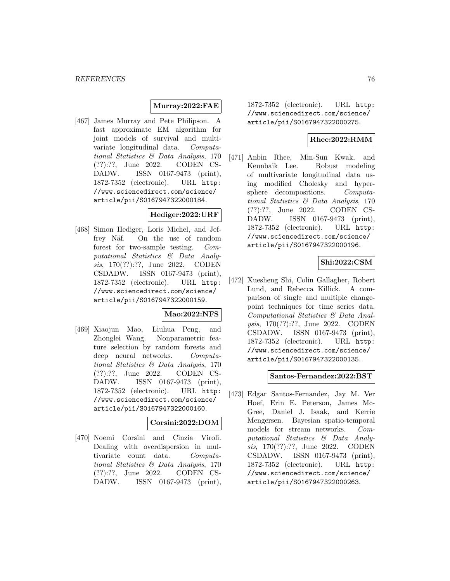## **Murray:2022:FAE**

[467] James Murray and Pete Philipson. A fast approximate EM algorithm for joint models of survival and multivariate longitudinal data. Computational Statistics & Data Analysis, 170 (??):??, June 2022. CODEN CS-DADW. ISSN 0167-9473 (print), 1872-7352 (electronic). URL http: //www.sciencedirect.com/science/ article/pii/S0167947322000184.

## **Hediger:2022:URF**

[468] Simon Hediger, Loris Michel, and Jeffrey Näf. On the use of random forest for two-sample testing. Computational Statistics & Data Analysis, 170(??):??, June 2022. CODEN CSDADW. ISSN 0167-9473 (print), 1872-7352 (electronic). URL http: //www.sciencedirect.com/science/ article/pii/S0167947322000159.

## **Mao:2022:NFS**

[469] Xiaojun Mao, Liuhua Peng, and Zhonglei Wang. Nonparametric feature selection by random forests and deep neural networks. Computational Statistics & Data Analysis, 170 (??):??, June 2022. CODEN CS-DADW. ISSN 0167-9473 (print), 1872-7352 (electronic). URL http: //www.sciencedirect.com/science/ article/pii/S0167947322000160.

## **Corsini:2022:DOM**

[470] Noemi Corsini and Cinzia Viroli. Dealing with overdispersion in multivariate count data. Computational Statistics & Data Analysis, 170 (??):??, June 2022. CODEN CS-DADW. ISSN 0167-9473 (print), 1872-7352 (electronic). URL http: //www.sciencedirect.com/science/ article/pii/S0167947322000275.

## **Rhee:2022:RMM**

[471] Anbin Rhee, Min-Sun Kwak, and Keunbaik Lee. Robust modeling of multivariate longitudinal data using modified Cholesky and hypersphere decompositions. Computational Statistics & Data Analysis, 170 (??):??, June 2022. CODEN CS-DADW. ISSN 0167-9473 (print), 1872-7352 (electronic). URL http: //www.sciencedirect.com/science/ article/pii/S0167947322000196.

## **Shi:2022:CSM**

[472] Xuesheng Shi, Colin Gallagher, Robert Lund, and Rebecca Killick. A comparison of single and multiple changepoint techniques for time series data. Computational Statistics & Data Analysis, 170(??):??, June 2022. CODEN CSDADW. ISSN 0167-9473 (print), 1872-7352 (electronic). URL http: //www.sciencedirect.com/science/ article/pii/S0167947322000135.

## **Santos-Fernandez:2022:BST**

[473] Edgar Santos-Fernandez, Jay M. Ver Hoef, Erin E. Peterson, James Mc-Gree, Daniel J. Isaak, and Kerrie Mengersen. Bayesian spatio-temporal models for stream networks. Computational Statistics & Data Analysis, 170(??):??, June 2022. CODEN CSDADW. ISSN 0167-9473 (print), 1872-7352 (electronic). URL http: //www.sciencedirect.com/science/ article/pii/S0167947322000263.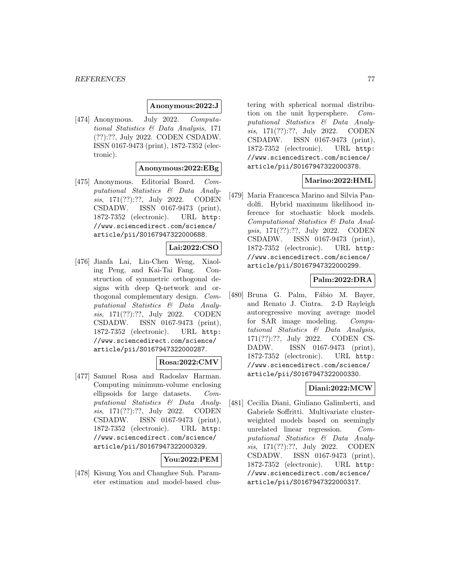### **Anonymous:2022:J**

[474] Anonymous. July 2022. Computational Statistics & Data Analysis, 171 (??):??, July 2022. CODEN CSDADW. ISSN 0167-9473 (print), 1872-7352 (electronic).

### **Anonymous:2022:EBg**

[475] Anonymous. Editorial Board. Computational Statistics & Data Analysis, 171(??):??, July 2022. CODEN CSDADW. ISSN 0167-9473 (print), 1872-7352 (electronic). URL http: //www.sciencedirect.com/science/ article/pii/S0167947322000688.

### **Lai:2022:CSO**

[476] Jianfa Lai, Lin-Chen Weng, Xiaoling Peng, and Kai-Tai Fang. Construction of symmetric orthogonal designs with deep Q-network and orthogonal complementary design. Computational Statistics & Data Analysis, 171(??):??, July 2022. CODEN CSDADW. ISSN 0167-9473 (print), 1872-7352 (electronic). URL http: //www.sciencedirect.com/science/ article/pii/S0167947322000287.

## **Rosa:2022:CMV**

[477] Samuel Rosa and Radoslav Harman. Computing minimum-volume enclosing ellipsoids for large datasets. Computational Statistics & Data Analysis, 171(??):??, July 2022. CODEN CSDADW. ISSN 0167-9473 (print), 1872-7352 (electronic). URL http: //www.sciencedirect.com/science/ article/pii/S0167947322000329.

## **You:2022:PEM**

[478] Kisung You and Changhee Suh. Parameter estimation and model-based clustering with spherical normal distribution on the unit hypersphere. Computational Statistics & Data Analysis, 171(??):??, July 2022. CODEN CSDADW. ISSN 0167-9473 (print), 1872-7352 (electronic). URL http: //www.sciencedirect.com/science/ article/pii/S0167947322000378.

## **Marino:2022:HML**

[479] Maria Francesca Marino and Silvia Pandolfi. Hybrid maximum likelihood inference for stochastic block models. Computational Statistics & Data Analysis, 171(??):??, July 2022. CODEN CSDADW. ISSN 0167-9473 (print), 1872-7352 (electronic). URL http: //www.sciencedirect.com/science/ article/pii/S0167947322000299.

## **Palm:2022:DRA**

[480] Bruna G. Palm, Fábio M. Bayer, and Renato J. Cintra. 2-D Rayleigh autoregressive moving average model for SAR image modeling. Computational Statistics & Data Analysis, 171(??):??, July 2022. CODEN CS-DADW. ISSN 0167-9473 (print), 1872-7352 (electronic). URL http: //www.sciencedirect.com/science/ article/pii/S0167947322000330.

## **Diani:2022:MCW**

[481] Cecilia Diani, Giuliano Galimberti, and Gabriele Soffritti. Multivariate clusterweighted models based on seemingly unrelated linear regression. Computational Statistics & Data Analysis, 171(??):??, July 2022. CODEN CSDADW. ISSN 0167-9473 (print), 1872-7352 (electronic). URL http: //www.sciencedirect.com/science/ article/pii/S0167947322000317.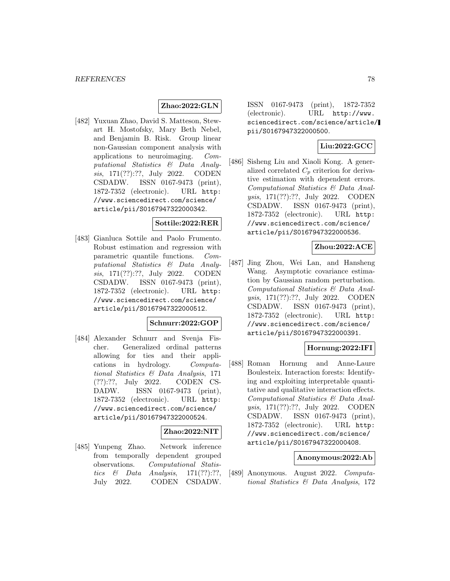## **Zhao:2022:GLN**

[482] Yuxuan Zhao, David S. Matteson, Stewart H. Mostofsky, Mary Beth Nebel, and Benjamin B. Risk. Group linear non-Gaussian component analysis with applications to neuroimaging. Computational Statistics & Data Analysis, 171(??):??, July 2022. CODEN CSDADW. ISSN 0167-9473 (print), 1872-7352 (electronic). URL http: //www.sciencedirect.com/science/ article/pii/S0167947322000342.

#### **Sottile:2022:RER**

[483] Gianluca Sottile and Paolo Frumento. Robust estimation and regression with parametric quantile functions. Computational Statistics & Data Analysis, 171(??):??, July 2022. CODEN CSDADW. ISSN 0167-9473 (print), 1872-7352 (electronic). URL http: //www.sciencedirect.com/science/ article/pii/S0167947322000512.

### **Schnurr:2022:GOP**

[484] Alexander Schnurr and Svenja Fischer. Generalized ordinal patterns allowing for ties and their applications in hydrology. Computational Statistics & Data Analysis, 171 (??):??, July 2022. CODEN CS-DADW. ISSN 0167-9473 (print), 1872-7352 (electronic). URL http: //www.sciencedirect.com/science/ article/pii/S0167947322000524.

## **Zhao:2022:NIT**

[485] Yunpeng Zhao. Network inference from temporally dependent grouped observations. Computational Statistics  $\&$  Data Analysis, 171(??):??, July 2022. CODEN CSDADW.

ISSN 0167-9473 (print), 1872-7352 (electronic). URL http://www. sciencedirect.com/science/article/ pii/S0167947322000500.

# **Liu:2022:GCC**

[486] Sisheng Liu and Xiaoli Kong. A generalized correlated  $C_p$  criterion for derivative estimation with dependent errors. Computational Statistics & Data Analysis, 171(??):??, July 2022. CODEN CSDADW. ISSN 0167-9473 (print), 1872-7352 (electronic). URL http: //www.sciencedirect.com/science/ article/pii/S0167947322000536.

## **Zhou:2022:ACE**

[487] Jing Zhou, Wei Lan, and Hansheng Wang. Asymptotic covariance estimation by Gaussian random perturbation. Computational Statistics & Data Analysis, 171(??):??, July 2022. CODEN CSDADW. ISSN 0167-9473 (print), 1872-7352 (electronic). URL http: //www.sciencedirect.com/science/ article/pii/S0167947322000391.

## **Hornung:2022:IFI**

[488] Roman Hornung and Anne-Laure Boulesteix. Interaction forests: Identifying and exploiting interpretable quantitative and qualitative interaction effects. Computational Statistics & Data Analysis, 171(??):??, July 2022. CODEN CSDADW. ISSN 0167-9473 (print), 1872-7352 (electronic). URL http: //www.sciencedirect.com/science/ article/pii/S0167947322000408.

#### **Anonymous:2022:Ab**

[489] Anonymous. August 2022. Computational Statistics & Data Analysis, 172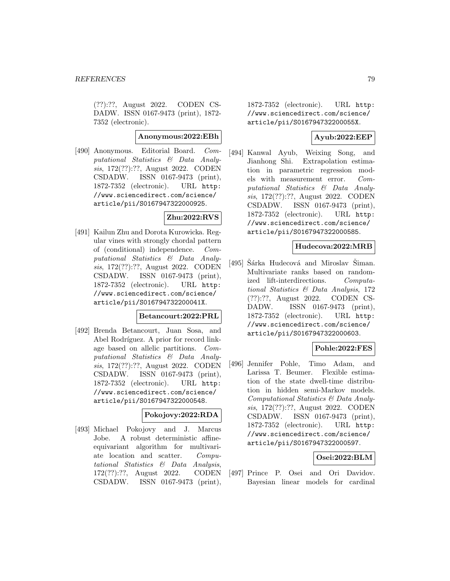(??):??, August 2022. CODEN CS-DADW. ISSN 0167-9473 (print), 1872- 7352 (electronic).

### **Anonymous:2022:EBh**

[490] Anonymous. Editorial Board. Computational Statistics & Data Analysis, 172(??):??, August 2022. CODEN CSDADW. ISSN 0167-9473 (print), 1872-7352 (electronic). URL http: //www.sciencedirect.com/science/ article/pii/S0167947322000925.

# **Zhu:2022:RVS**

[491] Kailun Zhu and Dorota Kurowicka. Regular vines with strongly chordal pattern of (conditional) independence. Computational Statistics & Data Analysis, 172(??):??, August 2022. CODEN CSDADW. ISSN 0167-9473 (print), 1872-7352 (electronic). URL http: //www.sciencedirect.com/science/ article/pii/S016794732200041X.

# **Betancourt:2022:PRL**

[492] Brenda Betancourt, Juan Sosa, and Abel Rodríguez. A prior for record linkage based on allelic partitions. Computational Statistics & Data Analysis, 172(??):??, August 2022. CODEN CSDADW. ISSN 0167-9473 (print), 1872-7352 (electronic). URL http: //www.sciencedirect.com/science/ article/pii/S0167947322000548.

#### **Pokojovy:2022:RDA**

[493] Michael Pokojovy and J. Marcus Jobe. A robust deterministic affineequivariant algorithm for multivariate location and scatter. Computational Statistics & Data Analysis, 172(??):??, August 2022. CODEN CSDADW. ISSN 0167-9473 (print),

1872-7352 (electronic). URL http: //www.sciencedirect.com/science/ article/pii/S016794732200055X.

## **Ayub:2022:EEP**

[494] Kanwal Ayub, Weixing Song, and Jianhong Shi. Extrapolation estimation in parametric regression models with measurement error. Computational Statistics & Data Analysis, 172(??):??, August 2022. CODEN CSDADW. ISSN 0167-9473 (print), 1872-7352 (electronic). URL http: //www.sciencedirect.com/science/ article/pii/S0167947322000585.

### **Hudecova:2022:MRB**

[495] Sárka Hudecová and Miroslav Siman. Multivariate ranks based on randomized lift-interdirections. Computational Statistics & Data Analysis, 172 (??):??, August 2022. CODEN CS-DADW. ISSN 0167-9473 (print), 1872-7352 (electronic). URL http: //www.sciencedirect.com/science/ article/pii/S0167947322000603.

## **Pohle:2022:FES**

[496] Jennifer Pohle, Timo Adam, and Larissa T. Beumer. Flexible estimation of the state dwell-time distribution in hidden semi-Markov models. Computational Statistics & Data Analysis, 172(??):??, August 2022. CODEN CSDADW. ISSN 0167-9473 (print), 1872-7352 (electronic). URL http: //www.sciencedirect.com/science/ article/pii/S0167947322000597.

# **Osei:2022:BLM**

[497] Prince P. Osei and Ori Davidov. Bayesian linear models for cardinal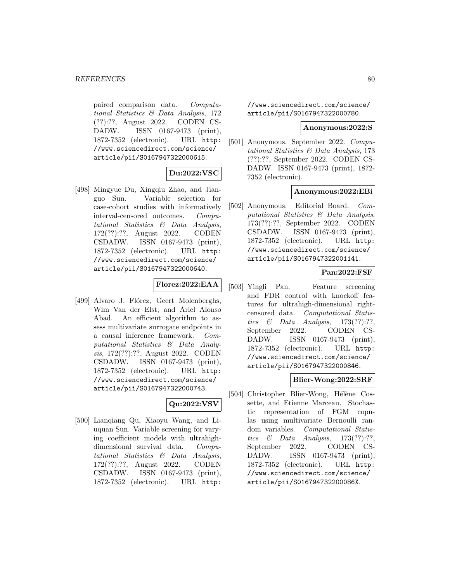paired comparison data. Computational Statistics & Data Analysis, 172 (??):??, August 2022. CODEN CS-DADW. ISSN 0167-9473 (print), 1872-7352 (electronic). URL http: //www.sciencedirect.com/science/ article/pii/S0167947322000615.

# **Du:2022:VSC**

[498] Mingyue Du, Xingqiu Zhao, and Jianguo Sun. Variable selection for case-cohort studies with informatively interval-censored outcomes. Computational Statistics & Data Analysis, 172(??):??, August 2022. CODEN CSDADW. ISSN 0167-9473 (print), 1872-7352 (electronic). URL http: //www.sciencedirect.com/science/ article/pii/S0167947322000640.

# **Florez:2022:EAA**

[499] Alvaro J. Flórez, Geert Molenberghs, Wim Van der Elst, and Ariel Alonso Abad. An efficient algorithm to assess multivariate surrogate endpoints in a causal inference framework. Computational Statistics & Data Analysis, 172(??):??, August 2022. CODEN CSDADW. ISSN 0167-9473 (print), 1872-7352 (electronic). URL http: //www.sciencedirect.com/science/ article/pii/S0167947322000743.

## **Qu:2022:VSV**

[500] Lianqiang Qu, Xiaoyu Wang, and Liuquan Sun. Variable screening for varying coefficient models with ultrahighdimensional survival data. Computational Statistics & Data Analysis, 172(??):??, August 2022. CODEN CSDADW. ISSN 0167-9473 (print), 1872-7352 (electronic). URL http:

//www.sciencedirect.com/science/ article/pii/S0167947322000780.

#### **Anonymous:2022:S**

[501] Anonymous. September 2022. Computational Statistics & Data Analysis, 173 (??):??, September 2022. CODEN CS-DADW. ISSN 0167-9473 (print), 1872- 7352 (electronic).

### **Anonymous:2022:EBi**

[502] Anonymous. Editorial Board. Computational Statistics & Data Analysis, 173(??):??, September 2022. CODEN CSDADW. ISSN 0167-9473 (print), 1872-7352 (electronic). URL http: //www.sciencedirect.com/science/ article/pii/S0167947322001141.

## **Pan:2022:FSF**

[503] Yingli Pan. Feature screening and FDR control with knockoff features for ultrahigh-dimensional rightcensored data. Computational Statistics & Data Analysis,  $173(??):??$ , September 2022. CODEN CS-DADW. ISSN 0167-9473 (print), 1872-7352 (electronic). URL http: //www.sciencedirect.com/science/ article/pii/S0167947322000846.

#### **Blier-Wong:2022:SRF**

[504] Christopher Blier-Wong, Hélène Cossette, and Etienne Marceau. Stochastic representation of FGM copulas using multivariate Bernoulli random variables. Computational Statistics  $\&$  Data Analysis, 173(??):??, September 2022. CODEN CS-DADW. ISSN 0167-9473 (print), 1872-7352 (electronic). URL http: //www.sciencedirect.com/science/ article/pii/S016794732200086X.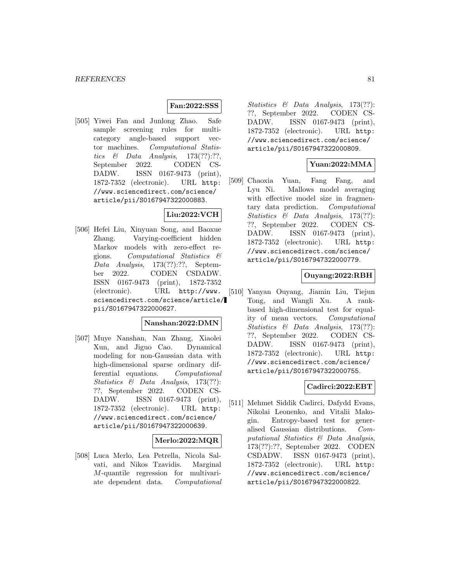## **Fan:2022:SSS**

[505] Yiwei Fan and Junlong Zhao. Safe sample screening rules for multicategory angle-based support vector machines. Computational Statistics  $\&$  Data Analysis, 173(??):??, September 2022. CODEN CS-DADW. ISSN 0167-9473 (print), 1872-7352 (electronic). URL http: //www.sciencedirect.com/science/ article/pii/S0167947322000883.

# **Liu:2022:VCH**

[506] Hefei Liu, Xinyuan Song, and Baoxue Zhang. Varying-coefficient hidden Markov models with zero-effect regions. Computational Statistics & Data Analysis, 173(??):??, September 2022. CODEN CSDADW. ISSN 0167-9473 (print), 1872-7352 (electronic). URL http://www. sciencedirect.com/science/article/ pii/S0167947322000627.

## **Nanshan:2022:DMN**

[507] Muye Nanshan, Nan Zhang, Xiaolei Xun, and Jiguo Cao. Dynamical modeling for non-Gaussian data with high-dimensional sparse ordinary differential equations. Computational Statistics & Data Analysis, 173(??): ??, September 2022. CODEN CS-DADW. ISSN 0167-9473 (print), 1872-7352 (electronic). URL http: //www.sciencedirect.com/science/ article/pii/S0167947322000639.

## **Merlo:2022:MQR**

[508] Luca Merlo, Lea Petrella, Nicola Salvati, and Nikos Tzavidis. Marginal M-quantile regression for multivariate dependent data. Computational Statistics & Data Analysis, 173(??): ??, September 2022. CODEN CS-DADW. ISSN 0167-9473 (print), 1872-7352 (electronic). URL http: //www.sciencedirect.com/science/ article/pii/S0167947322000809.

## **Yuan:2022:MMA**

[509] Chaoxia Yuan, Fang Fang, and Lyu Ni. Mallows model averaging with effective model size in fragmentary data prediction. Computational Statistics & Data Analysis, 173(??): ??, September 2022. CODEN CS-DADW. ISSN 0167-9473 (print), 1872-7352 (electronic). URL http: //www.sciencedirect.com/science/ article/pii/S0167947322000779.

## **Ouyang:2022:RBH**

[510] Yanyan Ouyang, Jiamin Liu, Tiejun Tong, and Wangli Xu. A rankbased high-dimensional test for equality of mean vectors. Computational Statistics & Data Analysis, 173(??): ??, September 2022. CODEN CS-DADW. ISSN 0167-9473 (print), 1872-7352 (electronic). URL http: //www.sciencedirect.com/science/ article/pii/S0167947322000755.

# **Cadirci:2022:EBT**

[511] Mehmet Siddik Cadirci, Dafydd Evans, Nikolai Leonenko, and Vitalii Makogin. Entropy-based test for generalised Gaussian distributions. Computational Statistics & Data Analysis, 173(??):??, September 2022. CODEN CSDADW. ISSN 0167-9473 (print), 1872-7352 (electronic). URL http: //www.sciencedirect.com/science/ article/pii/S0167947322000822.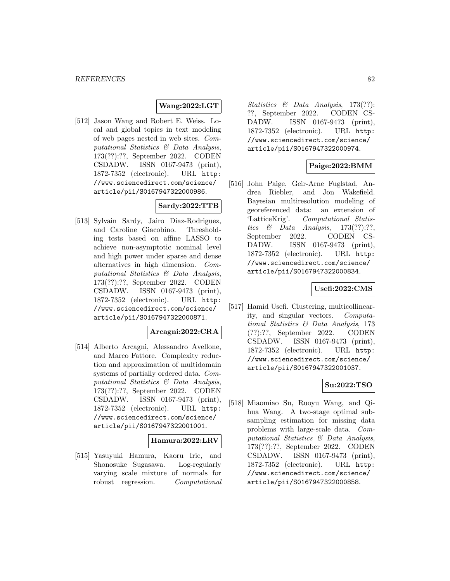## **Wang:2022:LGT**

[512] Jason Wang and Robert E. Weiss. Local and global topics in text modeling of web pages nested in web sites. Computational Statistics & Data Analysis, 173(??):??, September 2022. CODEN CSDADW. ISSN 0167-9473 (print), 1872-7352 (electronic). URL http: //www.sciencedirect.com/science/ article/pii/S0167947322000986.

# **Sardy:2022:TTB**

[513] Sylvain Sardy, Jairo Diaz-Rodriguez, and Caroline Giacobino. Thresholding tests based on affine LASSO to achieve non-asymptotic nominal level and high power under sparse and dense alternatives in high dimension. Computational Statistics & Data Analysis, 173(??):??, September 2022. CODEN CSDADW. ISSN 0167-9473 (print), 1872-7352 (electronic). URL http: //www.sciencedirect.com/science/ article/pii/S0167947322000871.

## **Arcagni:2022:CRA**

[514] Alberto Arcagni, Alessandro Avellone, and Marco Fattore. Complexity reduction and approximation of multidomain systems of partially ordered data. Computational Statistics & Data Analysis, 173(??):??, September 2022. CODEN CSDADW. ISSN 0167-9473 (print), 1872-7352 (electronic). URL http: //www.sciencedirect.com/science/ article/pii/S0167947322001001.

#### **Hamura:2022:LRV**

[515] Yasuyuki Hamura, Kaoru Irie, and Shonosuke Sugasawa. Log-regularly varying scale mixture of normals for robust regression. Computational Statistics & Data Analysis, 173(??): ??, September 2022. CODEN CS-DADW. ISSN 0167-9473 (print), 1872-7352 (electronic). URL http: //www.sciencedirect.com/science/ article/pii/S0167947322000974.

## **Paige:2022:BMM**

[516] John Paige, Geir-Arne Fuglstad, Andrea Riebler, and Jon Wakefield. Bayesian multiresolution modeling of georeferenced data: an extension of 'LatticeKrig'. Computational Statistics  $\&$  Data Analysis, 173(??):??, September 2022. CODEN CS-DADW. ISSN 0167-9473 (print), 1872-7352 (electronic). URL http: //www.sciencedirect.com/science/ article/pii/S0167947322000834.

## **Usefi:2022:CMS**

[517] Hamid Usefi. Clustering, multicollinearity, and singular vectors. Computational Statistics & Data Analysis, 173 (??):??, September 2022. CODEN CSDADW. ISSN 0167-9473 (print), 1872-7352 (electronic). URL http: //www.sciencedirect.com/science/ article/pii/S0167947322001037.

## **Su:2022:TSO**

[518] Miaomiao Su, Ruoyu Wang, and Qihua Wang. A two-stage optimal subsampling estimation for missing data problems with large-scale data. Computational Statistics & Data Analysis, 173(??):??, September 2022. CODEN CSDADW. ISSN 0167-9473 (print), 1872-7352 (electronic). URL http: //www.sciencedirect.com/science/ article/pii/S0167947322000858.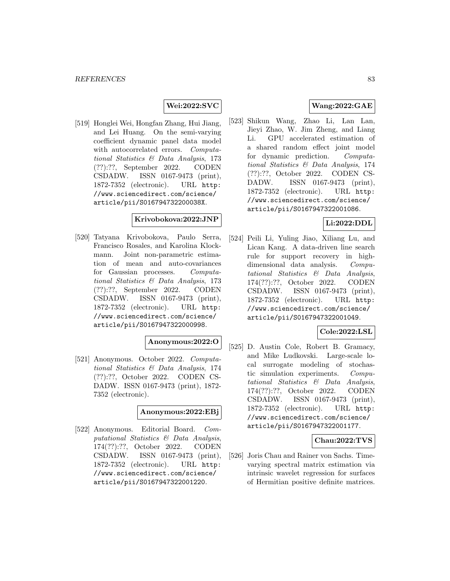## **Wei:2022:SVC**

[519] Honglei Wei, Hongfan Zhang, Hui Jiang, and Lei Huang. On the semi-varying coefficient dynamic panel data model with autocorrelated errors. Computational Statistics & Data Analysis, 173 (??):??, September 2022. CODEN CSDADW. ISSN 0167-9473 (print), 1872-7352 (electronic). URL http: //www.sciencedirect.com/science/ article/pii/S016794732200038X.

### **Krivobokova:2022:JNP**

[520] Tatyana Krivobokova, Paulo Serra, Francisco Rosales, and Karolina Klockmann. Joint non-parametric estimation of mean and auto-covariances for Gaussian processes. Computational Statistics & Data Analysis, 173 (??):??, September 2022. CODEN CSDADW. ISSN 0167-9473 (print), 1872-7352 (electronic). URL http: //www.sciencedirect.com/science/ article/pii/S0167947322000998.

## **Anonymous:2022:O**

[521] Anonymous. October 2022. Computational Statistics & Data Analysis, 174 (??):??, October 2022. CODEN CS-DADW. ISSN 0167-9473 (print), 1872- 7352 (electronic).

### **Anonymous:2022:EBj**

[522] Anonymous. Editorial Board. Computational Statistics & Data Analysis, 174(??):??, October 2022. CODEN CSDADW. ISSN 0167-9473 (print), 1872-7352 (electronic). URL http: //www.sciencedirect.com/science/ article/pii/S0167947322001220.

# **Wang:2022:GAE**

[523] Shikun Wang, Zhao Li, Lan Lan, Jieyi Zhao, W. Jim Zheng, and Liang Li. GPU accelerated estimation of a shared random effect joint model for dynamic prediction. Computational Statistics & Data Analysis, 174 (??):??, October 2022. CODEN CS-DADW. ISSN 0167-9473 (print), 1872-7352 (electronic). URL http: //www.sciencedirect.com/science/ article/pii/S0167947322001086.

## **Li:2022:DDL**

[524] Peili Li, Yuling Jiao, Xiliang Lu, and Lican Kang. A data-driven line search rule for support recovery in highdimensional data analysis. Computational Statistics & Data Analysis, 174(??):??, October 2022. CODEN CSDADW. ISSN 0167-9473 (print), 1872-7352 (electronic). URL http: //www.sciencedirect.com/science/ article/pii/S0167947322001049.

### **Cole:2022:LSL**

[525] D. Austin Cole, Robert B. Gramacy, and Mike Ludkovski. Large-scale local surrogate modeling of stochastic simulation experiments. Computational Statistics & Data Analysis, 174(??):??, October 2022. CODEN CSDADW. ISSN 0167-9473 (print), 1872-7352 (electronic). URL http: //www.sciencedirect.com/science/ article/pii/S0167947322001177.

### **Chau:2022:TVS**

[526] Joris Chau and Rainer von Sachs. Timevarying spectral matrix estimation via intrinsic wavelet regression for surfaces of Hermitian positive definite matrices.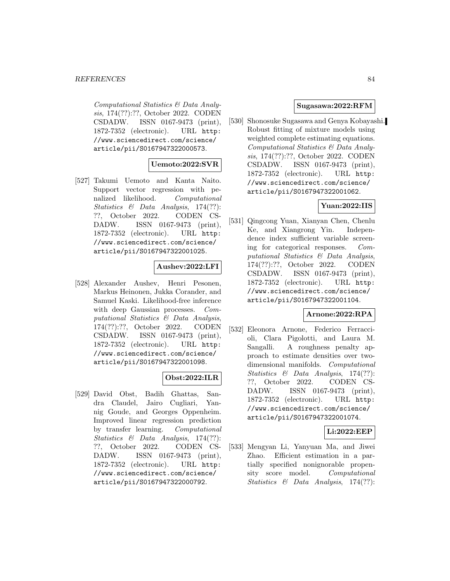Computational Statistics & Data Analysis, 174(??):??, October 2022. CODEN CSDADW. ISSN 0167-9473 (print), 1872-7352 (electronic). URL http: //www.sciencedirect.com/science/ article/pii/S0167947322000573.

## **Uemoto:2022:SVR**

[527] Takumi Uemoto and Kanta Naito. Support vector regression with penalized likelihood. Computational Statistics & Data Analysis, 174(??): ??, October 2022. CODEN CS-DADW. ISSN 0167-9473 (print), 1872-7352 (electronic). URL http: //www.sciencedirect.com/science/ article/pii/S0167947322001025.

# **Aushev:2022:LFI**

[528] Alexander Aushev, Henri Pesonen, Markus Heinonen, Jukka Corander, and Samuel Kaski. Likelihood-free inference with deep Gaussian processes. Computational Statistics & Data Analysis, 174(??):??, October 2022. CODEN CSDADW. ISSN 0167-9473 (print), 1872-7352 (electronic). URL http: //www.sciencedirect.com/science/ article/pii/S0167947322001098.

## **Obst:2022:ILR**

[529] David Obst, Badih Ghattas, Sandra Claudel, Jairo Cugliari, Yannig Goude, and Georges Oppenheim. Improved linear regression prediction by transfer learning. Computational Statistics & Data Analysis, 174(??): ??, October 2022. CODEN CS-DADW. ISSN 0167-9473 (print), 1872-7352 (electronic). URL http: //www.sciencedirect.com/science/ article/pii/S0167947322000792.

### **Sugasawa:2022:RFM**

[530] Shonosuke Sugasawa and Genya Kobayashi. Robust fitting of mixture models using weighted complete estimating equations. Computational Statistics & Data Analysis, 174(??):??, October 2022. CODEN CSDADW. ISSN 0167-9473 (print), 1872-7352 (electronic). URL http: //www.sciencedirect.com/science/ article/pii/S0167947322001062.

# **Yuan:2022:IIS**

[531] Qingcong Yuan, Xianyan Chen, Chenlu Ke, and Xiangrong Yin. Independence index sufficient variable screening for categorical responses. Computational Statistics & Data Analysis, 174(??):??, October 2022. CODEN CSDADW. ISSN 0167-9473 (print), 1872-7352 (electronic). URL http: //www.sciencedirect.com/science/ article/pii/S0167947322001104.

## **Arnone:2022:RPA**

[532] Eleonora Arnone, Federico Ferraccioli, Clara Pigolotti, and Laura M. Sangalli. A roughness penalty approach to estimate densities over twodimensional manifolds. Computational Statistics & Data Analysis, 174(??): ??, October 2022. CODEN CS-DADW. ISSN 0167-9473 (print), 1872-7352 (electronic). URL http: //www.sciencedirect.com/science/ article/pii/S0167947322001074.

## **Li:2022:EEP**

[533] Mengyan Li, Yanyuan Ma, and Jiwei Zhao. Efficient estimation in a partially specified nonignorable propensity score model. Computational Statistics & Data Analysis, 174(??):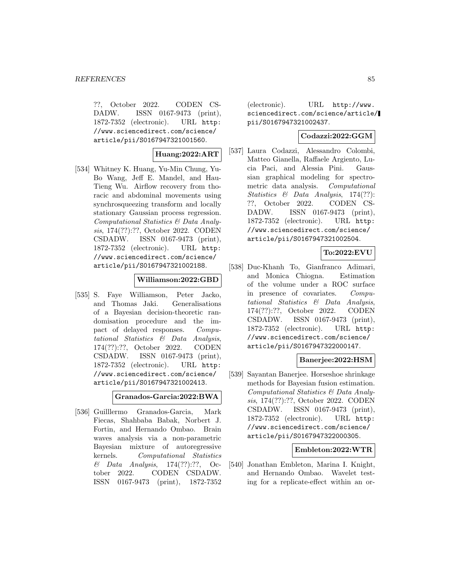??, October 2022. CODEN CS-DADW. ISSN 0167-9473 (print), 1872-7352 (electronic). URL http: //www.sciencedirect.com/science/ article/pii/S0167947321001560.

## **Huang:2022:ART**

[534] Whitney K. Huang, Yu-Min Chung, Yu-Bo Wang, Jeff E. Mandel, and Hau-Tieng Wu. Airflow recovery from thoracic and abdominal movements using synchrosqueezing transform and locally stationary Gaussian process regression. Computational Statistics & Data Analysis, 174(??):??, October 2022. CODEN CSDADW. ISSN 0167-9473 (print), 1872-7352 (electronic). URL http: //www.sciencedirect.com/science/ article/pii/S0167947321002188.

### **Williamson:2022:GBD**

[535] S. Faye Williamson, Peter Jacko, and Thomas Jaki. Generalisations of a Bayesian decision-theoretic randomisation procedure and the impact of delayed responses. Computational Statistics & Data Analysis, 174(??):??, October 2022. CODEN CSDADW. ISSN 0167-9473 (print), 1872-7352 (electronic). URL http: //www.sciencedirect.com/science/ article/pii/S0167947321002413.

**Granados-Garcia:2022:BWA**

[536] Guilllermo Granados-Garcia, Mark Fiecas, Shahbaba Babak, Norbert J. Fortin, and Hernando Ombao. Brain waves analysis via a non-parametric Bayesian mixture of autoregressive kernels. Computational Statistics & Data Analysis, 174(??):??, October 2022. CODEN CSDADW. ISSN 0167-9473 (print), 1872-7352

(electronic). URL http://www. sciencedirect.com/science/article/ pii/S0167947321002437.

# **Codazzi:2022:GGM**

[537] Laura Codazzi, Alessandro Colombi, Matteo Gianella, Raffaele Argiento, Lucia Paci, and Alessia Pini. Gaussian graphical modeling for spectrometric data analysis. Computational Statistics & Data Analysis, 174(??): ??, October 2022. CODEN CS-DADW. ISSN 0167-9473 (print), 1872-7352 (electronic). URL http: //www.sciencedirect.com/science/ article/pii/S0167947321002504.

## **To:2022:EVU**

[538] Duc-Khanh To, Gianfranco Adimari, and Monica Chiogna. Estimation of the volume under a ROC surface in presence of covariates. Computational Statistics & Data Analysis, 174(??):??, October 2022. CODEN CSDADW. ISSN 0167-9473 (print), 1872-7352 (electronic). URL http: //www.sciencedirect.com/science/ article/pii/S0167947322000147.

## **Banerjee:2022:HSM**

[539] Sayantan Banerjee. Horseshoe shrinkage methods for Bayesian fusion estimation. Computational Statistics & Data Analysis, 174(??):??, October 2022. CODEN CSDADW. ISSN 0167-9473 (print), 1872-7352 (electronic). URL http: //www.sciencedirect.com/science/ article/pii/S0167947322000305.

### **Embleton:2022:WTR**

[540] Jonathan Embleton, Marina I. Knight, and Hernando Ombao. Wavelet testing for a replicate-effect within an or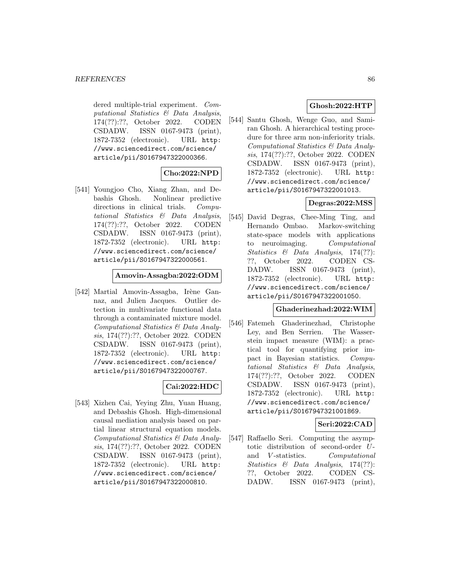dered multiple-trial experiment. Computational Statistics & Data Analysis, 174(??):??, October 2022. CODEN CSDADW. ISSN 0167-9473 (print), 1872-7352 (electronic). URL http: //www.sciencedirect.com/science/ article/pii/S0167947322000366.

## **Cho:2022:NPD**

[541] Youngjoo Cho, Xiang Zhan, and Debashis Ghosh. Nonlinear predictive directions in clinical trials. Computational Statistics & Data Analysis, 174(??):??, October 2022. CODEN CSDADW. ISSN 0167-9473 (print), 1872-7352 (electronic). URL http: //www.sciencedirect.com/science/ article/pii/S0167947322000561.

### **Amovin-Assagba:2022:ODM**

[542] Martial Amovin-Assagba, Irène Gannaz, and Julien Jacques. Outlier detection in multivariate functional data through a contaminated mixture model. Computational Statistics & Data Analysis, 174(??):??, October 2022. CODEN CSDADW. ISSN 0167-9473 (print), 1872-7352 (electronic). URL http: //www.sciencedirect.com/science/ article/pii/S0167947322000767.

# **Cai:2022:HDC**

[543] Xizhen Cai, Yeying Zhu, Yuan Huang, and Debashis Ghosh. High-dimensional causal mediation analysis based on partial linear structural equation models. Computational Statistics & Data Analysis, 174(??):??, October 2022. CODEN CSDADW. ISSN 0167-9473 (print), 1872-7352 (electronic). URL http: //www.sciencedirect.com/science/ article/pii/S0167947322000810.

# **Ghosh:2022:HTP**

[544] Santu Ghosh, Wenge Guo, and Samiran Ghosh. A hierarchical testing procedure for three arm non-inferiority trials. Computational Statistics & Data Analysis, 174(??):??, October 2022. CODEN CSDADW. ISSN 0167-9473 (print), 1872-7352 (electronic). URL http: //www.sciencedirect.com/science/ article/pii/S0167947322001013.

# **Degras:2022:MSS**

[545] David Degras, Chee-Ming Ting, and Hernando Ombao. Markov-switching state-space models with applications to neuroimaging. Computational Statistics & Data Analysis, 174(??): ??, October 2022. CODEN CS-DADW. ISSN 0167-9473 (print), 1872-7352 (electronic). URL http: //www.sciencedirect.com/science/ article/pii/S0167947322001050.

## **Ghaderinezhad:2022:WIM**

[546] Fatemeh Ghaderinezhad, Christophe Ley, and Ben Serrien. The Wasserstein impact measure (WIM): a practical tool for quantifying prior impact in Bayesian statistics. Computational Statistics & Data Analysis, 174(??):??, October 2022. CODEN CSDADW. ISSN 0167-9473 (print), 1872-7352 (electronic). URL http: //www.sciencedirect.com/science/ article/pii/S0167947321001869.

## **Seri:2022:CAD**

[547] Raffaello Seri. Computing the asymptotic distribution of second-order Uand V -statistics. Computational Statistics & Data Analysis, 174(??): ??, October 2022. CODEN CS-DADW. ISSN 0167-9473 (print),